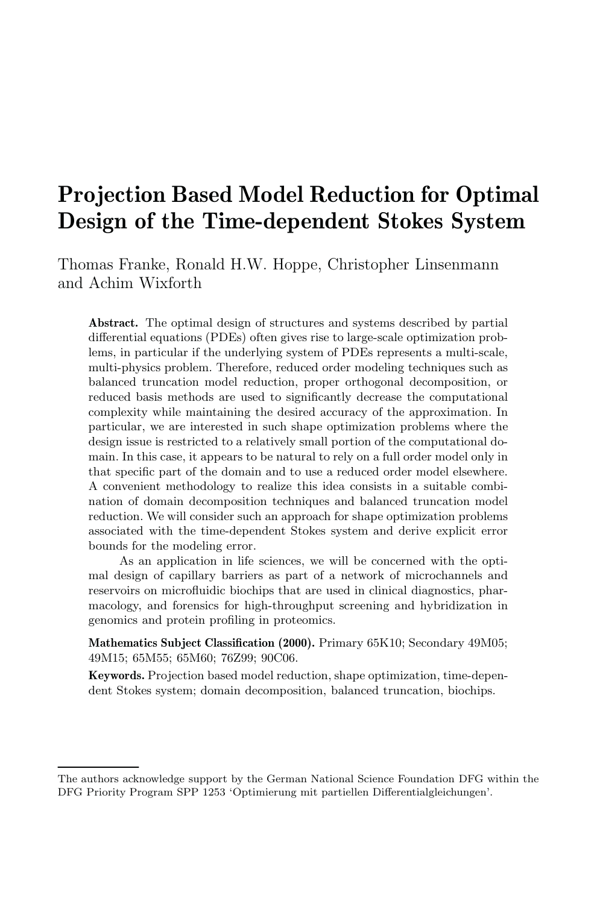### **Projection Based Model Reduction for Optimal Design of the Time-dependent Stokes System**

Thomas Franke, Ronald H.W. Hoppe, Christopher Linsenmann and Achim Wixforth

**Abstract.** The optimal design of structures and systems described by partial differential equations (PDEs) often gives rise to large-scale optimization problems, in particular if the underlying system of PDEs represents a multi-scale, multi-physics problem. Therefore, reduced order modeling techniques such as balanced truncation model reduction, proper orthogonal decomposition, or reduced basis methods are used to significantly decrease the computational complexity while maintaining the desired accuracy of the approximation. In particular, we are interested in such shape optimization problems where the design issue is restricted to a relatively small portion of the computational domain. In this case, it appears to be natural to rely on a full order model only in that specific part of the domain and to use a reduced order model elsewhere. A convenient methodology to realize this idea consists in a suitable combination of domain decomposition techniques and balanced truncation model reduction. We will consider such an approach for shape optimization problems associated with the time-dependent Stokes system and derive explicit error bounds for the modeling error.

As an application in life sciences, we will be concerned with the optimal design of capillary barriers as part of a network of microchannels and reservoirs on microfluidic biochips that are used in clinical diagnostics, pharmacology, and forensics for high-throughput screening and hybridization in genomics and protein profiling in proteomics.

**Mathematics Subject Classification (2000).** Primary 65K10; Secondary 49M05; 49M15; 65M55; 65M60; 76Z99; 90C06.

**Keywords.** Projection based model reduction, shape optimization, time-dependent Stokes system; domain decomposition, balanced truncation, biochips.

The authors acknowledge support by the German National Science Foundation DFG within the DFG Priority Program SPP 1253 'Optimierung mit partiellen Differentialgleichungen'.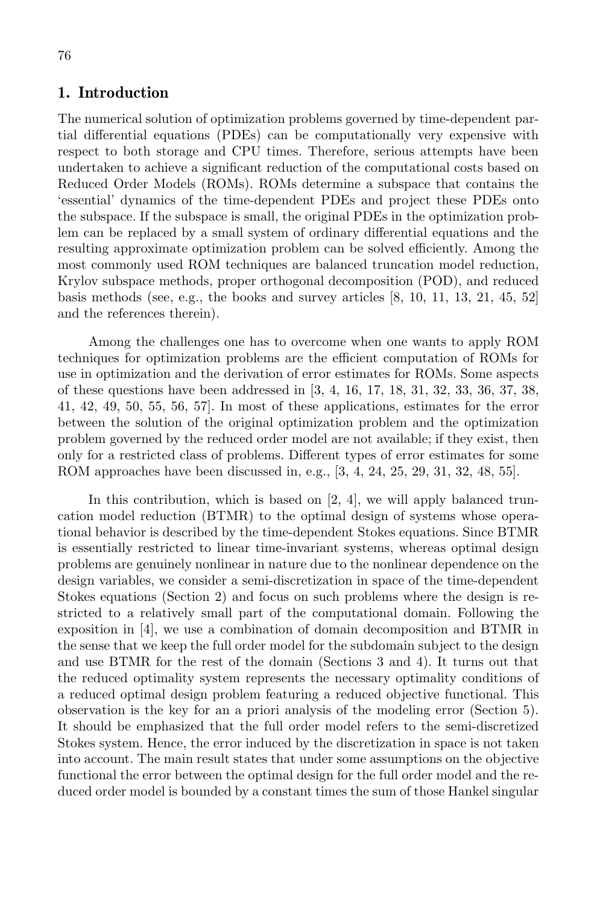### 1.<br>Tl **1. Introduction**

tial differential equations (PDEs) can be computationally very expensive with respect to both storage and CPU times. Therefore, serious attempts have been undertaken to achieve a significant reduction of the computational respect to both storage and CPU times. Therefore, serious attempts have been undertaken to achieve a significant reduction of the computational costs based on<br>Reduced Order Models (ROMs). ROMs determine a subspace that contains the<br>'essential' dynamics of the time-dependent PDEs and project these P Reduced Order Models (ROMs). ROMs determine a subspace that contains the 'essential' dynamics of the time-dependent PDEs and project these PDEs onto the subspace. If the subspace is small, the original PDEs in the optimiza essential' dynamics of the time-dependent PDEs and project these PDEs onto the subspace. If the subspace is small, the original PDEs in the optimization probthe subspace is small system of ordinary differential equations and the original PDEs in the original PDEs in the optimization probresulting approximate optimization problem can be solved efficiently. Among the most commonly used ROM techniques are balanced truncation model reduction, Krylov subspace methods, proper orthogonal decomposition (POD), and reduced basis methods (see, e.g., the books and survey articles [8, 10, 11, 13, Krylov subspace methods, proper orthogonal decomposition (POD), and reduced basis methods (see, e.g., the books and survey articles [8, 10, 11, 13, 21, 45, 52] and the references therein).<br>Among the challenges one has to basis methods (see, e.g., the books and survey articles  $[8, 10, 11, 13, 21, 45, 52]$ 

and the references therein).<br>Among the challenges one has to overcome when one wants to apply ROM<br>techniques for optimization problems are the efficient computation of ROMs for Among the challenges<br>techniques for optimization<br>use in optimization and the iques for optimization problems are the efficient computation of ROMs for a optimization and the derivation of error estimates for ROMs. Some aspects exercuses questions have been addressed in [3, 4, 16, 17, 18, 31, 32, 3 use in optimization and the derivation of error estimates for ROMs. Some aspects of these questions have been addressed in  $[3, 4, 16, 17, 18, 31, 32, 33, 36, 37, 38, 41, 42, 49, 50, 55, 56, 57]$ . In most of these applica of these questions have been addressed in  $[3, 4, 16, 17, 18, 31, 32, 33, 36, 37, 38, 41, 42, 49, 50, 55, 56, 57]$ . In most of these applications, estimates for the error between the solution of the original optimization 41, 42, 49, 50, 55, 56, 57]. In most of these applications, estimates for the error between the solution of the original optimization problem and the optimization problem governed by the reduced order model are not availab between the solution of the original optimization problem and the optimization<br>problem governed by the reduced order model are not available; if they exist, then<br>only for a restricted class of problems. Different types of problem governed by the reduced order model are not available; if they exist, then<br>only for a restricted class of problems. Different types of error estimates for some<br>ROM approaches have been discussed in, e.g., [3, 4, 24 problem governed class of problems. Different types of error estimates for some ROM approaches have been discussed in, e.g.,  $[3, 4, 24, 25, 29, 31, 32, 48, 55]$ .<br>In this contribution, which is based on  $[2, 4]$ , we will

ROM approaches have been discussed in, e.g.,  $[3, 4, 24, 25, 29, 31, 32, 48, 55]$ .<br>In this contribution, which is based on  $[2, 4]$ , we will apply balanced truncation model reduction (BTMR) to the optimal design of system In this contribution, which is based on [2, 4], we will apply balanced trun-<br>cation model reduction (BTMR) to the optimal design of systems whose opera-<br>tional behavior is described by the time-dependent Stokes equations. cation model reduction (BTMR) to the optimal design of systems whose operational behavior is described by the time-dependent Stokes equations. Since BTMR is essentially restricted to linear time-invariant systems, whereas tional behavior is described by the time-dependent Stokes equations. Since BTMR<br>is essentially restricted to linear time-invariant systems, whereas optimal design<br>problems are genuinely nonlinear in nature due to the nonli is essentially restricted to linear time-invariant systems, whereas optimal design<br>problems are genuinely nonlinear in nature due to the nonlinear dependence on the<br>design variables, we consider a semi-discretization in sp problems are genuinely nonlinear in nature due to the nonlinear dependence on the design variables, we consider a semi-discretization in space of the time-dependent Stokes equations (Section 2) and focus on such problems w design variables, we consider a semi-discretization in space of the time-dependent<br>Stokes equations (Section 2) and focus on such problems where the design is re-<br>stricted to a relatively small part of the computational do Stokes equations (Section 2) and focus on such problems where the design is restricted to a relatively small part of the computational domain. Following the exposition in  $[4]$ , we use a combination of domain decompositio stricted to a relatively small part of the computational domain. Following the exposition in [4], we use a combination of domain decomposition and BTMR in the sense that we keep the full order model for the subdomain subje exposition in  $[4]$ , we use a combination of domain decomposition and BTMR in the sense that we keep the full order model for the subdomain subject to the design and use BTMR for the rest of the domain (Sections 3 and 4). the sense that we keep the full order model for the subdomain subject to the design<br>and use BTMR for the rest of the domain (Sections 3 and 4). It turns out that<br>the reduced optimality system represents the necessary optim and use BTMR for the rest of the domain (Sections 3 and 4). It turns out that<br>the reduced optimality system represents the necessary optimality conditions of<br>a reduced optimal design problem featuring a reduced objective f the reduced optimality system represents the necessary optimality conditions of a reduced optimal design problem featuring a reduced objective functional. This observation is the key for an a priori analysis of the modelin a reduced optimal design problem featuring a reduced objective functional. This<br>observation is the key for an a priori analysis of the modeling error (Section 5).<br>It should be emphasized that the full order model refers to observation is the key for an a priori analysis of the modeling error (Section 5).<br>It should be emphasized that the full order model refers to the semi-discretized<br>Stokes system. Hence, the error induced by the discretizat It should be emphasized that the full order model refers to the semi-discretized<br>Stokes system. Hence, the error induced by the discretization in space is not taken<br>into account. The main result states that under some assu Stokes system. Hence, the error induced by the discretization in space is not taken<br>into account. The main result states that under some assumptions on the objective<br>functional the error between the optimal design for the into account. The main result states that under some assumptions on the objective functional the error between the optimal design for the full order model and the reduced order model is bounded by a constant times the sum functional the error between the optimal design for the full order model and the refunctional the error of the error between the error between the sum of those Hankel singular duced order model is bounded by a constant times the sum of those Hankel singular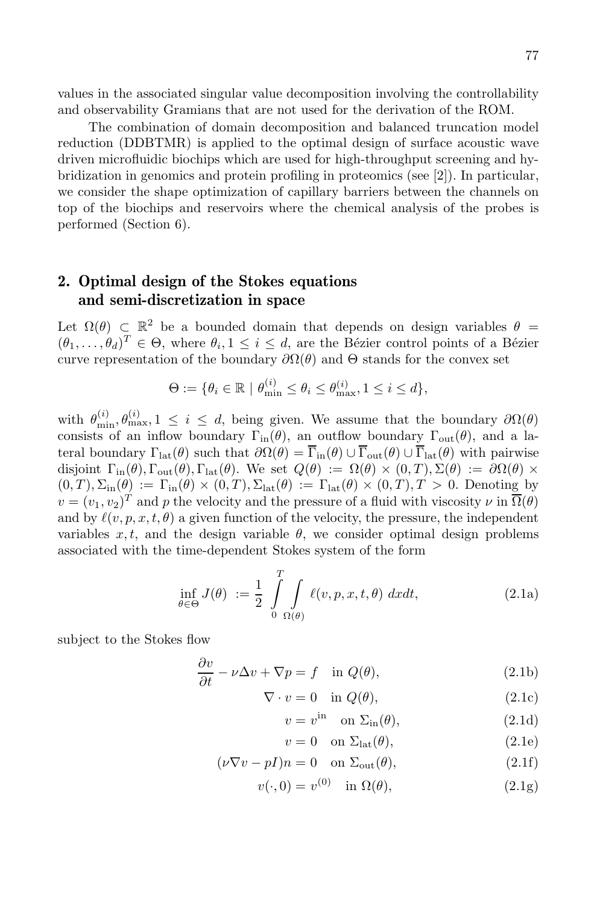$\footnotesize$  values in the associated singular value decomposition involving the controllability and observability Gramians that are not used for the derivation of the ROM. The combination of domain decomposition and balanced t

and observability Gramians that are not used for the derivation of the ROM.<br>The combination of domain decomposition and balanced truncation model<br>reduction (DDBTMR) is applied to the optimal design of surface acoustic wave reduction (DDBTMR) is applied to the optimal design of surface acoustic wave tion (DDBTMR) is applied to the optimal design of surface acoustic wave<br>n microfluidic biochips which are used for high-throughput screening and hy-<br>zation in genomics and protein profiling in proteomics (see [2]). In part driven microfluidic biochips which are used for high-throughput screening and hy-<br>bridization in genomics and protein profiling in proteomics (see [2]). In particular,<br>we consider the shape optimization of capillary barrie bridization in genomics and protein profiling in proteomics (see [2]). In particular, we consider the shape optimization of capillary barriers between the channels on top of the biochips and reservoirs where the chemical we consider the shape optimization of capillary barriers between the channels on top of the biochips and reservoirs where the chemical analysis of the probes is performed (Section 6). top of the biochips and reservoirs where the chemical analysis of the probes is top of the biochips and reservoirs where the chemical analysis of the chemical analysis of the probes is open the probes in the probes in the probes in the probes is also analyzed on the probes in the probes in the probes

## performed (Section 6). **2. Optimal design of the Stokes equations and semi-discretization in space**

Let  $\Omega(\theta) \subset \mathbb{R}^2$  be a bounded domain that depends on design variables  $\theta = (\theta_1, ..., \theta_d)^T \in \Theta$ , where  $\theta_i, 1 \le i \le d$ , are the Bézier control points of a Bézier curve representation of the boundary  $\partial \Omega(\theta)$  and  $\Theta$  stan Let  $\Omega(\theta) \subset \mathbb{R}^2$  be a bounded domain that depends on design variables  $\theta =$  $(\theta_1, ..., \theta_d)^T \in \Theta$ , where  $\theta_i, 1 \leq i \leq d$ , are the Bézier control points of a Bézier<br>curve representation of the boundary  $\partial \Omega(\theta)$  and  $\Theta$  stands for the convex set<br> $\Theta := \{ \theta_i \in \mathbb{R} \mid \theta_{\min}^{(i)} \leq \theta_i \leq \theta_{\max}^{(i)}, 1 \leq i$  $T \in \Theta$ , where  $\theta_i$ ,

$$
\Theta := \{ \theta_i \in \mathbb{R} \mid \theta_{\min}^{(i)} \le \theta_i \le \theta_{\max}^{(i)}, 1 \le i \le d \},\
$$

curve representation of the boundary  $\partial\Omega(\theta)$  and  $\Theta$  stands for the convex set<br>  $\Theta := \{ \theta_i \in \mathbb{R} \mid \theta_{\min}^{(i)} \leq \theta_i \leq \theta_{\max}^{(i)}, 1 \leq i \leq d \},$ <br>
with  $\theta_{\min}^{(i)}$ ,  $\theta_{\max}^{(i)}$ ,  $1 \leq i \leq d$ , being given. We assume that t  $\Theta := \{ \theta_i \in \mathbb{R} \mid \theta_{\min}^{(i)} \leq \theta_i \leq \theta_{\max}^{(i)}, 1 \leq i \leq d \},$ <br>  $\leq i \leq d$ , being given. We assume that the boundary  $\Gamma_{\text{in}}(\theta)$ , an outflow boundary  $\Gamma(\theta)$  such that  $\partial \Omega(\theta) = \overline{\Gamma}_{\text{in}}(\theta) \cup \overline{\Gamma}_{\text{out}}(\theta) \cup \overline{\Gamma}_{\text{in}}$ with  $\theta_{\text{mi}}^{(i)}$ <br>consists<br>teral bou<br>disjoint<br> $(0, T), \Sigma_i$  $\begin{array}{l} (n)_{\text{min}}, \theta_{\text{max}}^{(i)}, 1 \leq i \leq d, \text{ being given. We assume that the boundary } \partial\Omega(\theta) \text{ is of an inflow boundary } \Gamma_{\text{int}}(\theta), \text{ and a la-} \text{oundary } \Gamma_{\text{lat}}(\theta) \text{ such that } \partial\Omega(\theta) = \overline{\Gamma}_{\text{in}}(\theta) \cup \overline{\Gamma}_{\text{out}}(\theta) \cup \overline{\Gamma}_{\text{lat}}(\theta) \text{ with pairwise } \text{t } \Gamma_{\text{in}}(\theta), \Gamma_{\text{out}}(\theta), \Gamma_{\text{lat}}(\theta). \text{ We set } Q(\theta) := \$ consists of an inflow boundary  $\Gamma_{\text{in}}(\theta)$ , an outflow boundary  $\Gamma_{\text{out}}(\theta)$ , and a la-<br>teral boundary  $\Gamma_{\text{lat}}(\theta)$  such that  $\partial\Omega(\theta) = \overline{\Gamma}_{\text{in}}(\theta) \cup \overline{\Gamma}_{\text{out}}(\theta) \cup \overline{\Gamma}_{\text{lat}}(\theta)$  with pairwise<br>disjoint  $\Gamma_{\text{in}}(\theta$ teral boundary  $\Gamma_{\text{lat}}(\theta)$  such that  $\partial\Omega(\theta) = \Gamma_{\text{in}}(\theta) \cup \Gamma_{\text{out}}(\theta) \cup \Gamma_{\text{lat}}(\theta)$  with pairwise<br>disjoint  $\Gamma_{\text{in}}(\theta), \Gamma_{\text{out}}(\theta), \Gamma_{\text{lat}}(\theta)$ . We set  $Q(\theta) := \Omega(\theta) \times (0, T), \Sigma(\theta) := \partial\Omega(\theta) \times$ <br> $(0, T), \Sigma_{\text{in}}(\theta) := \Gamma_{\text{in}}(\theta) \times ($ disjoint  $\Gamma_{\text{in}}(\theta), \Gamma_{\text{out}}(\theta), \Gamma_{\text{lat}}(\theta)$ . We set  $Q(\theta) := \Omega(\theta) \times (0, T), \Sigma(\theta) := \partial \Omega(\theta) \times (0, T), \Sigma_{\text{in}}(\theta) := \Gamma_{\text{in}}(\theta) \times (0, T), \Sigma_{\text{lat}}(\theta) := \Gamma_{\text{lat}}(\theta) \times (0, T), T > 0$ . Denoting by  $v = (v_1, v_2)^T$  and p the velocity and the pressure  $(0, T), \Sigma_{\text{in}}(\theta) := \Gamma_{\text{in}}(\theta) \times (0, T), \Sigma_{\text{lat}}(\theta) := \Gamma_{\text{lat}}(\theta) \times (0, T), T > 0$ . Denoting by  $v = (v_1, v_2)^T$  and p the velocity and the pressure of a fluid with viscosity  $\nu$  in  $\overline{\Omega}(\theta)$  and by  $\ell(v, p, x, t, \theta)$  a given function  $v=(v_1,v_2)^T$ =  $(v_1, v_2)^T$  and p the velocity and the pressure of a fluid with viscosity  $\nu$  in  $\Omega(\theta)$ <br>and by  $\ell(v, p, x, t, \theta)$  a given function of the velocity, the pressure, the independent<br>viables  $x, t$ , and the design variable  $\theta$ and by  $\ell(v, p, x, t, \theta)$  a given function of the velocity, the pressure, the independent<br>variables  $x, t$ , and the design variable  $\theta$ , we consider optimal design problems<br>associated with the time-dependent Stokes system of variables  $x, t$ , and the design variable  $\theta$ , we consider optimal design problems<br>associated with the time-dependent Stokes system of the form<br> $\inf_{\theta \in \Theta} J(\theta) := \frac{1}{2} \int_{-\pi}^{\pi} \int_{-\pi}^{\pi} \ell(v, p, x, t, \theta) dx dt,$  (2.1a)

$$
\inf_{\theta \in \Theta} J(\theta) := \frac{1}{2} \int_{0}^{T} \int_{\Omega(\theta)} \ell(v, p, x, t, \theta) dx dt,
$$
\n(2.1a)

\nsubject to the Stokes flow

\n
$$
\frac{\partial v}{\partial u} = \nu \Delta v + \nabla v = f \quad \text{in } O(\theta)
$$
\n(2.1b)

subject to the Stokes flow

$$
\frac{\partial v}{\partial t} - \nu \Delta v + \nabla p = f \quad \text{in } Q(\theta), \tag{2.1b}
$$
\n
$$
\nabla \cdot v = 0 \quad \text{in } Q(\theta), \tag{2.1c}
$$
\n
$$
v = v^{\text{in}} \quad \text{on } \Sigma_{\text{in}}(\theta), \tag{2.1d}
$$
\n
$$
v = 0 \quad \text{on } \Sigma_{\text{in}}(\theta) \tag{2.1e}
$$

$$
\nabla \cdot v = 0 \quad \text{in } Q(\theta), \tag{2.1c}
$$

$$
v = 0 \text{ in } Q(\theta), \qquad (2.1c)
$$
  
\n
$$
v = v^{\text{in}} \text{ on } \Sigma_{\text{in}}(\theta), \qquad (2.1d)
$$
  
\n
$$
v = 0 \text{ on } \Sigma_{\text{lat}}(\theta), \qquad (2.1e)
$$
  
\n
$$
n = 0 \text{ on } \Sigma_{\text{out}}(\theta), \qquad (2.1f)
$$

$$
v = 0 \quad \text{on } \Sigma_{\text{lat}}(\theta), \tag{2.1e}
$$

$$
v = v^{\text{in}} \quad \text{on } \Sigma_{\text{in}}(\theta), \tag{2.1d}
$$
\n
$$
v = 0 \quad \text{on } \Sigma_{\text{lat}}(\theta), \tag{2.1e}
$$
\n
$$
(\nu \nabla v - pI)n = 0 \quad \text{on } \Sigma_{\text{out}}(\theta), \tag{2.1f}
$$
\n
$$
v(\cdot, 0) = v^{(0)} \quad \text{in } \Omega(\theta), \tag{2.1g}
$$

$$
v(\cdot,0) = v^{(0)} \quad \text{in } \Omega(\theta), \tag{2.1g}
$$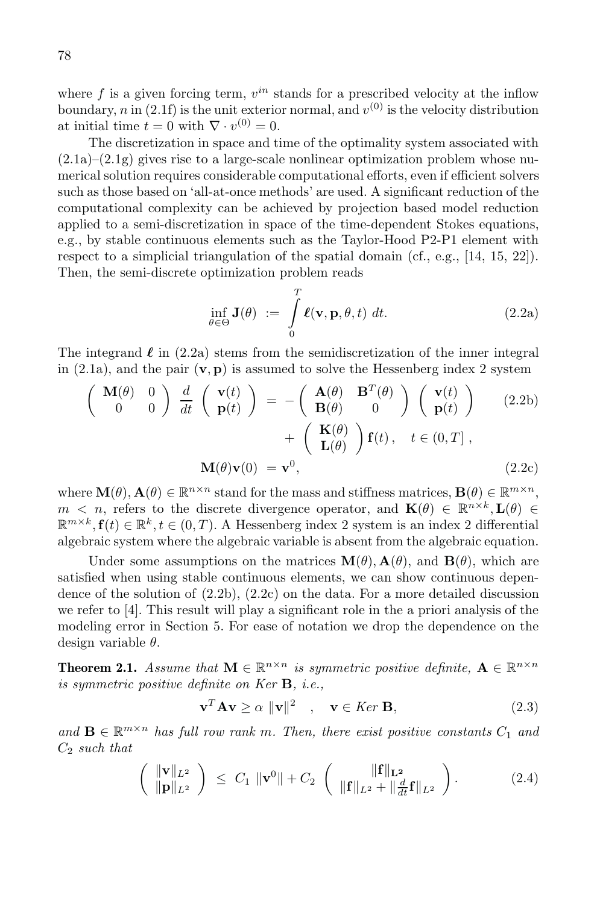wl<br>bo<br>at where f is a given forcing term,  $v^{in}$  stands for a prescribed velocity at the inflow<br>boundary, n in (2.1f) is the unit exterior normal, and  $v^{(0)}$  is the velocity distribution<br>at initial time  $t = 0$  with  $\nabla \cdot v^{(0)} = 0$ where f is a given forcing term,  $v^{in}$  stands for a prescribed velocity at the inflow at initial time  $t=0$  with  $\nabla \cdot v^{(0)}=0$ .

boundary, *n* in (2.1f) is the unit exterior normal, and  $v^{(0)}$  is the velocity distribution<br>at initial time  $t = 0$  with  $\nabla \cdot v^{(0)} = 0$ .<br>The discretization in space and time of the optimality system associated with<br>(2.1  $(-2.1g)$  gives rise to a large-scale nonlinear optimization problem whose nu-<br>al solution requires considerable computational efforts, even if efficient solvers<br>as those based on 'all-at-once methods' are used. A signific merical solution requires considerable computational efforts, even if efficient solvers such as those based on 'all-at-once methods' are used. A significant reduction of the computational complexity can be achieved by proj such as those based on 'all-at-once methods' are used. A significant reduction of the computational complexity can be achieved by projection based model reduction applied to a semi-discretization in space of the time-depen computational complexity can be achieved by projection based model reduction<br>applied to a semi-discretization in space of the time-dependent Stokes equations,<br>e.g., by stable continuous elements such as the Taylor-Hood P2applied to a semi-discretization in space of the time-dependent Stokes equations, e.g., by stable continuous elements such as the Taylor-Hood P2-P1 element with respect to a simplicial triangulation of the spatial domain (cf., e.g.,  $[14, 15, 22]$ ). Then, the semi-discrete optimization problem reads

$$
\inf_{\theta \in \Theta} \mathbf{J}(\theta) := \int_{0}^{T} \ell(\mathbf{v}, \mathbf{p}, \theta, t) dt.
$$
 (2.2a)  
The integrand  $\ell$  in (2.2a) stems from the semidiscretization of the inner integral  
in (2.1a), and the pair  $(\mathbf{v}, \mathbf{p})$  is assumed to solve the Hessenberg index 2 system

The integrand 
$$
\ell
$$
 in (2.2a) stems from the semidiscretization of the inner integral  
in (2.1a), and the pair  $(\mathbf{v}, \mathbf{p})$  is assumed to solve the Hessenberg index 2 system  

$$
\begin{pmatrix}\n\mathbf{M}(\theta) & 0 \\
0 & 0\n\end{pmatrix} \frac{d}{dt} \begin{pmatrix}\n\mathbf{v}(t) \\
\mathbf{p}(t)\n\end{pmatrix} = -\begin{pmatrix}\n\mathbf{A}(\theta) & \mathbf{B}^T(\theta) \\
\mathbf{B}(\theta) & 0\n\end{pmatrix} \begin{pmatrix}\n\mathbf{v}(t) \\
\mathbf{p}(t)\n\end{pmatrix} \qquad (2.2b)
$$

$$
+ \begin{pmatrix}\n\mathbf{K}(\theta) \\
\mathbf{L}(\theta)\n\end{pmatrix} \mathbf{f}(t), \quad t \in (0, T],
$$

$$
\mathbf{M}(\theta)\mathbf{v}(0) = \mathbf{v}^0, \qquad (2.2c)
$$
where  $\mathbf{M}(\theta), \mathbf{A}(\theta) \in \mathbb{R}^{n \times n}$  stand for the mass and stiffness matrices,  $\mathbf{B}(\theta) \in \mathbb{R}^{m \times n}$ ,  
 $m < n$ , refers to the discrete divergence operator, and  $\mathbf{K}(\theta) \in \mathbb{R}^{n \times k}$ ,  $\mathbf{L}(\theta) \in \mathbb{R}^{n \times n}$ 

 $(\theta) \mathbf{v}(0) = \mathbf{v}^0$ , (2.2c)<br>stand for the mass and stiffness matrices,  $\mathbf{B}(\theta) \in \mathbb{R}^{m \times n}$ ,<br>crete divergence operator, and  $\mathbf{K}(\theta) \in \mathbb{R}^{n \times k}$ ,  $\mathbf{L}(\theta) \in$ <br>A Hessenberg index 2 system is an index 2 differ where  $\mathbf{M}(\theta)$ ,  $\mathbf{A}(\theta) \in \mathbb{R}^{n \times n}$  stand for the mass and stiffness matrices,  $\mathbf{B}(\theta) \in \mathbb{R}$ <br>  $m < n$ , refers to the discrete divergence operator, and  $\mathbf{K}(\theta) \in \mathbb{R}^{n \times k}$ ,  $\mathbf{L}(\mathbb{R}^{m \times k}, \mathbf{f}(t) \in \$  $^{n\times n}$  stand for the mass and stiffness matrices,  $\mathbf{B}(\theta) \in \mathbb{R}^{m\times n}$ ,  $m \leq n$ , refers to the discrete divergence operator, and  $\mathbf{K}(\theta) \in \mathbb{R}^{n \times k}$ , L refers to the discrete divergence operator, and  $\mathbf{K}(\theta) \in \mathbb{R}^{n \times k}$ ,  $\mathbf{L}(\theta) \in$ <br>  $\vdots$   $\in \mathbb{R}^k$ ,  $t \in (0, T)$ . A Hessenberg index 2 system is an index 2 differential<br>
system where the algebraic variable is abse  $\mathbb{R}^{m \times k}, \mathbf{f}(t) \in \mathbb{R}^k, t \in$ 

 $(t) \in \mathbb{R}^k$ ,  $t \in (0, T)$ . A Hessenberg index 2 system is an index 2 differential c system where the algebraic variable is absent from the algebraic equation.<br>der some assumptions on the matrices  $\mathbf{M}(\theta)$ ,  $\mathbf{A}(\theta)$ Under some assumptions on the matrices  $\mathbf{M}(\theta)$ ,  $\mathbf{A}(\theta)$ , and  $\mathbf{B}(\theta)$ , which are satisfied when using stable continuous elements, we can show continuous dependence of the solution of (2.2b), (2.2c) on the data. Under some assumptions on the matrices  $\mathbf{M}(\theta)$ ,  $\mathbf{A}(\theta)$ , and  $\mathbf{B}(\theta)$ , which are<br>ied when using stable continuous elements, we can show continuous depen-<br>e of the solution of (2.2b), (2.2c) on the data. For a m dence of the solution of (2.2b), (2.2c) on the data. For a more detailed discussion we refer to [4]. This result will play a significant role in the a priori analysis of the modeling error in Section 5. For ease of notati we refer to [4]. This result will play a significant role in the a priori analysis of the modeling error in Section 5. For ease of notation we drop the dependence on the design variable  $\theta$ . modeling error in Section 5. For ease of notation we drop the dependence on the design variable  $\theta$ .<br>Theorem 2.1. Assume that  $\mathbf{M} \in \mathbb{R}^{n \times n}$  is symmetric positive definite,  $\mathbf{A} \in \mathbb{R}^{n \times n}$ 

design variable  $\theta$ .<br> **Theorem 2.1.** Assume that  $\mathbf{M} \in \mathbb{R}^{n \times n}$  is symmetric positive definite,  $\mathbf{A} \in \mathbb{R}^{n \times n}$ <br>
is symmetric positive definite on Ker **B**, i.e.,<br>  $\mathbf{v}^T \mathbf{A} \mathbf{v} \ge \alpha \|\mathbf{v}\|^2$ ,  $\mathbf{$ **Theorem 2.1.** Assume that  $\mathbf{M} \in \mathbb{R}^{n \times n}$  is symmetric positive definite,  $\mathbf{A} \in \mathbb{R}^{n \times n}$ is symmetric positive definite on Ker **B**, i.e.,

$$
\mathbf{v}^T \mathbf{A} \mathbf{v} \ge \alpha \, \|\mathbf{v}\|^2 \quad , \quad \mathbf{v} \in \text{Ker } \mathbf{B}, \tag{2.3}
$$

 $and$ <br>(2.4) and  $\mathbf{B} \in \mathbb{R}^{m \times n}$  has full row rank m. Then, there exist positive constants  $C_1$  and  $C_2$  such that

$$
\left(\begin{array}{c}\|\mathbf{v}\|_{L^{2}}\\ \|\mathbf{p}\|_{L^{2}}\end{array}\right) \leq C_{1} \|\mathbf{v}^{0}\| + C_{2} \left(\begin{array}{c}\|\mathbf{f}\|_{L^{2}}\\ \|\mathbf{f}\|_{L^{2}} + \|\frac{d}{dt}\mathbf{f}\|_{L^{2}}\end{array}\right). \tag{2.4}
$$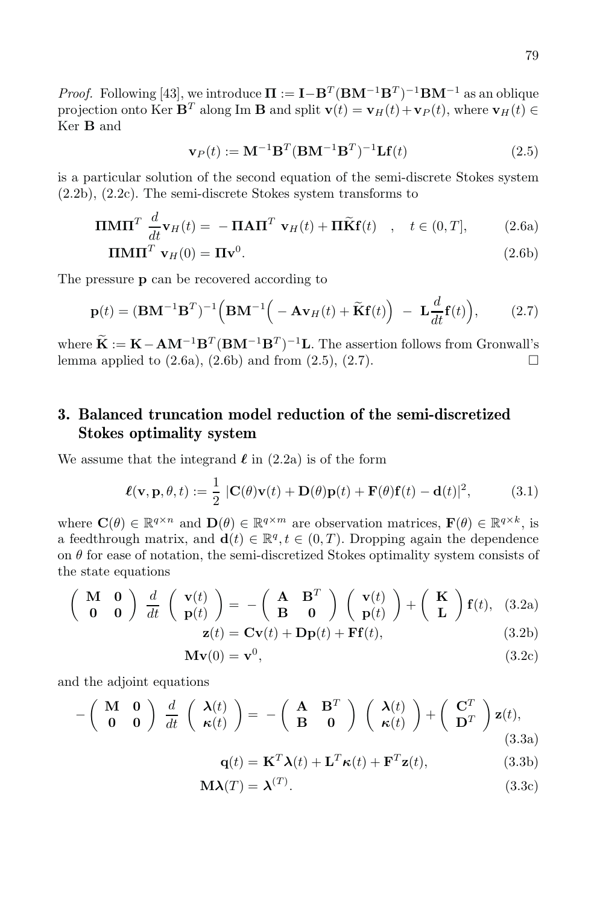$ue$ <br> $\in$ *Proof.* Following [43], we introduce  $\Pi := I - B^T(BM^{-1}B^T)^{-1}BM^{-1}$ Froof. Following [43], we introduce  $\Pi := \mathbf{I} - \mathbf{B}^T (\mathbf{B} \mathbf{M}^{-1} \mathbf{B}^T)^{-1} \mathbf{B} \mathbf{M}^{-1}$  as an oblique<br>projection onto Ker  $\mathbf{B}^T$  along Im  $\mathbf{B}$  and split  $\mathbf{v}(t) = \mathbf{v}_H(t) + \mathbf{v}_P(t)$ , where  $\mathbf{v}_H(t) \$  $\left( \begin{array}{c} 1 \ 0 \end{array} \right)$ 

$$
\mathbf{v}_P(t) := \mathbf{M}^{-1} \mathbf{B}^T (\mathbf{B} \mathbf{M}^{-1} \mathbf{B}^T)^{-1} \mathbf{L} \mathbf{f}(t)
$$
 (2.5)

Ker **B** and<br>is a particu<br>(2.2b), (2.2  $(t) := M^{-1}B^{T}(BM^{-1}B)$ <br>f the second equation of<br>liscrete Stokes system tr )<br>n<br>c (*t*) (2.5)<br>
mi-discrete Stokes system<br>
as to

(2.2b), (2.2c). The semi-discrete Stokes system transforms to  
\n
$$
\mathbf{\Pi} \mathbf{M} \mathbf{\Pi}^T \frac{d}{dt} \mathbf{v}_H(t) = -\mathbf{\Pi} \mathbf{A} \mathbf{\Pi}^T \mathbf{v}_H(t) + \mathbf{\Pi} \widetilde{\mathbf{K}} \mathbf{f}(t) , \quad t \in (0, T],
$$
\n(2.6a)  
\n
$$
\mathbf{\Pi} \mathbf{M} \mathbf{\Pi}^T \mathbf{v}_H(0) = \mathbf{\Pi} \mathbf{v}^0.
$$
\n(2.6b)  
\nThe pressure **p** can be recovered according to

$$
\mathbf{\Pi} \mathbf{M} \mathbf{\Pi}^T \mathbf{v}_H(0) = \mathbf{\Pi} \mathbf{v}^0. \tag{2.6b}
$$

The pressure **p** can be recovered according to

The pressure **p** can be recovered according to  
\n
$$
\mathbf{p}(t) = (\mathbf{B}\mathbf{M}^{-1}\mathbf{B}^T)^{-1} \Big( \mathbf{B}\mathbf{M}^{-1} \Big( -\mathbf{A}\mathbf{v}_H(t) + \widetilde{\mathbf{K}}\mathbf{f}(t) \Big) - \mathbf{L} \frac{d}{dt} \mathbf{f}(t) \Big), \qquad (2.7)
$$
\nwhere  $\widetilde{\mathbf{K}} := \mathbf{K} - \mathbf{A}\mathbf{M}^{-1} \mathbf{B}^T (\mathbf{B}\mathbf{M}^{-1} \mathbf{B}^T)^{-1} \mathbf{L}$ . The assertion follows from Gronwall's

 $(\vec{t}) = (\mathbf{BM}^{-1} \mathbf{B}^T)^{-1} (\mathbf{BM}^{-1} (-\mathbf{A} \mathbf{v}_H(t) + \mathbf{K} \mathbf{f}(t)) - \mathbf{L}_{\frac{\alpha}{dt}}^{\frac{\alpha}{dt}} \mathbf{f}(t)),$  (2.7)<br>  $\tilde{\mathbf{K}} := \mathbf{K} - \mathbf{AM}^{-1} \mathbf{B}^T (\mathbf{BM}^{-1} \mathbf{B}^T)^{-1} \mathbf{L}.$  The assertion follows from Gronwall's<br>
applied to /<br>|<br>|, where  $\mathbf{K} := \mathbf{K} - \mathbf{A}\mathbf{M}^{-1}\mathbf{B}^T(\mathbf{B}\mathbf{M}^{-1}\mathbf{B}^T)$ <br>lemma applied to (2.6a), (2.6b) and f )<br>  $\frac{1}{2}$ −<sup>1</sup>**L**

# **1** alternation follows from (2.5), (2.7). □<br> **3. Balanced truncation model reduction of the semi-discretized Stokes optimality system**

We assume that the integrand 
$$
\ell
$$
 in (2.2a) is of the form  
\n
$$
\ell(\mathbf{v}, \mathbf{p}, \theta, t) := \frac{1}{2} |\mathbf{C}(\theta)\mathbf{v}(t) + \mathbf{D}(\theta)\mathbf{p}(t) + \mathbf{F}(\theta)\mathbf{f}(t) - \mathbf{d}(t)|^2, \qquad (3.1)
$$
\nwhere  $\mathbf{C}(\theta) \in \mathbb{R}^{q \times n}$  and  $\mathbf{D}(\theta) \in \mathbb{R}^{q \times m}$  are observation matrices,  $\mathbf{F}(\theta) \in \mathbb{R}^{q \times k}$ , is

 $(\mathbf{v}, \mathbf{p}, \theta, t) := \frac{1}{2} |\mathbf{C}(\theta)\mathbf{v}(t) + \mathbf{D}(\theta)\mathbf{p}(t) + \mathbf{F}(\theta)\mathbf{f}(t) - \mathbf{d}(t)|^2$ , (3.1)<br>  $\in \mathbb{R}^{q \times n}$  and  $\mathbf{D}(\theta) \in \mathbb{R}^{q \times m}$  are observation matrices,  $\mathbf{F}(\theta) \in \mathbb{R}^{q \times k}$ , is<br>
h matrix, and  $\mathbf{d$  $\frac{1}{2}$ <br>  $\frac{1}{1}$ )<br>|<br>h where  $\mathbf{C}(\theta) \in \mathbb{R}^{q \times n}$  and  $\mathbf{D}(\theta) \in \mathbb{R}^{q \times m}$  are observation matrices,  $\mathbf{F}(\theta) \in \mathbb{R}$ <br>a feedthrough matrix, and  $\mathbf{d}(t) \in \mathbb{R}^q$ ,  $t \in (0, T)$ . Dropping again the depetion  $\theta$  for ease of notation  $^{q\times n}$  and  $\mathbf{D}(\theta) \in \mathbb{R}^{q\times m}$  are observation matrices,  $\mathbf{F}(\theta) \in \mathbb{R}^{q\times k}$ , e<br>of a feedthrough matrix, and **d**(*t*)  $\in \mathbb{R}^q$ , *t*  $\in (0, T)$ . Dropping again the dependence<br>on  $\theta$  for ease of notation, the semi-discretized Stokes optimality system consists of<br>the state equations<br> $\begin{pmatrix} \mathbf{M} & \mathbf{0$  $\mathcal{F}^q, t \in$ 

on 
$$
\theta
$$
 for ease of notation, the semi-discretized Stokes optimality system consists of  
the state equations  

$$
\begin{pmatrix} \mathbf{M} & \mathbf{0} \\ \mathbf{0} & \mathbf{0} \end{pmatrix} \frac{d}{dt} \begin{pmatrix} \mathbf{v}(t) \\ \mathbf{p}(t) \end{pmatrix} = -\begin{pmatrix} \mathbf{A} & \mathbf{B}^T \\ \mathbf{B} & \mathbf{0} \end{pmatrix} \begin{pmatrix} \mathbf{v}(t) \\ \mathbf{p}(t) \end{pmatrix} + \begin{pmatrix} \mathbf{K} \\ \mathbf{L} \end{pmatrix} \mathbf{f}(t), \quad (3.2a)
$$

$$
\mathbf{z}(t) = \mathbf{C}\mathbf{v}(t) + \mathbf{D}\mathbf{p}(t) + \mathbf{F}\mathbf{f}(t), \quad (3.2b)
$$
 
$$
\mathbf{M}\mathbf{v}(0) = \mathbf{v}^0,
$$
 (3.2c)

$$
\mathbf{z}(t) = \mathbf{C}\mathbf{v}(t) + \mathbf{D}\mathbf{p}(t) + \mathbf{F}\mathbf{f}(t),
$$
(3.2b)  

$$
\mathbf{M}\mathbf{v}(0) = \mathbf{v}^0,
$$
(3.2c)  
itions  

$$
\mathbf{v}(0) = \mathbf{v}^0 + \mathbf{D}^T \mathbf{v} + \mathbf{C}\mathbf{v}(0) + \mathbf{C}\mathbf{v}^T
$$

and the adjoint equations

$$
\mathbf{M}\mathbf{v}(0) = \mathbf{v}^{0},
$$
(3.2c)  
and the adjoint equations  

$$
-\begin{pmatrix} \mathbf{M} & \mathbf{0} \\ \mathbf{0} & \mathbf{0} \end{pmatrix} \frac{d}{dt} \begin{pmatrix} \lambda(t) \\ \kappa(t) \end{pmatrix} = -\begin{pmatrix} \mathbf{A} & \mathbf{B}^{T} \\ \mathbf{B} & \mathbf{0} \end{pmatrix} \begin{pmatrix} \lambda(t) \\ \kappa(t) \end{pmatrix} + \begin{pmatrix} \mathbf{C}^{T} \\ \mathbf{D}^{T} \end{pmatrix} \mathbf{z}(t),
$$
(3.3a)  

$$
\mathbf{q}(t) = \mathbf{K}^{T}\lambda(t) + \mathbf{L}^{T}\kappa(t) + \mathbf{F}^{T}\mathbf{z}(t),
$$
(3.3b)  

$$
\mathbf{M}\lambda(T) = \lambda^{(T)}.
$$
(3.3c)

$$
\mathbf{q}(t) = \mathbf{K}^T \boldsymbol{\lambda}(t) + \mathbf{L}^T \boldsymbol{\kappa}(t) + \mathbf{F}^T \mathbf{z}(t),
$$
\n(3.3b)\n  
\n
$$
\boldsymbol{\lambda}(T) = \boldsymbol{\lambda}^{(T)}.
$$
\n(3.3c)

$$
\mathbf{M}\boldsymbol{\lambda}(T) = \boldsymbol{\lambda}^{(T)}.
$$
\n(3.3c)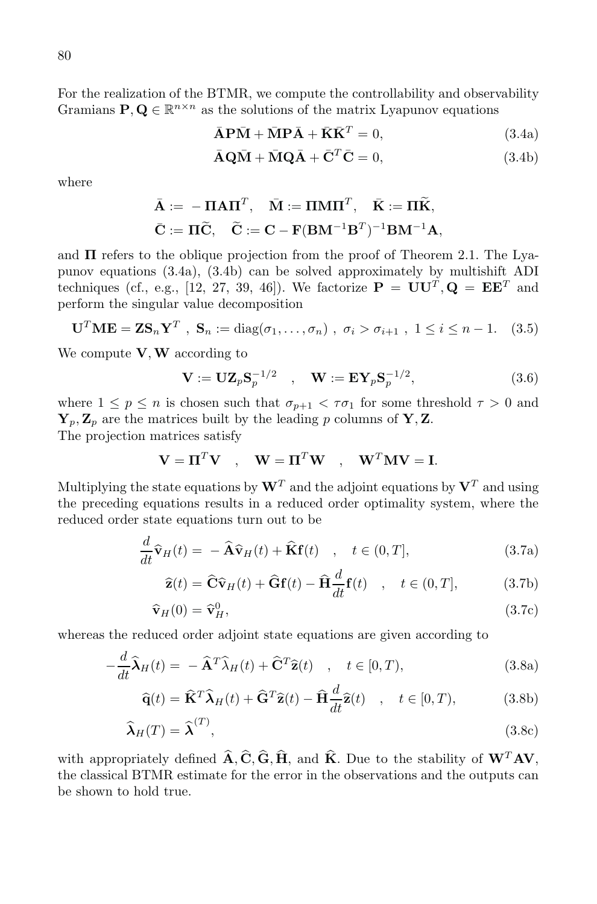Fo<br>Gı Gramians **P**, **Q** ∈ ℝ<sup>*n*×*n*</sup> as the solutions of the matrix Lyapunov equations<br>  $\overline{\mathbf{A}}\mathbf{P}\overline{\mathbf{M}} + \overline{\mathbf{M}}\mathbf{P}\overline{\mathbf{A}} + \overline{\mathbf{K}}\overline{\mathbf{K}}^T = 0,$  (3.4a)<br>  $\overline{\mathbf{A}}\mathbf{Q}\overline{\mathbf{M}} + \overline{\mathbf{M}}\mathbf{Q}\overline{\mathbf{A}} + \overline{\mathbf{$ 

$$
\bar{\mathbf{A}}\mathbf{P}\bar{\mathbf{M}} + \bar{\mathbf{M}}\mathbf{P}\bar{\mathbf{A}} + \bar{\mathbf{K}}\bar{\mathbf{K}}^T = 0, \qquad (3.4a)
$$

$$
\overline{A}P\overline{M} + \overline{M}P\overline{A} + \overline{K}\overline{K}^{T} = 0,
$$
\n(3.4a)  
\n
$$
\overline{A}Q\overline{M} + \overline{M}Q\overline{A} + \overline{C}^{T}\overline{C} = 0,
$$
\n(3.4b)  
\n
$$
\overline{H}A\overline{H}^{T} = \overline{M} + \overline{M}M\overline{H}^{T} = \overline{K} + \overline{H}\widetilde{K}
$$

$$
\overline{\mathbf{A}}\mathbf{Q}\mathbf{M} + \mathbf{M}\mathbf{Q}\mathbf{A} + \overline{\mathbf{C}}^T\overline{\mathbf{C}} = 0,
$$
 (3.4b)  

$$
\overline{\mathbf{A}} := -\overline{\mathbf{I}}\mathbf{A}\mathbf{H}^T, \quad \overline{\mathbf{M}} := \overline{\mathbf{I}}\mathbf{M}\mathbf{H}^T, \quad \overline{\mathbf{K}} := \overline{\mathbf{I}}\widetilde{\mathbf{K}},
$$

$$
\overline{\mathbf{C}} := \overline{\mathbf{H}}\widetilde{\mathbf{C}}, \quad \widetilde{\mathbf{C}} := \mathbf{C} - \mathbf{F}(\mathbf{B}\mathbf{M}^{-1}\mathbf{B}^T)^{-1}\mathbf{B}\mathbf{M}^{-1}\mathbf{A},
$$
the oblique projection from the proof of Theorem 2.1. The Lya-  
s (3.4a), (3.4b) can be solved approximately by multishift ADI

 $\frac{1}{2}$  $\overline{\mathbf{C}} := \mathbf{\Pi}\mathbf{C}$ ,  $\mathbf{C} := \mathbf{C} - \mathbf{F}(\mathbf{B}\mathbf{M}^{-1}\mathbf{B})$ <br>the oblique projection from the proposition from the proposition (3.4a), (3.4b) can be solved app<br>e.g., [12, 27, 39, 46]). We factorize )<br>0<br>! and **Π** refers to the oblique projection from the proof of Theorem 2.1. The Lya-<br>punov equations (3.4a), (3.4b) can be solved approximately by multishift ADI<br>techniques (cf., e.g., [12, 27, 39, 46]). We factorize  $\mathbf{P} =$ itechniques (cf., e.g., [12, 27, 39, 46]). We factorize  $\mathbf{P} = \mathbf{UU}^T$ ,  $\mathbf{Q} = \mathbf{EE}^T$  and<br>perform the singular value decomposition<br> $\mathbf{U}^T \mathbf{ME} = \mathbf{Z} \mathbf{S}_n \mathbf{Y}^T$ ,  $\mathbf{S}_n := \text{diag}(\sigma_1, \dots, \sigma_n)$ ,  $\sigma_i > \sigma_{i+1}$ ,

$$
\mathbf{U}^T \mathbf{M} \mathbf{E} = \mathbf{Z} \mathbf{S}_n \mathbf{Y}^T, \ \mathbf{S}_n := \text{diag}(\sigma_1, \dots, \sigma_n), \ \sigma_i > \sigma_{i+1}, \ 1 \le i \le n-1. \tag{3.5}
$$
  
We compute  $\mathbf{V}, \mathbf{W}$  according to  

$$
\mathbf{V} := \mathbf{U} \mathbf{Z}_p \mathbf{S}_p^{-1/2}, \qquad \mathbf{W} := \mathbf{E} \mathbf{Y}_p \mathbf{S}_p^{-1/2}, \tag{3.6}
$$

$$
\mathbf{S}_n := \text{diag}(\sigma_1, \dots, \sigma_n), \ \sigma_i > \sigma_{i+1}, \ 1 \leq i \leq n-1. \tag{3.5}
$$
\naccording to

\n
$$
\mathbf{V} := \mathbf{U}\mathbf{Z}_p \mathbf{S}_p^{-1/2}, \qquad \mathbf{W} := \mathbf{E}\mathbf{Y}_p \mathbf{S}_p^{-1/2}, \tag{3.6}
$$

We compute **V**, **W** according to<br>  $\mathbf{V} := \mathbf{U}\mathbf{Z}_p\mathbf{S}$ <br>
where  $1 \leq p \leq n$  is chosen such<br>  $\mathbf{Y}_p, \mathbf{Z}_p$  are the matrices built by :=  $UZ_pS_p^{-1/2}$ ,  $W := EY_pS$ <br>
ssen such that  $\sigma_{p+1} < \tau \sigma_1$  for s<br>
built by the leading p columns<br>
s satisfy  $\left( \begin{array}{c} 0 \\ 0 \end{array} \right)$  and where  $1 \le p \le n$  is chosen such that  $\sigma_{p+1} < \tau \sigma_1$  for some threshold  $\tau > 0$  and  $\mathbf{Y}_p, \mathbf{Z}_p$  are the matrices built by the leading  $p$  columns of  $\mathbf{Y}, \mathbf{Z}$ .<br>The projection matrices satisfy<br> $\mathbf{V} = \mathbf{\Pi}^T \math$  $\mathbf{Y}_p, \mathbf{Z}_p$ are the matrices built by the leading  $p$  columns of  $\mathbf{Y}, \mathbf{Z}$ .<br>
bjection matrices satisfy  $\mathbf{V} = \boldsymbol{\Pi}^T \mathbf{V}$  ,  $\mathbf{W} = \boldsymbol{\Pi}^T \mathbf{W}$  ,  $\mathbf{W}^T \mathbf{M} \mathbf{V} = \mathbf{I}$ <br>
ving the state equations by  $\mathbf{W}^T$  and

$$
\mathbf{V} = \mathbf{\Pi}^T \mathbf{V} \quad , \quad \mathbf{W} = \mathbf{\Pi}^T \mathbf{W} \quad , \quad \mathbf{W}^T \mathbf{M} \mathbf{V} = \mathbf{I}.
$$

 $\mathbf{V} = \mathbf{\Pi}^T \mathbf{V}$ ,<br>Multiplying the state equations<br>the preceding equations results  $= \mathbf{\Pi}^T \mathbf{V}$ ,  $\mathbf{W} = \mathbf{\Pi}^T \mathbf{W}$ ,  $\mathbf{W}^T \mathbf{M} \mathbf{V} = \mathbf{I}$ .<br>
e equations by  $\mathbf{W}^T$  and the adjoint equations<br>
sions results in a reduced order optimality s,<br>
equations turn out to be the preceding equations results in a reduced order optimality system, where the reduced order state equations turn out to be

$$
\frac{d}{dt}\hat{\mathbf{v}}_H(t) = -\hat{\mathbf{A}}\hat{\mathbf{v}}_H(t) + \hat{\mathbf{K}}\mathbf{f}(t) , \quad t \in (0, T],
$$
\n(3.7a)\n
$$
\hat{\mathbf{z}}(t) = \hat{\mathbf{C}}\hat{\mathbf{v}}_H(t) + \hat{\mathbf{G}}\mathbf{f}(t) - \hat{\mathbf{H}}\frac{d}{dt}\mathbf{f}(t) , \quad t \in (0, T],
$$
\n(3.7b)

$$
\hat{\mathbf{z}}_H(t) = -\mathbf{A}\hat{\mathbf{v}}_H(t) + \mathbf{K}\mathbf{f}(t) , \quad t \in (0, T], \tag{3.7a}
$$
\n
$$
\hat{\mathbf{z}}(t) = \hat{\mathbf{C}}\hat{\mathbf{v}}_H(t) + \hat{\mathbf{G}}\mathbf{f}(t) - \hat{\mathbf{H}}\frac{d}{dt}\mathbf{f}(t) , \quad t \in (0, T], \tag{3.7b}
$$
\n
$$
\hat{\mathbf{v}}_H(0) = \hat{\mathbf{v}}_H^0, \tag{3.7c}
$$
\n
$$
\text{ced order adjoint state equations are given according to}
$$

$$
\widehat{\mathbf{v}}_H(0) = \widehat{\mathbf{v}}_H^0,\tag{3.7c}
$$

$$
\hat{\mathbf{v}}_H(0) = \hat{\mathbf{v}}_H^0,\tag{3.7c}
$$
\nwhereas the reduced order adjoint state equations are given according to\n
$$
-\frac{d}{dt}\hat{\boldsymbol{\lambda}}_H(t) = -\hat{\mathbf{A}}^T \hat{\boldsymbol{\lambda}}_H(t) + \hat{\mathbf{C}}^T \hat{\mathbf{z}}(t) \quad , \quad t \in [0, T),
$$
\n
$$
\hat{\mathbf{q}}(t) = \hat{\mathbf{K}}^T \hat{\boldsymbol{\lambda}}_H(t) + \hat{\mathbf{G}}^T \hat{\mathbf{z}}(t) - \hat{\mathbf{H}} \frac{d}{dt} \hat{\mathbf{z}}(t) \quad , \quad t \in [0, T),
$$
\n(3.8b)

$$
\hat{\mathbf{q}}_H(t) = -\hat{\mathbf{A}}^T \hat{\lambda}_H(t) + \hat{\mathbf{C}}^T \hat{\mathbf{z}}(t) , \quad t \in [0, T), \tag{3.8a}
$$
\n
$$
\hat{\mathbf{q}}(t) = \hat{\mathbf{K}}^T \hat{\lambda}_H(t) + \hat{\mathbf{G}}^T \hat{\mathbf{z}}(t) - \hat{\mathbf{H}} \frac{d}{dt} \hat{\mathbf{z}}(t) , \quad t \in [0, T), \tag{3.8b}
$$
\n
$$
H(T) = \hat{\lambda}^{(T)}, \tag{3.8c}
$$
\niately defined  $\hat{\mathbf{A}}, \hat{\mathbf{C}}, \hat{\mathbf{G}}, \hat{\mathbf{H}}, \text{ and } \hat{\mathbf{K}}$ . Due to the stability of  $\mathbf{W}^T \mathbf{A} \mathbf{V}$ ,

$$
\widehat{\lambda}_H(T) = \widehat{\lambda}^{(T)},\tag{3.8c}
$$

 $(T) = \lambda^{\check{ }}$  (3.8c)<br>tely defined  $\hat{A}, \hat{C}, \hat{G}, \hat{H}$ , and  $\hat{K}$ . Due to the stability of  $W^TAV$ ,<br>FMR estimate for the error in the observations and the outputs can<br>old true. the classical BTMR estimate for the error in the observations and the outputs can be shown to hold true.  $\frac{1}{\sqrt{1-\frac{1}{\sqrt{1-\frac{1}{\sqrt{1-\frac{1}{\sqrt{1-\frac{1}{\sqrt{1-\frac{1}{\sqrt{1-\frac{1}{\sqrt{1-\frac{1}{\sqrt{1-\frac{1}{\sqrt{1-\frac{1}{\sqrt{1-\frac{1}{\sqrt{1-\frac{1}{\sqrt{1-\frac{1}{\sqrt{1-\frac{1}{\sqrt{1-\frac{1}{\sqrt{1-\frac{1}{\sqrt{1-\frac{1}{\sqrt{1-\frac{1}{\sqrt{1-\frac{1}{\sqrt{1-\frac{1}{\sqrt{1-\frac{1}{\sqrt{1-\frac{1}{\sqrt{1-\frac{1}{\sqrt{1-\frac{1}{\sqrt{1-\frac{1$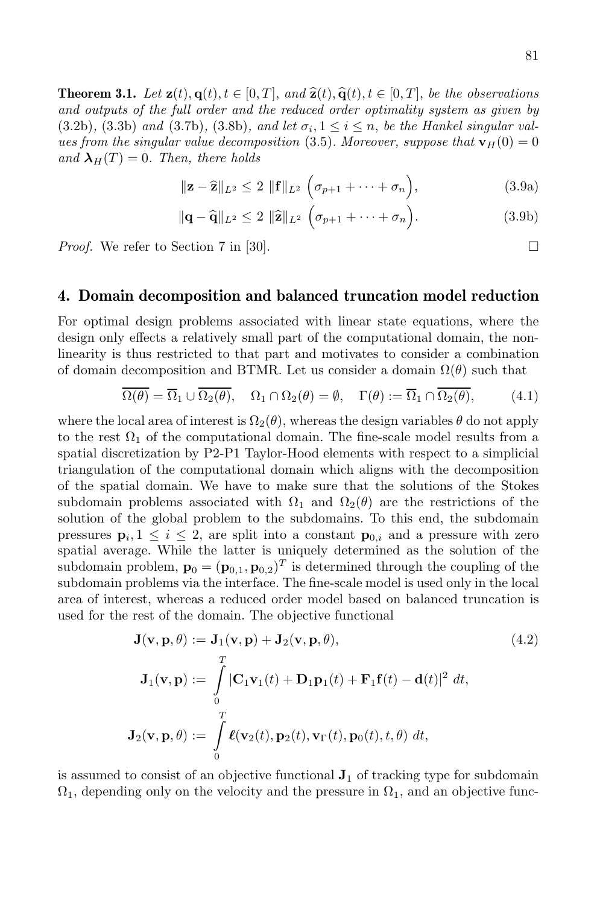**Theorem 3.1.** Let  $\mathbf{z}(t), \mathbf{q}(t), t \in [0, T]$ , and  $\hat{\mathbf{z}}(t), \hat{\mathbf{q}}(t), t \in [0, T]$ , be the observations and outputs of the full order and the reduced order optimality system as given by (3.3b) and (3.7b) (3.8b) and let **Theorem 3.1.** Let  $\mathbf{z}(t), \mathbf{q}(t), t \in [0, T]$ , and  $\hat{\mathbf{z}}(t), \hat{\mathbf{q}}(t), t \in [0, T]$ , be the observations (*t*), **q**(*t*), *t* ∈ [0, *T*], and  $\hat{\mathbf{z}}(t)$ ,  $\hat{\mathbf{q}}(t)$ ,  $t$  ∈ [0, *T*], be the observations full order and the reduced order optimality system as given by 3.7b), (3.8b), and let  $\sigma_i$ , 1 ≤ *i* ≤ *n*, be the Ha (3.2b), (3.3b) and (3.7b), (3.8b), and let  $\sigma_i$ ,  $1 \le i \le n$ , be the Hankel singular values from the singular value decomposition (3.5). Moreover, suppose that  $\mathbf{v}_H(0) = 0$  and  $\mathbf{\lambda}_H(T) = 0$ . Then, there holds<br> $\|\mathbf{z}$ , ues from the singular value decomposition (3.5). Moreover, suppose that **v**<sub>H</sub>(0) = 0<br>and  $\lambda$ <sub>H</sub>(T) = 0. Then, there holds<br> $||\mathbf{z} - \hat{\mathbf{z}}||_{L^2} \le 2 ||\mathbf{f}||_{L^2} \left( \sigma_{p+1} + \cdots + \sigma_n \right),$  (3.9a) and  $\lambda_H(T) = 0$ . Then, there holds<br> $||\mathbf{z} - \mathbf{\hat{z}}||_{L^2} \leq 2$ <br> $||\mathbf{q} - \mathbf{\hat{q}}||_{L^2} \leq 2$ 

$$
\|\mathbf{z} - \widehat{\mathbf{z}}\|_{L^2} \le 2 \|\mathbf{f}\|_{L^2} \left(\sigma_{p+1} + \dots + \sigma_n\right),\tag{3.9a}
$$

$$
\|\mathbf{z} - \hat{\mathbf{z}}\|_{L^2} \le 2 \|\mathbf{f}\|_{L^2} \left(\sigma_{p+1} + \dots + \sigma_n\right),\tag{3.9a}
$$
\n
$$
\|\mathbf{q} - \hat{\mathbf{q}}\|_{L^2} \le 2 \|\hat{\mathbf{z}}\|_{L^2} \left(\sigma_{p+1} + \dots + \sigma_n\right).
$$
\n
$$
\text{ection 7 in [30].}
$$
\n
$$
\Box
$$

*Proof.* We refer to Section 7 in [30].

### We refer to Section 7 in [30].  $\Box$ <br> **In ain decomposition and balanced truncation model reduction 4. Domain decomposition and balanced truncation model reduction**

For optimal design problems associated with linear state equations, where the design only effects a relatively small part of the computational domain, the nonlinearity is thus restricted to that part and motivates to consider a combination of domain decomposition and BTMR. Let us consider a domain  $\Omega(\theta)$  such that

$$
\overline{\Omega(\theta)} = \overline{\Omega}_1 \cup \overline{\Omega_2(\theta)}, \quad \Omega_1 \cap \Omega_2(\theta) = \emptyset, \quad \Gamma(\theta) := \overline{\Omega}_1 \cap \overline{\Omega_2(\theta)}, \tag{4.1}
$$

of domain decomposition and BTMR. Let us consider a domain  $\Omega(\theta)$  such that<br>  $\overline{\Omega(\theta)} = \overline{\Omega}_1 \cup \overline{\Omega}_2(\theta)$ ,  $\Omega_1 \cap \Omega_2(\theta) = \emptyset$ ,  $\Gamma(\theta) := \overline{\Omega}_1 \cap \overline{\Omega}_2(\theta)$ , (4.<br>
where the local area of interest is  $\Omega_2(\theta)$ , whereas t  $\Omega(\theta) = \Omega_1 \cup \Omega_2(\theta)$ ,  $\Omega_1 \cap \Omega_2(\theta) = \emptyset$ ,  $\Gamma(\theta) := \Omega_1 \cap \Omega_2(\theta)$ , (4.1)<br>ocal area of interest is  $\Omega_2(\theta)$ , whereas the design variables  $\theta$  do not apply<br> $\Omega_1$  of the computational domain. The fine-scale model results to the rest  $\Omega_1$  of the computational domain. The fine-scale model results from a spatial discretization by P2-P1 Taylor-Hood elements with respect to a simplicial triangulation of the computational domain which aligns to the rest  $\Omega_1$  of the computational domain. The fine-scale model results from a<br>spatial discretization by P2-P1 Taylor-Hood elements with respect to a simplicial<br>triangulation of the computational domain which aligns triangulation of the computational domain which aligns with the decomposition<br>of the spatial domain. We have to make sure that the solutions of the Stokes<br>subdomain problems associated with  $\Omega_1$  and  $\Omega_2(\theta)$  are the re of the spatial domain. We have to make sure that the solutions of the Stokes<br>subdomain problems associated with  $\Omega_1$  and  $\Omega_2(\theta)$  are the restrictions of the<br>solution of the global problem to the subdomains. To this en subdomain problems associated with  $\Omega_1$  and  $\Omega_2(\theta)$  are the restrictions of the solution of the global problem to the subdomains. To this end, the subdomain pressures  $\mathbf{p}_i, 1 \leq i \leq 2$ , are split into a constant subdomain problems associated with  $\Omega_1$  and  $\Omega_2(\theta)$  are the restrictions of the solution of the global problem to the subdomains. To this end, the subdomain pressures  $\mathbf{p}_i$ ,  $1 \leq i \leq 2$ , are split into a constant pressures  $\mathbf{p}_i, 1 \leq i \leq 2$ , are split into a constant  $\mathbf{p}_{0,i}$  and a pressure with zero spatial average. While the latter is uniquely determined as the solution of the subdomain problem,  $\mathbf{p}_0 = (\mathbf{p}_{0,1}, \mathbf{p}_{0$ pressures  $\mathbf{p}_i, 1 \leq i \leq 2$ , are split into a constant  $\mathbf{p}_{0,i}$  and a pressure with zero subdomain problem,  $\mathbf{p}_0 = (\mathbf{p}_{0,1}, \mathbf{p}_{0,2})^T$  is determined through the coupling of the subdomain problems via the interface. The fine-scale model is used only in the local area of interest, whereas a reduced order subdomain problem,  $\mathbf{p}_0 = (\mathbf{p}_{0,1}, \mathbf{p}_{0,2})^T$  is determined through the coupling of the subdomain problems via the interface. The fine-scale model is used only in the local area of interest, whereas a reduced order area of interest, whereas a reduced order model based on balanced truncation is used for the rest of the domain. The objective functional

$$
\mathbf{J}(\mathbf{v}, \mathbf{p}, \theta) := \mathbf{J}_1(\mathbf{v}, \mathbf{p}) + \mathbf{J}_2(\mathbf{v}, \mathbf{p}, \theta),
$$
(4.2)  

$$
\mathbf{J}_1(\mathbf{v}, \mathbf{p}) := \int_{0}^{T} |\mathbf{C}_1 \mathbf{v}_1(t) + \mathbf{D}_1 \mathbf{p}_1(t) + \mathbf{F}_1 \mathbf{f}(t) - \mathbf{d}(t)|^2 dt,
$$

$$
\mathbf{J}_2(\mathbf{v}, \mathbf{p}, \theta) := \int_{0}^{T} \ell(\mathbf{v}_2(t), \mathbf{p}_2(t), \mathbf{v}_\Gamma(t), \mathbf{p}_0(t), t, \theta) dt,
$$
is assumed to consist of an objective functional  $\mathbf{J}_1$  of tracking type for subdomain  $\Omega_1$ , depending only on the velocity and the pressure in  $\Omega_1$ , and an objective func-

is assumed to consist of an objective functional  $J_1$  of tracking type for subdomain  $\Omega_1$ , depending only on the velocity and the pressure in  $\Omega_1$ , and an objective func- $\Omega_{11}$ , depending only on the velocity and the pressure in  $\Omega_{11}$ , and an objective func-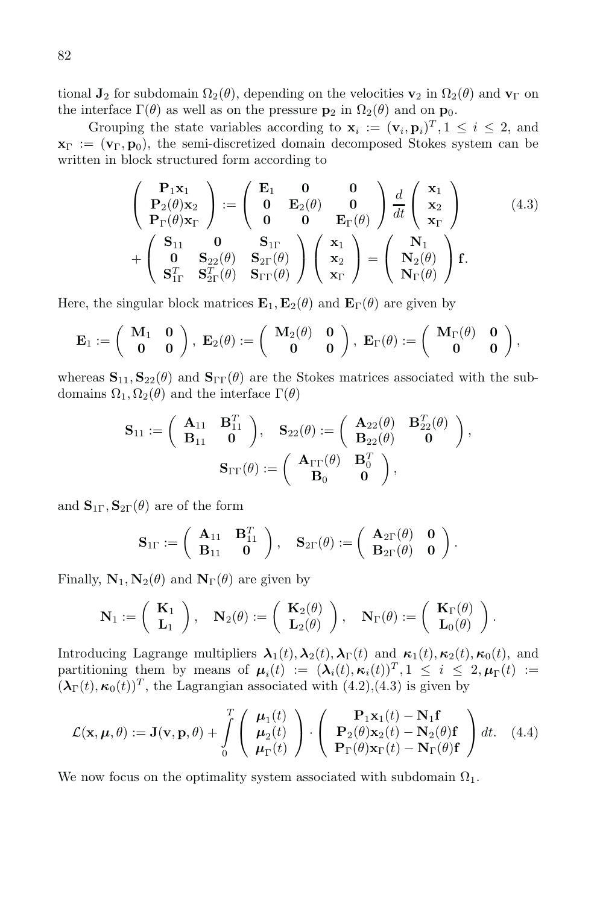82<br>tional  $J_2$  for subdomain  $\Omega_2(\theta)$ , depending on the velocities  $v_2$  in  $\Omega_2(\theta)$  and  $v_\Gamma$  on<br>the interface  $\Gamma(\theta)$  as well as on the pressure  $p_2$  in  $\Omega_2(\theta)$  and on  $p_0$ .

tional **J**<sub>2</sub> for subdomain  $\Omega_2(\theta)$ , depending on the velocities **v**<sub>2</sub> in  $\Omega_2(\theta)$  and **v**<sub>Γ</sub> on<br>the interface  $\Gamma(\theta)$  as well as on the pressure **p**<sub>2</sub> in  $\Omega_2(\theta)$  and on **p**<sub>0</sub>.<br>Grouping the state variables accordi the interface  $\Gamma(\theta)$  as well as on the pressure  $\mathbf{p}_2$  in  $\Omega_2(\theta)$  and on  $\mathbf{p}_0$ .<br>Grouping the state variables according to  $\mathbf{x}_i := (\mathbf{v}_i, \mathbf{p}_i)^T$ , 1<br> $\mathbf{x}_{\Gamma} := (\mathbf{v}_{\Gamma}, \mathbf{p}_0)$ , the semi-discretized domain d Grouping the state variables according to  $\mathbf{x}_i := (\mathbf{v}_i, \mathbf{p}_i)^T, 1 \le i \le 2$ , and<br>  $= (\mathbf{v}_\Gamma, \mathbf{p}_0)$ , the semi-discretized domain decomposed Stokes system can be<br>
en in block structured form according to<br>  $\begin{pmatrix} \mathbf{$  $, \mathbf{p}_i)^T,$  $\sum_{i=1}^{n}$ 

$$
\mathbf{x}_{\Gamma} := (\mathbf{v}_{\Gamma}, \mathbf{p}_{0}), \text{ the semi-discretized domain decomposed Stokes system can be written in block structured form according to}
$$
\n
$$
\begin{pmatrix}\n\mathbf{P}_{1}\mathbf{x}_{1} \\
\mathbf{P}_{2}(\theta)\mathbf{x}_{2} \\
\mathbf{P}_{\Gamma}(\theta)\mathbf{x}_{\Gamma}\n\end{pmatrix} := \begin{pmatrix}\n\mathbf{E}_{1} & \mathbf{0} & \mathbf{0} \\
\mathbf{0} & \mathbf{E}_{2}(\theta) & \mathbf{0} \\
\mathbf{0} & \mathbf{0} & \mathbf{E}_{\Gamma}(\theta)\n\end{pmatrix} \frac{d}{dt} \begin{pmatrix}\n\mathbf{x}_{1} \\
\mathbf{x}_{2} \\
\mathbf{x}_{\Gamma}\n\end{pmatrix}
$$
\n
$$
+ \begin{pmatrix}\n\mathbf{S}_{11} & \mathbf{0} & \mathbf{S}_{1\Gamma} \\
\mathbf{0} & \mathbf{S}_{22}(\theta) & \mathbf{S}_{2\Gamma}(\theta) \\
\mathbf{S}_{1\Gamma}^T & \mathbf{S}_{2\Gamma}^T(\theta) & \mathbf{S}_{\Gamma\Gamma}(\theta)\n\end{pmatrix} \begin{pmatrix}\n\mathbf{x}_{1} \\
\mathbf{x}_{2} \\
\mathbf{x}_{\Gamma}\n\end{pmatrix} = \begin{pmatrix}\n\mathbf{N}_{1} \\
\mathbf{N}_{2}(\theta) \\
\mathbf{N}_{\Gamma}(\theta)\n\end{pmatrix} \mathbf{f}.
$$
\nHere, the singular block matrices  $\mathbf{E}_{1}, \mathbf{E}_{2}(\theta)$  and  $\mathbf{E}_{\Gamma}(\theta)$  are given by\n
$$
\mathbf{E}_{1} := \begin{pmatrix}\n\mathbf{M}_{1} & \mathbf{0} \\
\mathbf{M}_{2} & \mathbf{0}\n\end{pmatrix}, \mathbf{E}_{2}(\theta) := \begin{pmatrix}\n\mathbf{M}_{2}(\theta) & \mathbf{0} \\
\mathbf{0} & \mathbf{0}\n\end{pmatrix}, \mathbf{E}_{\Gamma}(\theta) := \begin{pmatrix}\n\mathbf{M}_{\Gamma}(\theta) & \mathbf{0} \\
\mathbf{0} & \mathbf{0}\n\end{pmatrix},
$$

Here, the singular block matrices 
$$
\mathbf{E}_1
$$
,  $\mathbf{E}_2(\theta)$  and  $\mathbf{E}_{\Gamma}(\theta)$  are given by  
\n
$$
\mathbf{E}_1 := \begin{pmatrix} \mathbf{M}_1 & \mathbf{0} \\ \mathbf{0} & \mathbf{0} \end{pmatrix}, \ \mathbf{E}_2(\theta) := \begin{pmatrix} \mathbf{M}_2(\theta) & \mathbf{0} \\ \mathbf{0} & \mathbf{0} \end{pmatrix}, \ \mathbf{E}_{\Gamma}(\theta) := \begin{pmatrix} \mathbf{M}_{\Gamma}(\theta) & \mathbf{0} \\ \mathbf{0} & \mathbf{0} \end{pmatrix},
$$
\nwhereas  $\mathbf{S}_{11}$ ,  $\mathbf{S}_{22}(\theta)$  and  $\mathbf{S}_{\Gamma\Gamma}(\theta)$  are the Stokes matrices associated with the subdomains  $\Omega_1$ ,  $\Omega_2(\theta)$  and the interface  $\Gamma(\theta)$ 

whereas  $\mathbf{S}_{11}, \mathbf{S}_{22}(\theta)$  and  $\mathbf{S}_{\Gamma\Gamma}(\theta)$  are the Stokes matrices associated with the sub-<br>domains  $\Omega_1, \Omega_2(\theta)$  and the interface  $\Gamma(\theta)$ <br> $\mathbf{S}_{11} := \begin{pmatrix} \mathbf{A}_{11} & \mathbf{B}_{11}^T \ \mathbf{B}_{11} & \mathbf{0} \end{pmatrix}, \quad \mathbf{S}_{2$ domains  $\Omega_1, \Omega_2(\theta)$  and the interface  $\Gamma(\theta)$ 

$$
\mathbf{S}_{11} := \begin{pmatrix} \mathbf{A}_{11} & \mathbf{B}_{11}^T \\ \mathbf{B}_{11} & \mathbf{0} \end{pmatrix}, \quad \mathbf{S}_{22}(\theta) := \begin{pmatrix} \mathbf{A}_{22}(\theta) & \mathbf{B}_{22}^T(\theta) \\ \mathbf{B}_{22}(\theta) & \mathbf{0} \end{pmatrix},
$$

$$
\mathbf{S}_{\Gamma\Gamma}(\theta) := \begin{pmatrix} \mathbf{A}_{\Gamma\Gamma}(\theta) & \mathbf{B}_{0}^T \\ \mathbf{B}_{0} & \mathbf{0} \end{pmatrix},
$$

$$
_{2\Gamma}(\theta) \text{ are of the form}
$$

$$
\mathbf{S}_{\Gamma\Gamma}(\theta) = \begin{pmatrix} \mathbf{A}_{11} & \mathbf{B}_{11}^T \\ \mathbf{B}_{11} & \mathbf{B}_{12}^T \end{pmatrix}, \quad \mathbf{S}_{\Gamma}(\theta) = \begin{pmatrix} \mathbf{A}_{2\Gamma}(\theta) & \mathbf{0} \\ \mathbf{0} & \mathbf{0} \end{pmatrix}
$$

and  $\mathbf{S}_{1\Gamma}$ ,  $\mathbf{S}_{2\Gamma}(\theta)$  are of the form

$$
\mathbf{S}_{1\Gamma} := \begin{pmatrix} \mathbf{A}_{11} & \mathbf{B}_{11}^T \\ \mathbf{B}_{11} & \mathbf{0} \end{pmatrix}, \quad \mathbf{S}_{2\Gamma}(\theta) := \begin{pmatrix} \mathbf{A}_{2\Gamma}(\theta) & \mathbf{0} \\ \mathbf{B}_{2\Gamma}(\theta) & \mathbf{0} \end{pmatrix}.
$$
  
\n
$$
\mathbf{N}_2(\theta) \text{ and } \mathbf{N}_{\Gamma}(\theta) \text{ are given by}
$$

Finally, 
$$
\mathbf{N}_1
$$
,  $\mathbf{N}_2(\theta)$  and  $\mathbf{N}_{\Gamma}(\theta)$  are given by  
\n
$$
\mathbf{N}_1 := \begin{pmatrix} \mathbf{K}_1 \\ \mathbf{L}_1 \end{pmatrix}, \quad \mathbf{N}_2(\theta) := \begin{pmatrix} \mathbf{K}_2(\theta) \\ \mathbf{L}_2(\theta) \end{pmatrix}, \quad \mathbf{N}_{\Gamma}(\theta) := \begin{pmatrix} \mathbf{K}_{\Gamma}(\theta) \\ \mathbf{L}_0(\theta) \end{pmatrix}.
$$

 $\mathbf{N}_1 = \begin{pmatrix} \mathbf{K}_1 \ \mathbf{L}_1 \end{pmatrix}, \quad \mathbf{N}_2(\theta) := \begin{pmatrix} \mathbf{K}_2(\theta) \ \mathbf{L}_2(\theta) \end{pmatrix}$ <br>g Lagrange multipliers  $\boldsymbol{\lambda}_1(t), \boldsymbol{\lambda}_2(t)$ <br>g them by means of  $\boldsymbol{\mu}_i(t) := (t_i)^T$  the Lagrangian associated w  $\begin{array}{ll} \mathbf{N}_\Gamma(\theta) \ (\theta) \end{array} \biggr) \, , \quad \mathbf{N}_\Gamma(\theta) := \left( \begin{array}{ll} \mathbf{K}_\Gamma(\theta) \ \mathbf{L}_0(\theta) \end{array} \right) \ \mathbf{N}_2(t), \boldsymbol{\lambda}_\Gamma(t) \text{ and } \boldsymbol{\kappa}_1(t), \boldsymbol{\kappa}_2(t), \ \mathbf{L}_1(\lambda_i(t), \boldsymbol{\kappa}_i(t))^T, 1 \leq i \leq 1 \ \text{with } (4.2), (4.3) \text{ is given by} \end{array}$  $(\theta)$ <br>(t)<br> $\leq$ <br>by Introducing Lagrange multipliers  $\lambda_1(t), \lambda_2(t), \lambda_\Gamma(t)$  and  $\kappa_1(t), \kappa_2(t), \kappa_0(t)$ , and<br>partitioning them by means of  $\mu_i(t) := (\lambda_i(t), \kappa_i(t))^T, 1 \le i \le 2, \mu_\Gamma(t) := (\lambda_\Gamma(t), \kappa_0(t))^T$ , the Lagrangian associated with  $(4.2), (4.3)$  is giv

partitioning them by means of 
$$
\mu_i(t) := (\lambda_i(t), \kappa_i(t))^T
$$
,  $1 \le i \le 2$ ,  $\mu_{\Gamma}(t) := (\lambda_{\Gamma}(t), \kappa_0(t))^T$ , the Lagrangian associated with (4.2), (4.3) is given by  
\n
$$
\mathcal{L}(\mathbf{x}, \mu, \theta) := \mathbf{J}(\mathbf{v}, \mathbf{p}, \theta) + \int_0^T \begin{pmatrix} \mu_1(t) \\ \mu_2(t) \\ \mu_{\Gamma}(t) \end{pmatrix} \cdot \begin{pmatrix} \mathbf{P}_1 \mathbf{x}_1(t) - \mathbf{N}_1 \mathbf{f} \\ \mathbf{P}_2(\theta) \mathbf{x}_2(t) - \mathbf{N}_2(\theta) \mathbf{f} \\ \mathbf{P}_{\Gamma}(\theta) \mathbf{x}_{\Gamma}(t) - \mathbf{N}_{\Gamma}(\theta) \mathbf{f} \end{pmatrix} dt.
$$
 (4.4)  
\nWe now focus on the optimality system associated with subdomain  $\Omega_1$ .

We now focus on the optimality system associated with subdomain  $\Omega_1$ .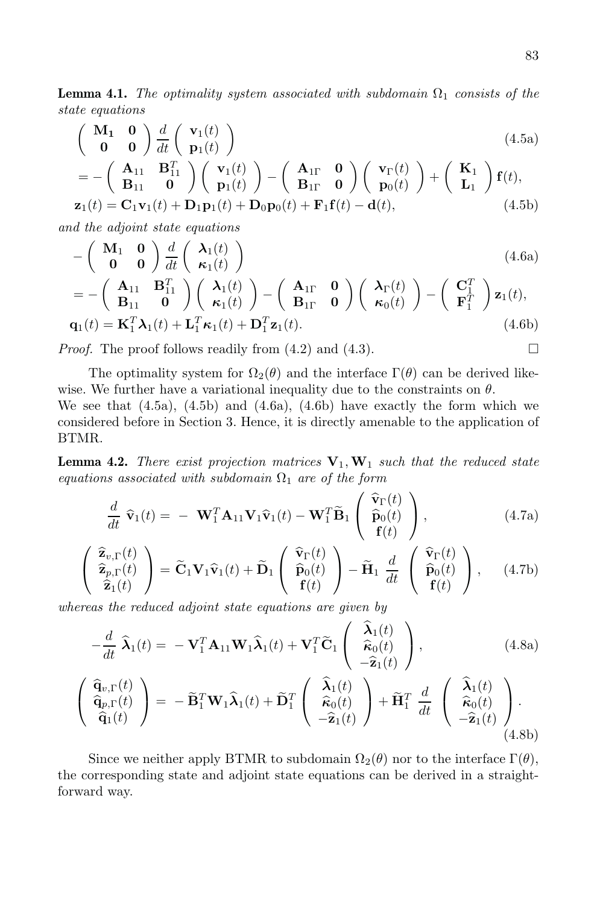$the$ state equations

**Lemma 4.1.** The optimality system associated with subdomain 
$$
\Omega_1
$$
 consists of the state equations\n
$$
\begin{pmatrix}\n\mathbf{M_1} & \mathbf{0} \\
\mathbf{0} & \mathbf{0}\n\end{pmatrix}\n\frac{d}{dt}\n\begin{pmatrix}\n\mathbf{v}_1(t) \\
\mathbf{p}_1(t)\n\end{pmatrix}
$$
\n(4.5a)

$$
\begin{pmatrix}\n\mathbf{M}_{1} & \mathbf{0} \\
\mathbf{0} & \mathbf{0}\n\end{pmatrix}\n\frac{d}{dt}\n\begin{pmatrix}\n\mathbf{v}_{1}(t) \\
\mathbf{p}_{1}(t)\n\end{pmatrix}\n= -\n\begin{pmatrix}\n\mathbf{A}_{11} & \mathbf{B}_{11}^{T} \\
\mathbf{B}_{11} & \mathbf{0}\n\end{pmatrix}\n\begin{pmatrix}\n\mathbf{v}_{1}(t) \\
\mathbf{p}_{1}(t)\n\end{pmatrix} -\n\begin{pmatrix}\n\mathbf{A}_{1\Gamma} & \mathbf{0} \\
\mathbf{B}_{1\Gamma} & \mathbf{0}\n\end{pmatrix}\n\begin{pmatrix}\n\mathbf{v}_{\Gamma}(t) \\
\mathbf{p}_{0}(t)\n\end{pmatrix} +\n\begin{pmatrix}\n\mathbf{K}_{1} \\
\mathbf{L}_{1}\n\end{pmatrix}\n\mathbf{f}(t),
$$
\n
$$
\mathbf{z}_{1}(t) = \mathbf{C}_{1}\mathbf{v}_{1}(t) + \mathbf{D}_{1}\mathbf{p}_{1}(t) + \mathbf{D}_{0}\mathbf{p}_{0}(t) + \mathbf{F}_{1}\mathbf{f}(t) - \mathbf{d}(t),
$$
\n(4.5b)\n*d the adjoint state equations*\n
$$
\begin{pmatrix}\n\mathbf{M}_{1} & \mathbf{0} \\
\mathbf{0} & \mathbf{0}\n\end{pmatrix}\n\begin{pmatrix}\n\mathbf{A}_{1}(t) \\
\mathbf{A}_{2}(t)\n\end{pmatrix}
$$
\n(4.6a)

and the adjoint state equations

$$
\mathbf{z}_{1}(t) = \mathbf{C}_{1}\mathbf{v}_{1}(t) + \mathbf{D}_{1}\mathbf{p}_{1}(t) + \mathbf{D}_{0}\mathbf{p}_{0}(t) + \mathbf{F}_{1}\mathbf{f}(t) - \mathbf{d}(t),
$$
\n(4.5b)\nd  
\n
$$
d \text{ the adjoint state equations}
$$
\n
$$
-\begin{pmatrix} \mathbf{M}_{1} & \mathbf{0} \\ \mathbf{0} & \mathbf{0} \end{pmatrix} \frac{d}{dt} \begin{pmatrix} \mathbf{\lambda}_{1}(t) \\ \mathbf{\kappa}_{1}(t) \end{pmatrix}
$$
\n(4.6a)

$$
-\left(\begin{array}{cc}\n\mathbf{M}_{1} & \mathbf{0} \\
\mathbf{0} & \mathbf{0}\n\end{array}\right)\frac{d}{dt}\left(\begin{array}{c}\n\mathbf{\lambda}_{1}(t) \\
\kappa_{1}(t)\n\end{array}\right)
$$
\n(4.6a)  
\n
$$
=-\left(\begin{array}{cc}\n\mathbf{A}_{11} & \mathbf{B}_{11}^{T} \\
\mathbf{B}_{11} & \mathbf{0}\n\end{array}\right)\left(\begin{array}{c}\n\mathbf{\lambda}_{1}(t) \\
\kappa_{1}(t)\n\end{array}\right)-\left(\begin{array}{cc}\n\mathbf{A}_{1\Gamma} & \mathbf{0} \\
\mathbf{B}_{1\Gamma} & \mathbf{0}\n\end{array}\right)\left(\begin{array}{c}\n\mathbf{\lambda}_{\Gamma}(t) \\
\kappa_{0}(t)\n\end{array}\right)-\left(\begin{array}{c}\n\mathbf{C}_{1}^{T} \\
\mathbf{F}_{1}^{T}\n\end{array}\right)\mathbf{z}_{1}(t),
$$
\n(4.6b)  
\n*notf.* The proof follows readily from (4.2) and (4.3).  
\nThe optimality system for O. (4) and the interface  $\Gamma(4)$  can be derived like

Proof.

 $(t) = \mathbf{K}_1^T \mathbf{\lambda}_1(t) + \mathbf{L}_1^T \boldsymbol{\kappa}_1(t) + \mathbf{D}_1^T$ <br>*f.* The proof follows readily fro<br>The optimality system for  $\Omega_2(t)$ . We further have a variational (4.6b)<br>
(4.2) and (4.3).  $\Box$ <br>
and the interface  $\Gamma(\theta)$  can be derived like-<br>
equality due to the constraints on  $\theta$ . The proof follows readily from (4.2) and (4.3). □<br>
he optimality system for  $\Omega_2(\theta)$  and the interface  $\Gamma(\theta)$  can be derived like-<br>  $\theta$  further have a variational inequality due to the constraints on  $\theta$ .<br>
that (4.5a)

The optimality system for  $\Omega_2(\theta)$  and the interface  $\Gamma(\theta)$  can be derived like-<br>We further have a variational inequality due to the constraints on  $\theta$ .<br>ee that (4.5a), (4.5b) and (4.6a), (4.6b) have exactly the form w wise. We further have a variational inequality due to the constraints on  $\theta$ .<br>We see that (4.5a), (4.5b) and (4.6a), (4.6b) have exactly the form wl<br>considered before in Section 3. Hence, it is directly amenable to the a considered before in Section 3. Hence, it is directly amenable to the application of<br>BTMR.<br>**Lemma 4.2.** There exist projection matrices  $V_1, W_1$  such that the reduced state

ETMR.<br>**Lemma 4.2.** There exist projection matrices  $V_1$ ,  $W_1$  such that the reduced state equations associated with subdomain  $\Omega_1$  are of the form **Lemma**<br>equation **Lemma 4.2.** There exist projection matrices  $V_1$ ,  $W_1$  such that the reduced state

equations associated with subdomain 
$$
\Omega_1
$$
 are of the form  
\n
$$
\frac{d}{dt} \hat{\mathbf{v}}_1(t) = -\mathbf{W}_1^T \mathbf{A}_{11} \mathbf{V}_1 \hat{\mathbf{v}}_1(t) - \mathbf{W}_1^T \tilde{\mathbf{B}}_1 \begin{pmatrix} \hat{\mathbf{v}}_{\Gamma}(t) \\ \hat{\mathbf{p}}_0(t) \\ \mathbf{f}(t) \end{pmatrix},
$$
\n
$$
\begin{pmatrix} \hat{\mathbf{z}}_{v,\Gamma}(t) \\ \hat{\mathbf{z}}_{v,\Gamma}(t) \end{pmatrix} = \tilde{\mathbf{C}}_1 \mathbf{V}_1 \hat{\mathbf{v}}_1(t) + \tilde{\mathbf{D}}_1 \begin{pmatrix} \hat{\mathbf{v}}_{\Gamma}(t) \\ \hat{\mathbf{v}}_{v}(t) \end{pmatrix} - \tilde{\mathbf{H}}_1 \frac{d}{dt} \begin{pmatrix} \hat{\mathbf{v}}_{\Gamma}(t) \\ \hat{\mathbf{v}}_{v}(t) \end{pmatrix}
$$
\n(4.7b)

$$
\frac{d}{dt}\hat{\mathbf{v}}_1(t) = -\mathbf{W}_1^T \mathbf{A}_{11} \mathbf{V}_1 \hat{\mathbf{v}}_1(t) - \mathbf{W}_1^T \mathbf{B}_1 \begin{pmatrix} \hat{\mathbf{p}}_0(t) \\ \mathbf{f}(t) \end{pmatrix}, \qquad (4.7a)
$$
\n
$$
\begin{pmatrix} \hat{\mathbf{z}}_{v,\Gamma}(t) \\ \hat{\mathbf{z}}_{p,\Gamma}(t) \\ \hat{\mathbf{z}}_1(t) \end{pmatrix} = \tilde{\mathbf{C}}_1 \mathbf{V}_1 \hat{\mathbf{v}}_1(t) + \tilde{\mathbf{D}}_1 \begin{pmatrix} \hat{\mathbf{v}}_{\Gamma}(t) \\ \hat{\mathbf{p}}_0(t) \\ \mathbf{f}(t) \end{pmatrix} - \tilde{\mathbf{H}}_1 \frac{d}{dt} \begin{pmatrix} \hat{\mathbf{v}}_{\Gamma}(t) \\ \hat{\mathbf{p}}_0(t) \\ \mathbf{f}(t) \end{pmatrix}, \qquad (4.7b)
$$
\n
$$
\text{resas the reduced adjoint state equations are given by}
$$
\n
$$
\frac{d}{dt} \hat{\mathbf{v}}_1(t) = \mathbf{E} \hat{\mathbf{v}}_1(t) + \mathbf{E} \hat{\mathbf{v}}_2(t) = \mathbf{E} \hat{\mathbf{v}}_1(t) + \mathbf{E} \hat{\mathbf{v}}_2(t) + \mathbf{E} \hat{\mathbf{v}}_2(t) + \mathbf{E} \hat{\mathbf{v}}_2(t) + \mathbf{E} \hat{\mathbf{v}}_2(t) + \mathbf{E} \hat{\mathbf{v}}_2(t) + \mathbf{E} \hat{\mathbf{v}}_2(t) + \mathbf{E} \hat{\mathbf{v}}_2(t) + \mathbf{E} \hat{\mathbf{v}}_2(t) + \mathbf{E} \hat{\mathbf{v}}_2(t) + \mathbf{E} \hat{\mathbf{v}}_2(t) + \mathbf{E} \hat{\mathbf{v}}_2(t) + \mathbf{E} \hat{\mathbf{v}}_2(t) + \mathbf{E} \hat{\mathbf{v}}_2(t) + \mathbf{E} \hat{\mathbf{v}}_2(t) + \mathbf{E} \hat{\mathbf{v}}_2(t) + \mathbf{E} \hat{\mathbf{v}}_2(t) + \
$$

whereas the reduced adjoint state equations are given by

$$
\begin{aligned}\n\hat{\mathbf{z}}_{1}(t) & \int \mathbf{f}(t) \quad \mu \quad \mathbf{u}(t) \\
\text{as the reduced adjoint state equations are given by} \\
-\frac{d}{dt} \hat{\lambda}_{1}(t) &= -\mathbf{V}_{1}^{T} \mathbf{A}_{11} \mathbf{W}_{1} \hat{\lambda}_{1}(t) + \mathbf{V}_{1}^{T} \tilde{\mathbf{C}}_{1} \begin{pmatrix} \hat{\lambda}_{1}(t) \\ \hat{\kappa}_{0}(t) \\ -\hat{\mathbf{z}}_{1}(t) \end{pmatrix}, \\
\hat{\mathbf{q}}_{v,\Gamma}(t) &= \tilde{\mathbf{p}}^{T} \mathbf{W}_{1}^{T} \hat{\lambda}_{1}(t) + \tilde{\mathbf{D}}^{T} \begin{pmatrix} \hat{\lambda}_{1}(t) \\ \hat{\kappa}_{0}(t) \\ \vdots \end{pmatrix} + \tilde{\mathbf{u}}^{T} d \begin{pmatrix} \hat{\lambda}_{1}(t) \\ \hat{\lambda}_{2}(t) \\ \vdots \end{pmatrix}.\n\end{aligned}
$$
\n(4.8a)

$$
-\frac{\dot{\alpha}}{dt} \tilde{\lambda}_1(t) = -\mathbf{V}_1^T \mathbf{A}_{11} \mathbf{W}_1 \tilde{\lambda}_1(t) + \mathbf{V}_1^T \mathbf{C}_1 \begin{pmatrix} \hat{\kappa}_0(t) \\ \hat{\kappa}_0(t) \end{pmatrix},
$$
(4.8a)  

$$
\begin{pmatrix} \hat{\mathbf{q}}_{v,\Gamma}(t) \\ \hat{\mathbf{q}}_{p,\Gamma}(t) \\ \hat{\mathbf{q}}_1(t) \end{pmatrix} = -\tilde{\mathbf{B}}_1^T \mathbf{W}_1 \hat{\lambda}_1(t) + \tilde{\mathbf{D}}_1^T \begin{pmatrix} \hat{\lambda}_1(t) \\ \hat{\kappa}_0(t) \\ -\hat{\mathbf{z}}_1(t) \end{pmatrix} + \tilde{\mathbf{H}}_1^T \frac{d}{dt} \begin{pmatrix} \hat{\lambda}_1(t) \\ \hat{\kappa}_0(t) \\ -\hat{\mathbf{z}}_1(t) \end{pmatrix}.
$$
(4.8b)  
Since we neither apply BTMR to subdomain  $\Omega_2(\theta)$  nor to the interface  $\Gamma(\theta)$ , (4.8b)

(t)  $\int$   $-\hat{z}_1(t) \int$   $u \int -\hat{z}_1(t)$ <br>
e we neither apply BTMR to subdomain  $\Omega_2(\theta)$  nor to the interfact<br>
sponding state and adjoint state equations can be derived in a st  $\lim_{\theta \to 0} \Gamma(\theta)$ , raight-Since we neither apply BTMR to subdomain  $\Omega_2(\theta)$  nor to the interface  $\Gamma(\theta)$ , orresponding state and adjoint state equations can be derived in a straight-<br>rd way. the corresponding state and adjoint state equations can be derived in a straight-<br>forward way. forward way.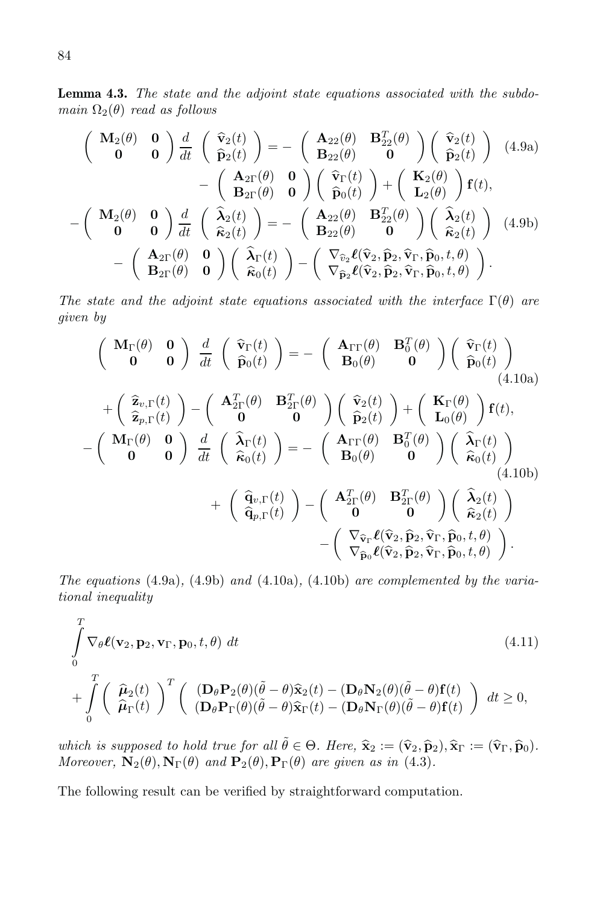$\mathbf{L}\mathbf{e}$ **Lemma 4.3.** The state and the adjoint state equations associated with the subdo-

main 
$$
\Omega_2(\theta)
$$
 read as follows  
\n
$$
\begin{pmatrix}\n\mathbf{M}_2(\theta) & \mathbf{0} & \mathbf{0} \\
\mathbf{0} & \mathbf{0}\n\end{pmatrix}\n\frac{d}{dt}\n\begin{pmatrix}\n\hat{\mathbf{v}}_2(t) \\
\hat{\mathbf{p}}_2(t)\n\end{pmatrix} = -\n\begin{pmatrix}\n\mathbf{A}_{22}(\theta) & \mathbf{B}_{22}^T(\theta) \\
\mathbf{B}_{22}(\theta) & \mathbf{0}\n\end{pmatrix}\n\begin{pmatrix}\n\hat{\mathbf{v}}_2(t) \\
\hat{\mathbf{p}}_2(t)\n\end{pmatrix} (4.9a)
$$
\n
$$
-\n\begin{pmatrix}\n\mathbf{A}_{2\Gamma}(\theta) & \mathbf{0} \\
\mathbf{B}_{2\Gamma}(\theta) & \mathbf{0}\n\end{pmatrix}\n\begin{pmatrix}\n\hat{\mathbf{v}}_T(t) \\
\hat{\mathbf{p}}_0(t)\n\end{pmatrix} + \n\begin{pmatrix}\n\mathbf{K}_2(\theta) \\
\mathbf{L}_2(\theta)\n\end{pmatrix} \mathbf{f}(t),
$$
\n
$$
-\n\begin{pmatrix}\n\mathbf{M}_2(\theta) & \mathbf{0} \\
\mathbf{0} & \mathbf{0}\n\end{pmatrix}\n\frac{d}{dt}\n\begin{pmatrix}\n\hat{\mathbf{\lambda}}_2(t) \\
\hat{\mathbf{\kappa}}_2(t)\n\end{pmatrix} = -\n\begin{pmatrix}\n\mathbf{A}_{22}(\theta) & \mathbf{B}_{22}^T(\theta) \\
\mathbf{B}_{22}(\theta) & \mathbf{0}\n\end{pmatrix}\n\begin{pmatrix}\n\hat{\mathbf{\lambda}}_2(t) \\
\hat{\mathbf{\kappa}}_2(t)\n\end{pmatrix} (4.9b)
$$
\n
$$
-\n\begin{pmatrix}\n\mathbf{A}_{2\Gamma}(\theta) & \mathbf{0} \\
\mathbf{B}_{2\Gamma}(\theta) & \mathbf{0}\n\end{pmatrix}\n\begin{pmatrix}\n\hat{\mathbf{\lambda}}_T(t) \\
\hat{\mathbf{\kappa}}_0(t)\n\end{pmatrix} - \n\begin{pmatrix}\n\nabla_{\widehat{\mathbf{v}}_2} \ell(\widehat{\mathbf{v}}_2, \widehat{\mathbf{p}}_2, \wide
$$

( $\theta$ ) **0**<br>adjoin:  $(t)$ <br>quo  $\begin{aligned} \n\langle (\widehat{\mathbf{v}}_2, \widehat{\mathbf{p}}_2, \widehat{\mathbf{v}}_\Gamma, \widehat{\mathbf{p}}_0, t, \theta \rangle \\
\text{ted with the interface} \n\end{aligned}$ given by

The state and the adjoint state equations associated with the interface 
$$
\Gamma(\theta)
$$
 are  
\ngiven by  
\n
$$
\begin{pmatrix}\n\mathbf{M}_{\Gamma}(\theta) & \mathbf{0} \\
\mathbf{0} & \mathbf{0}\n\end{pmatrix}\n\frac{d}{dt}\n\begin{pmatrix}\n\hat{\mathbf{v}}_{\Gamma}(t) \\
\hat{\mathbf{p}}_{0}(t)\n\end{pmatrix} = -\n\begin{pmatrix}\n\mathbf{A}_{\Gamma\Gamma}(\theta) & \mathbf{B}_{0}^{T}(\theta) \\
\mathbf{B}_{0}(\theta) & \mathbf{0}\n\end{pmatrix}\n\begin{pmatrix}\n\hat{\mathbf{v}}_{\Gamma}(t) \\
\hat{\mathbf{p}}_{0}(t)\n\end{pmatrix} + \n\begin{pmatrix}\n\hat{\mathbf{z}}_{v,\Gamma}(t) \\
\hat{\mathbf{z}}_{p,\Gamma}(t)\n\end{pmatrix} - \n\begin{pmatrix}\n\mathbf{A}_{2\Gamma}^{T}(\theta) & \mathbf{B}_{2\Gamma}^{T}(\theta) \\
\mathbf{0} & \mathbf{0}\n\end{pmatrix}\n\begin{pmatrix}\n\hat{\mathbf{v}}_{2}(t) \\
\hat{\mathbf{p}}_{2}(t)\n\end{pmatrix} + \n\begin{pmatrix}\n\mathbf{K}_{\Gamma}(\theta) \\
\mathbf{L}_{0}(\theta)\n\end{pmatrix}\n\mathbf{f}(t),
$$
\n
$$
-\n\begin{pmatrix}\n\mathbf{M}_{\Gamma}(\theta) & \mathbf{0} \\
\mathbf{0} & \mathbf{0}\n\end{pmatrix}\n\frac{d}{dt}\n\begin{pmatrix}\n\hat{\mathbf{\lambda}}_{\Gamma}(t) \\
\hat{\mathbf{\kappa}}_{0}(t)\n\end{pmatrix} = -\n\begin{pmatrix}\n\mathbf{A}_{\Gamma\Gamma}(\theta) & \mathbf{B}_{0}^{T}(\theta) \\
\mathbf{B}_{0}(\theta) & \mathbf{0}\n\end{pmatrix}\n\begin{pmatrix}\n\hat{\mathbf{\lambda}}_{\Gamma}(t) \\
\hat{\mathbf{\kappa}}_{0}(t)\n\end{pmatrix} + \n\begin{pmatrix}\n\hat{\mathbf{q}}_{v,\Gamma}(t) \\
\hat{\mathbf{q}}_{p,\Gamma}(t)\n\end{pmatrix} - \n\begin{pmatrix}\n\mathbf{A}_{2\Gamma}^{T}(\theta) & \mathbf{B}_{2\Gamma}^{T}(\theta) \\
\mathbf{0}
$$

 $(\hat{\mathbf{v}}_2, \hat{\mathbf{p}}_2, \hat{\mathbf{v}}_\Gamma, \hat{\mathbf{p}}_0, t, \theta)$ <br>complemented by the tional inequality

The equations (4.9a), (4.9b) and (4.10a), (4.10b) are complemented by the variational inequality\n
$$
\int_{0}^{T} \nabla_{\theta} \ell(\mathbf{v}_{2}, \mathbf{p}_{2}, \mathbf{v}_{\Gamma}, \mathbf{p}_{0}, t, \theta) dt
$$
\n
$$
+ \int_{0}^{T} \left( \hat{\mu}_{2}(t) \right)^{T} \left( \begin{array}{c} (\mathbf{D}_{\theta} \mathbf{P}_{2}(\theta)(\tilde{\theta} - \theta) \hat{\mathbf{x}}_{2}(t) - (\mathbf{D}_{\theta} \mathbf{N}_{2}(\theta)(\tilde{\theta} - \theta) \mathbf{f}(t)) \\ (\mathbf{D}_{\theta} \mathbf{P}_{\Gamma}(\theta)(\tilde{\theta} - \theta) \hat{\mathbf{x}}_{\Gamma}(t) - (\mathbf{D}_{\theta} \mathbf{N}_{\Gamma}(\theta)(\tilde{\theta} - \theta) \mathbf{f}(t)) \end{array} \right) dt \ge 0,
$$
\nwhich is supposed to hold true for all  $\tilde{\theta} \in \Theta$ . Here,  $\hat{\mathbf{x}}_{2} := (\hat{\mathbf{v}}_{2}, \hat{\mathbf{p}}_{2}), \hat{\mathbf{x}}_{\Gamma} := (\hat{\mathbf{v}}_{\Gamma}, \hat{\mathbf{p}}_{0}).$   
\nMoreover,  $\mathbf{N}_{2}(\theta), \mathbf{N}_{\Gamma}(\theta)$  and  $\mathbf{P}_{2}(\theta), \mathbf{P}_{\Gamma}(\theta)$  are given as in (4.3).

 $i\epsilon$ <br>or  $(t)$ <br> $cos$ <sub>2</sub>  $(\mathbf{D}_{\theta} \mathbf{P}_{\Gamma}(\theta)(\theta - \theta)\hat{\mathbf{x}}_{\Gamma}(t) - (\mathbf{D}_{\theta} \mathbf{N}_{\Gamma}(\theta)(\theta - \theta)\mathbf{f}(t))$ <br>
bld true for all  $\tilde{\theta} \in \Theta$ . Here,  $\hat{\mathbf{x}}_2 := (\hat{\mathbf{v}}_2, \hat{\mathbf{p}}_2), \hat{\mathbf{x}}_{\Gamma}$ <br>
(and  $\mathbf{P}_2(\theta), \mathbf{P}_{\Gamma}(\theta)$  are given as in (4.3). which is supposed to hold true for all  $\theta \in \Theta$ . Here,  $\hat{\mathbf{x}}_2 := (\hat{\mathbf{v}}_2, \hat{\mathbf{p}}_2), \hat{\mathbf{x}}_\Gamma := (\hat{\mathbf{v}}_\Gamma, \hat{\mathbf{p}}_0)$ .<br>Moreover,  $\mathbf{N}_2(\theta), \mathbf{N}_\Gamma(\theta)$  and  $\mathbf{P}_2(\theta), \mathbf{P}_\Gamma(\theta)$  are given as in (4.3).<br>The following Moreover,  $\mathbf{N}_2(\theta), \mathbf{N}_{\Gamma}(\theta)$  and  $\mathbf{P}_2(\theta), \mathbf{P}_{\Gamma}(\theta)$  are given as in (4.3).

The following result can be verified by straightforward computation. The following result can be verified by straightforward computation.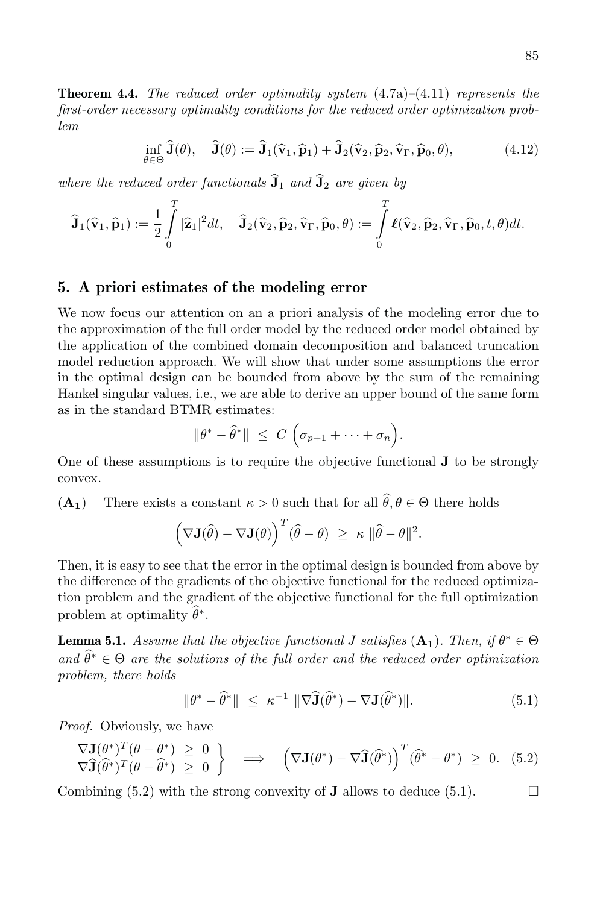$the$ **Theorem 4.4.** The reduced order optimality system  $(4.7a)$  $-(4.11)$  represents the (4.7a)–(4.11) represents the<br>iced order optimization prob-<br> $\hat{p}_2, \hat{v}_\Gamma, \hat{p}_0, \theta$ ), (4.12) first-order necessary optimality conditions for the reduced order optimization problem

$$
\inf_{\theta \in \Theta} \hat{\mathbf{J}}(\theta), \quad \hat{\mathbf{J}}(\theta) := \hat{\mathbf{J}}_1(\hat{\mathbf{v}}_1, \hat{\mathbf{p}}_1) + \hat{\mathbf{J}}_2(\hat{\mathbf{v}}_2, \hat{\mathbf{p}}_2, \hat{\mathbf{v}}_\Gamma, \hat{\mathbf{p}}_0, \theta), \tag{4.12}
$$
\nced order functionals

\n
$$
\hat{\mathbf{J}}_1 \text{ and } \hat{\mathbf{J}}_2 \text{ are given by}
$$
\n
$$
\frac{T}{\int_{\mathbb{R}^3} |\hat{\mathbf{v}}_1|^2 \hat{\mathbf{J}}_2(\hat{\mathbf{v}}_1, \hat{\mathbf{v}}_2, \hat{\mathbf{v}}_1, \hat{\mathbf{v}}_2, \hat{\mathbf{v}}_2, \hat{\mathbf{v}}_1, \hat{\mathbf{v}}_2, \hat{\mathbf{v}}_2, \hat{\mathbf{v}}_1, \hat{\mathbf{v}}_2, \hat{\mathbf{v}}_2, \hat{\mathbf{v}}_1, \hat{\mathbf{v}}_2, \hat{\mathbf{v}}_2, \hat{\mathbf{v}}_1, \hat{\mathbf{v}}_2, \hat{\mathbf{v}}_2, \hat{\mathbf{v}}_1, \hat{\mathbf{v}}_2, \hat{\mathbf{v}}_2, \hat{\mathbf{v}}_1, \hat{\mathbf{v}}_2, \hat{\mathbf{v}}_2, \hat{\mathbf{v}}_1, \hat{\mathbf{v}}_2, \hat{\mathbf{v}}_2, \hat{\mathbf{v}}_2, \hat{\mathbf{v}}_2, \hat{\mathbf{v}}_1, \hat{\mathbf{v}}_2, \hat{\mathbf{v}}_2, \hat{\mathbf{v}}_2, \hat{\mathbf{v}}_1, \hat{\mathbf{v}}_2, \hat{\mathbf{v}}_2, \hat{\mathbf{v}}_1, \hat{\mathbf{v}}_2, \hat{\mathbf{v}}_2, \hat{\mathbf{v}}_1, \hat{\mathbf{v}}_2, \hat{\mathbf{v}}_2, \hat{\mathbf{v}}_2, \hat{\mathbf{v}}_2, \hat{\mathbf{v}}_1, \hat{\mathbf{v}}_2, \hat{\mathbf{v}}_2, \hat{\mathbf{v}}_2, \hat{\mathbf{v}}_2, \hat{\
$$

where the reduced order functionals  $J_1$  and  $J_2$  are given by

$$
\widehat{\mathbf{J}}_1(\widehat{\mathbf{v}}_1, \widehat{\mathbf{p}}_1) := \frac{1}{2} \int_0^T |\widehat{\mathbf{z}}_1|^2 dt, \quad \widehat{\mathbf{J}}_2(\widehat{\mathbf{v}}_2, \widehat{\mathbf{p}}_2, \widehat{\mathbf{v}}_\Gamma, \widehat{\mathbf{p}}_0, \theta) := \int_0^T \boldsymbol{\ell}(\widehat{\mathbf{v}}_2, \widehat{\mathbf{p}}_2, \widehat{\mathbf{v}}_\Gamma, \widehat{\mathbf{p}}_0, t, \theta) dt.
$$
  
**5. A priori estimates of the modeling error**

the approximation of the full order model by the reduced order model obtained by<br>the application of the combined domain decomposition and balanced truncation<br>model reduction approach. We will show that under some assumptio the application of the combined domain decomposition and balanced truncation<br>model reduction approach. We will show that under some assumptions the error<br>in the optimal design can be bounded from above by the sum of the re model reduction approach. We will show that under some assumptions the error<br>in the optimal design can be bounded from above by the sum of the remaining<br>Hankel singular values, i.e., we are able to derive an upper bound of in the optimal design can be bounded from above by the sum of the remaining Hankel singular values, i.e., we are able to derive an upper bound of the same form as in the standard BTMR estimates: Hankel singular values, i.e., we are able to derive an upper bound of the same form<br>as in the standard BTMR estimates: as in the standard BTMR estimates:<br>  $\|\theta^* - \hat{\theta}^*\| \leq C \left(\sigma_{p+1} + \cdots + \sigma_n\right).$ <br>
One of these assumptions is to require the objective functional **J** to be strongly

$$
\|\theta^* - \widehat{\theta}^*\| \ \leq \ C \ \Big(\sigma_{p+1} + \cdots + \sigma_n\Big).
$$

 $\|\theta^* - \hat{\theta}^*\| \le$ <br>One of these assumptions is to requence on  $\theta$ .  $+ \cdots + \sigma_n$ <br>bjective function of  $\theta$ One of these assumptions is to require the objective functional **J** to be strongly convex.<br>
(A<sub>1</sub>) There exists a constant  $\kappa > 0$  such that for all  $\hat{\theta}, \theta \in \Theta$  there holds<br>  $\left(\nabla \mathbf{I}(\hat{\theta}) - \nabla \mathbf{I}(\theta)\right)^T (\hat{\theta} - \theta)$ 

 $(A_1)$ 

(A<sub>1</sub>) There exists a constant 
$$
\kappa > 0
$$
 such that for all  $\theta, \theta \in \Theta$  there holds  
\n
$$
\left(\nabla \mathbf{J}(\widehat{\theta}) - \nabla \mathbf{J}(\theta)\right)^T (\widehat{\theta} - \theta) \ge \kappa \|\widehat{\theta} - \theta\|^2.
$$
\nThen, it is easy to see that the error in the optimal design is bounded from a

 $(\theta) - \nabla \mathbf{J}(\theta)$   $(\theta - \theta) \ge \kappa \|\theta - \theta\|$ <br>the error in the optimal design is b<br>lients of the objective functional for<br>adient of the objective functional for the difference of the gradients of the objective functional for the reduced optimization problem and the gradient of the objective functional for the full optimization problem at optimality  $\hat{\theta}^*$ . tion problem and the gradient of the objective functional for the full optimization<br>problem at optimality  $\hat{\theta}^*$ .<br>**Lemma 5.1.** Assume that the objective functional *J* satisfies  $(A_1)$ . Then, if  $\theta^* \in \Theta$ 

problem at optimality  $\widehat{\theta}^*$ .<br> **Lemma 5.1.** Assume that the objective functional J satisfies (A<sub>1</sub>). Then, if  $\theta^* \in \Theta$  and  $\widehat{\theta}^* \in \Theta$  are the solutions of the full order and the reduced order optimization proble .  $(A_1)$ . Then, if  $\theta$ <br>ced order optimi<br>. -<br>on<br>1) and  $\theta^* \in \Theta$  are the solutions of the full order and the reduced order optimization<br>problem, there holds<br> $\|\theta^* - \hat{\theta}^*\| \leq \kappa^{-1} \|\nabla \hat{\mathbf{J}}(\hat{\theta}^*) - \nabla \mathbf{J}(\hat{\theta}^*)\|.$  (5.1)<br>Proof. Obviously, we have problem, there holds

$$
\|\theta^* - \widehat{\theta}^*\| \leq \kappa^{-1} \|\nabla \widehat{\mathbf{J}}(\widehat{\theta}^*) - \nabla \mathbf{J}(\widehat{\theta}^*)\|.
$$
 (5.1)

*Proof.* Obviously, we have

$$
\|\theta^* - \theta^*\| \leq \kappa^{-1} \|\nabla \mathbf{J}(\theta^*) - \nabla \mathbf{J}(\theta^*)\|.
$$
 (5.1)  
of. Obviously, we have  

$$
\nabla \mathbf{J}(\theta^*)^T (\theta - \theta^*) \geq 0 \} \implies \left(\nabla \mathbf{J}(\theta^*) - \nabla \mathbf{\hat{J}}(\hat{\theta}^*)\right)^T (\hat{\theta}^* - \theta^*) \geq 0. \quad (5.2)
$$
  
mbining (5.2) with the strong convexity of **J** allows to deduce (5.1).

)<br>8<br>1 Combining (5.2) with the strong convexity of **J** allows to deduce (5.1).  $\Box$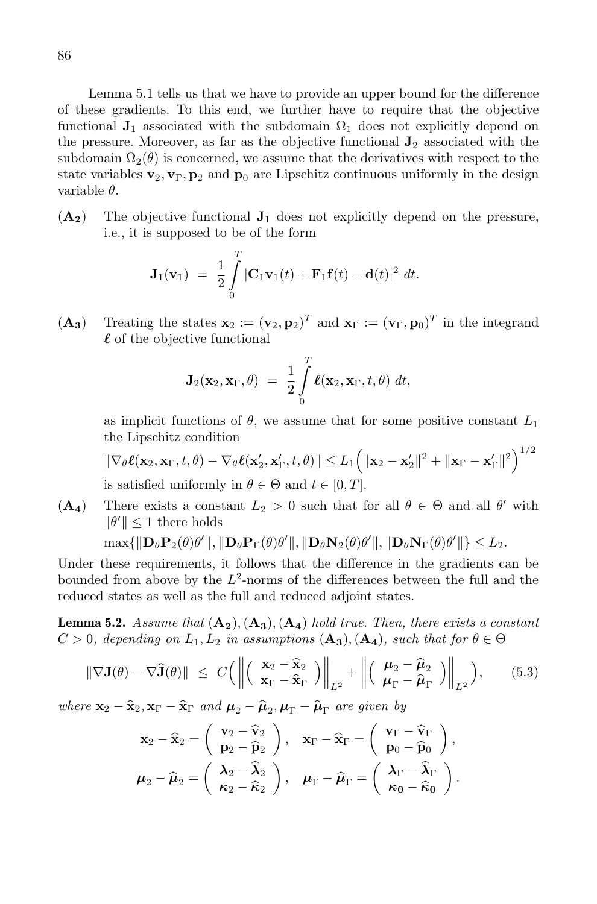of<br>60 ese gradients. To this end, we further have to require that the objective<br>ional  $J_1$  associated with the subdomain  $\Omega_1$  does not explicitly depend on<br>ressure. Moreover, as far as the objective functional  $J_2$  associat functional  $\mathbf{J}_1$  associated with the subdomain  $\Omega_1$  does not explicitly depend on<br>the pressure. Moreover, as far as the objective functional  $\mathbf{J}_2$  associated with the<br>subdomain  $\Omega_2(\theta)$  is concerned, we assume the pressure. Moreover, as far as the objective functional  $J_2$  associated with the the pressure. Moreover, as far as the objective functional  $\mathbf{J}_2$  associated with the subdomain  $\Omega_2(\theta)$  is concerned, we assume that the derivatives with respect to the state variables  $\mathbf{v}_2, \mathbf{v}_\Gamma, \mathbf{p}_2$  and subdomain  $\Omega_2(\theta)$  is concerned, we assume that the derivatives with respect to the state variables  $\mathbf{v}_2$ ,  $\mathbf{v}_\Gamma$ ,  $\mathbf{p}_2$  and  $\mathbf{p}_0$  are Lipschitz continuous uniformly in the design variable  $\theta$ .<br>(A<sub>2</sub>) Th

state variables **v**<sub>2</sub>, **v**<sub>Γ</sub>, **p**<sub>2</sub> and **p**<sub>0</sub> are Lipschitz continuous uniformly in the design variable  $\theta$ .<br>(**A**<sub>2</sub>) The objective functional **J**<sub>1</sub> does not explicitly depend on the pressure, i.e., it is supposed t variable  $\theta$ .<br>
(A<sub>2</sub>) The objective functional  $J_1$  does no<br>
i.e., it is supposed to be of the form The objective functional  $J_1$  does not explicitly depend on the pressure,

$$
\mathbf{J}_1(\mathbf{v}_1) = \frac{1}{2} \int_0^T |\mathbf{C}_1 \mathbf{v}_1(t) + \mathbf{F}_1 \mathbf{f}(t) - \mathbf{d}(t)|^2 dt.
$$
  
Treating the states  $\mathbf{x}_2 := (\mathbf{v}_2, \mathbf{p}_2)^T$  and  $\mathbf{x}_\Gamma := (\mathbf{v}_\Gamma, \mathbf{p})$   
 $\ell$  of the objective functional

 $\frac{2}{1}$ (**A**<sub>**3**) Treating the states  $\mathbf{x}_2 := (\mathbf{v}_2, \mathbf{p}_2)^T$  and  $\mathbf{x}_\Gamma := (\mathbf{v}_\Gamma, \mathbf{p}_0)^T$ <br>  $\ell$  of the objective functional<br>  $\mathbf{J}_2(\mathbf{x}_2, \mathbf{x}_\Gamma, \theta) = \frac{1}{2} \int_0^T \ell(\mathbf{x}_2, \mathbf{x}_\Gamma, t, \theta) dt$ ,</sub> in the integrand *ℓ* of the objective functional

$$
\mathbf{J}_2(\mathbf{x}_2, \mathbf{x}_{\Gamma}, \theta) = \frac{1}{2} \int_0^T \boldsymbol{\ell}(\mathbf{x}_2, \mathbf{x}_{\Gamma}, t, \theta) dt,
$$
  
is implicit functions of  $\theta$ , we assume that for some  
the Lipschitz condition

 $\frac{2}{3}$  $1/2$ 

as implicit functions of 
$$
\theta
$$
, we assume that for some positive constant  $L_1$   
the Lipschitz condition  

$$
\|\nabla_{\theta}\ell(\mathbf{x}_2, \mathbf{x}_\Gamma, t, \theta) - \nabla_{\theta}\ell(\mathbf{x}'_2, \mathbf{x}'_\Gamma, t, \theta)\| \le L_1 \left(\|\mathbf{x}_2 - \mathbf{x}'_2\|^2 + \|\mathbf{x}_\Gamma - \mathbf{x}'_\Gamma\|^2\right)^{1/2}
$$
  
is satisfied uniformly in  $\theta \in \Theta$  and  $t \in [0, T]$ .

 $(\mathbf{x}_2, \mathbf{x}_\Gamma, t, \theta) - \nabla_{\theta} \ell(\mathbf{x}'_2, \mathbf{x}'_\Gamma, t, \theta) \leq L_1 \left( \|\mathbf{x}_2 - \mathbf{x}'_2\|^2 + \|\mathbf{x}_\Gamma - \mathbf{x} \right)$ <br>
is field uniformly in  $\theta \in \Theta$  and  $t \in [0, T]$ .<br>
e exists a constant  $L_2 > 0$  such that for all  $\theta \in \Theta$  and all  $\leq 1$  is satisfied uniformly in  $\theta \in \Theta$  and  $t \in [0, T]$ .<br>There exists a constant  $L_2 > 0$  such that  $\|\theta'\| \le 1$  there holds<br> $\max{\{\|\mathbf{D}_{\theta}\mathbf{P}_{2}(\theta)\theta'\|,\|\mathbf{D}_{\theta}\mathbf{P}_{\Gamma}(\theta)\theta'\|,\|\mathbf{D}_{\theta}\mathbf{N}_{2}(\theta)\theta'\|,\|S\|P_{\theta}\|P_{\Gamma}(\theta)\theta'\|,\|S\|P_{$ (**A<sub>4</sub>**) There exists a constant  $L_2 > 0$  such that for all  $\theta \in \Theta$  and all  $\theta'$  with  $\|\theta'\| \le 1$  there holds<br>  $\max{\{\|D_{\theta}P_2(\theta)\theta'\|,\|D_{\theta}P_{\Gamma}(\theta)\theta'\|,\|D_{\theta}N_2(\theta)\theta'\|,\|D_{\theta}N_{\Gamma}(\theta)\theta'\| \}} \le L_2.$ <br>
Under these requirement ′  $\|\theta'\| \leq$ 

$$
\max{\{\|\mathbf{D}_{\theta}\mathbf{P}_{2}(\theta)\theta'\|,\|\mathbf{D}_{\theta}\mathbf{P}_{\Gamma}(\theta)\theta'\|,\|\mathbf{D}_{\theta}\mathbf{N}_{2}(\theta)\theta'\|,\|\mathbf{D}_{\theta}\mathbf{N}_{\Gamma}(\theta)\theta'\|\}}\leq L_{2}.
$$

 $\max{\{\|\mathbf{D}_{\theta}\mathbf{P}_{2}(\theta)\theta'\|,\|\mathbf{D}_{\theta}\mathbf{P}_{\Gamma}(\theta)\theta'\|,\|\mathbf{D}_{\theta}\mathbf{N}_{2}(\theta)\theta'\|,\|\mathbf{D}_{\theta}\mathbf{N}_{\Gamma}(\theta)\theta'\}}$  hese requirements, it follows that the difference in the gr of from above by the  $L^{2}$ -norms of the differences between bounded from above by the  $L^2$ -norms of the differences between the full and the reduced states as well as the full and reduced adjoint states.<br>**Lemma 5.2.** Assume that  $(A_2)$ ,  $(A_3)$ ,  $(A_4)$  hold true. Then, there exist

bounded from above by the  $L^2$ -norms of the differences between the full and the reduced states as well as the full and reduced adjoint states.<br>**Lemma 5.2.** Assume that  $(A_2)$ ,  $(A_3)$ ,  $(A_4)$  hold true. Then, there exist **Lemma 5.2.** Assume that  $(\mathbf{A_2})$ ,  $(\mathbf{A_3})$ ,  $(\mathbf{A_4})$  hold true. Then, to  $C > 0$ , depending on  $L_1, L_2$  in assumptions  $(\mathbf{A_3})$ ,  $(\mathbf{A_4})$ , such  $(\mathbf{A_5})$ ,  $(\mathbf{A_5})$ ,  $(\mathbf{A_6})$ 

**Lemma 5.2.** Assume that 
$$
(\mathbf{A_2})
$$
,  $(\mathbf{A_3})$ ,  $(\mathbf{A_4})$  hold true. Then, there exists a constant  $C > 0$ , depending on  $L_1, L_2$  in assumptions  $(\mathbf{A_3})$ ,  $(\mathbf{A_4})$ , such that for  $\theta \in \Theta$   
\n
$$
\|\nabla \mathbf{J}(\theta) - \nabla \mathbf{\hat{J}}(\theta)\| \leq C \Big( \left\| \left( \begin{array}{c} \mathbf{x}_2 - \hat{\mathbf{x}}_2 \\ \mathbf{x}_{\Gamma} - \hat{\mathbf{x}}_{\Gamma} \end{array} \right) \right\|_{L^2} + \left\| \left( \begin{array}{c} \boldsymbol{\mu}_2 - \hat{\boldsymbol{\mu}}_2 \\ \boldsymbol{\mu}_{\Gamma} - \hat{\boldsymbol{\mu}}_{\Gamma} \end{array} \right) \right\|_{L^2} \Big), \qquad (5.3)
$$
\nwhere  $\mathbf{x}_2 - \hat{\mathbf{x}}_2$ ,  $\mathbf{x}_{\Gamma} - \hat{\mathbf{x}}_{\Gamma}$  and  $\boldsymbol{\mu}_2 - \hat{\boldsymbol{\mu}}_2$ ,  $\boldsymbol{\mu}_{\Gamma} - \hat{\boldsymbol{\mu}}_{\Gamma}$  are given by  
\n
$$
\mathbf{x}_2 - \hat{\mathbf{x}}_2 = \begin{pmatrix} \mathbf{v}_2 - \hat{\mathbf{v}}_2 \\ \mathbf{v}_2 - \hat{\mathbf{v}}_2 \\ \mathbf{v}_2 - \hat{\mathbf{x}}_2 \end{pmatrix}, \qquad \mathbf{x}_{\Gamma} - \hat{\mathbf{x}}_{\Gamma} = \begin{pmatrix} \mathbf{v}_{\Gamma} - \hat{\mathbf{v}}_{\Gamma} \\ \mathbf{v}_{\Gamma} - \hat{\mathbf{v}}_{\Gamma} \end{pmatrix}.
$$

where  $\mathbf{x}_2 - \hat{\mathbf{x}}_2, \mathbf{x}_\Gamma - \hat{\mathbf{x}}_\Gamma$  and  $\boldsymbol{\mu}_2 - \hat{\boldsymbol{\mu}}_2, \boldsymbol{\mu}_\Gamma - \hat{\boldsymbol{\mu}}_\Gamma$  are given by

$$
\mathbf{x}_2 - \hat{\mathbf{x}}_2 = \begin{pmatrix} \mathbf{v}_2 - \hat{\mathbf{v}}_2 \\ \mathbf{p}_2 - \hat{\mathbf{p}}_2 \end{pmatrix}, \quad \mathbf{x}_\Gamma - \hat{\mathbf{x}}_\Gamma = \begin{pmatrix} \mathbf{v}_\Gamma - \hat{\mathbf{v}}_\Gamma \\ \mathbf{p}_0 - \hat{\mathbf{p}}_0 \end{pmatrix},
$$

$$
\boldsymbol{\mu}_2 - \hat{\boldsymbol{\mu}}_2 = \begin{pmatrix} \lambda_2 - \hat{\lambda}_2 \\ \kappa_2 - \hat{\kappa}_2 \end{pmatrix}, \quad \boldsymbol{\mu}_\Gamma - \hat{\boldsymbol{\mu}}_\Gamma = \begin{pmatrix} \lambda_\Gamma - \hat{\lambda}_\Gamma \\ \kappa_0 - \hat{\kappa}_0 \end{pmatrix}.
$$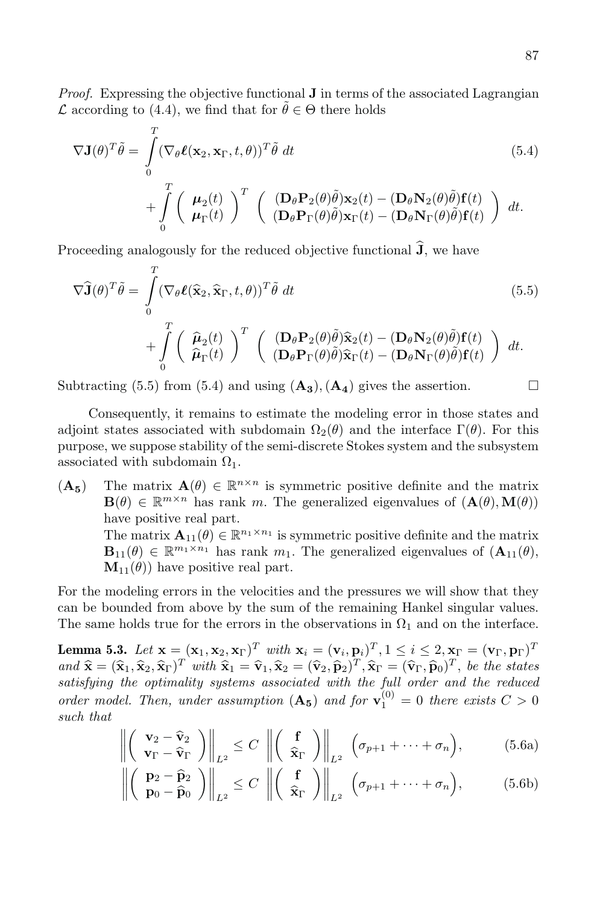an

*Proof.* Expressing the objective functional **J** in terms of the associated Lagrangian 
$$
\mathcal{L}
$$
 according to (4.4), we find that for  $\tilde{\theta} \in \Theta$  there holds\n
$$
\nabla \mathbf{J}(\theta)^T \tilde{\theta} = \int_0^T (\nabla_{\theta} \ell(\mathbf{x}_2, \mathbf{x}_\Gamma, t, \theta))^T \tilde{\theta} \, dt \qquad (5.4)
$$
\n
$$
+ \int_0^T \left( \begin{array}{c} \boldsymbol{\mu}_2(t) \\ \boldsymbol{\mu}_\Gamma(t) \end{array} \right)^T \left( \begin{array}{c} (\mathbf{D}_{\theta} \mathbf{P}_2(\theta) \tilde{\theta}) \mathbf{x}_2(t) - (\mathbf{D}_{\theta} \mathbf{N}_2(\theta) \tilde{\theta}) \mathbf{f}(t) \\ (\mathbf{D}_{\theta} \mathbf{P}_\Gamma(\theta) \tilde{\theta}) \mathbf{x}_\Gamma(t) - (\mathbf{D}_{\theta} \mathbf{N}_\Gamma(\theta) \tilde{\theta}) \mathbf{f}(t) \end{array} \right) \, dt.
$$
\nProceeding analogously for the reduced objective functional  $\hat{\mathbf{J}}$ , we have\n
$$
= \hat{\mathbf{I}}(\mathbf{S} \mathbf{S} \mathbf{S} \mathbf{S} \mathbf{S} \mathbf{S} \mathbf{S} \mathbf{S} \mathbf{S} \mathbf{S} \mathbf{S} \mathbf{S} \mathbf{S} \mathbf{S} \mathbf{S} \mathbf{S} \mathbf{S} \mathbf{S} \mathbf{S} \mathbf{S} \mathbf{S} \mathbf{S} \mathbf{S} \mathbf{S} \mathbf{S} \mathbf{S} \mathbf{S} \mathbf{S} \mathbf{S} \mathbf{S} \mathbf{S} \mathbf{S} \mathbf{S} \mathbf{S} \mathbf{S} \mathbf{S} \mathbf{S} \mathbf{S} \mathbf{S} \mathbf{S} \mathbf{S} \mathbf{S} \mathbf{S} \mathbf{S} \mathbf{S} \mathbf{S} \mathbf{S} \mathbf{S} \mathbf{S} \mathbf{S} \mathbf{S} \mathbf{S} \mathbf{S} \mathbf{S} \mathbf{S} \mathbf{S} \mathbf{S} \mathbf{S} \mathbf{S} \
$$

$$
\int_{0}^{\pi} \left( \mu_{\Gamma}(t) \right) \left( (\mathbf{D}_{\theta} \mathbf{P}_{\Gamma}(\theta) \theta) \mathbf{x}_{\Gamma}(t) - (\mathbf{D}_{\theta} \mathbf{N}_{\Gamma}(\theta) \theta) \mathbf{f}(t) \right)
$$
  
Proceeding analogously for the reduced objective functional  $\hat{\mathbf{J}}$ , we have  

$$
\nabla \hat{\mathbf{J}}(\theta)^{T} \hat{\theta} = \int_{0}^{T} (\nabla_{\theta} \ell(\hat{\mathbf{x}}_{2}, \hat{\mathbf{x}}_{\Gamma}, t, \theta))^{T} \hat{\theta} dt
$$
(5.5)
$$
+ \int_{0}^{T} \left( \hat{\mu}_{2}(t) \right)^{T} \left( (\mathbf{D}_{\theta} \mathbf{P}_{2}(\theta) \tilde{\theta}) \hat{\mathbf{x}}_{2}(t) - (\mathbf{D}_{\theta} \mathbf{N}_{2}(\theta) \tilde{\theta}) \mathbf{f}(t) \right) dt.
$$
Subtracting (5.5) from (5.4) and using (**A**<sub>3</sub>), (**A**<sub>4</sub>) gives the assertion.  
Consequently, it remains to estimate the modeling error in those states and  
u.

Consequently, it remains to estimate the modeling error in those states and adjoint states associated with subdomain  $\Omega_2(\theta)$  and the interface  $\Gamma(\theta)$ . For this Subtracting (5.5) from (5.4) and using  $(A_3)$ ,  $(A_4)$  gives the assertion. □<br>Consequently, it remains to estimate the modeling error in those states and<br>adjoint states associated with subdomain  $\Omega_2(\theta)$  and the interface adjoint states associated with subdomain  $\Omega_2(\theta)$  and the interface  $\Gamma(\theta)$ . For this purpose, we suppose stability of the semi-discrete Stokes system and the subsystem associated with subdomain  $\Omega_1$ .<br>(A<sub>5</sub>) The matrix

associated with subdomain  $\Omega_1$ .<br>
(A<sub>5</sub>) The matrix  $\mathbf{A}(\theta) \in \mathbb{R}^{n \times n}$  is symmetric positive definite and the matrix  $\mathbf{B}(\theta) \in \mathbb{R}^{m \times n}$  has rank *m*. The generalized eigenvalues of  $(\mathbf{A}(\theta), \mathbf{M}(\theta))$ (A<sub>5</sub>) The matrix  $\mathbf{A}(\theta) \in \mathbb{R}^n$ <br> $\mathbf{B}(\theta) \in \mathbb{R}^{m \times n}$  has rand<br>have positive real part. **(A<sub>5</sub>)** The matrix  $\mathbf{A}(\theta) \in \mathbb{R}^{n \times n}$  is symmetric positive definite and the matrix  $\mathbf{B}(\theta) \in \mathbb{R}^{m \times n}$  has rank *m*. The generalized eigenvalues of  $(\mathbf{A}(\theta), \mathbf{M}(\theta))$  have positive real part.<br>The matrix The matrix  $\mathbf{A}(\theta) \in \mathbb{R}^{n \times n}$  is symmetric positive definite and the matrix  $(\theta) \in \mathbb{R}$ <br>
ave posit<br>
he matri<br>
11( $\theta$ )  $\in$ <br>  $\mathbf{I}_{11}(\theta)$ ) h has rank  $m$ . The generalized eigenvalues of  $(\mathbf{A}(\theta), \mathbf{M}(\theta))$ <br>eal part.<br> $\mathbf{A}(\theta) \in \mathbb{R}^{n_1 \times n_1}$  is symmetric positive definite and the matrix<br> $\mathbf{A}^{(n_1)}$  has rank  $m_1$ . The generalized eigenvalues of  $(\mathbf{A}_{$ The matrix  $\mathbf{A}_{11}(\theta) \in \mathbb{R}$ <br>  $\mathbf{B}_{11}(\theta) \in \mathbb{R}^{m_1 \times n_1}$  has<br>  $\mathbf{M}_{11}(\theta)$  have positive i<br>
modeling errors in the  $n_1 \times n_1$  $\mathbf{B}_{11}(\theta) \in \mathbb{R}^{m_1 \times n_1}$  has rank  $m_1$ . The generalized eigenvalues of  $(\mathbf{A}_{11}(\theta), \mathbf{M}_{11}(\theta))$  have positive real part.<br>modeling errors in the velocities and the pressures we will show that they  $M_{11}$ 

 $(\theta) \in \mathbb{R}$ <br>  $(\theta)$  hav<br>
deling er<br>
ded fro For the modeling errors in the velocities and the pressures we will show that they can be bounded from above by the sum of the remaining Hankel singular values. The same holds true for the errors in the observations in  $\Omega_1$  and on the interface. can be bounded from above by the sum of the remaining Hankel singular values.<br>The same holds true for the errors in the observations in  $\Omega_1$  and on the interface.<br>**Lemma 5.3.** Let  $\mathbf{x} = (\mathbf{x}_1, \mathbf{x}_2, \mathbf{x}_\Gamma)^T$  with  $\$ 

The same holds true for the errors in the observations in  $\Omega_1$  and on the interface.<br> **Lemma 5.3.** Let  $\mathbf{x} = (\mathbf{x}_1, \mathbf{x}_2, \mathbf{x}_{\Gamma})^T$  with  $\mathbf{x}_i = (\mathbf{v}_i, \mathbf{p}_i)^T, 1 \le i \le 2, \mathbf{x}_{\Gamma} = (\mathbf{v}_{\Gamma}, \mathbf{p}_{\Gamma})^T$ <br>
and  $\hat{\mathbf$ **The same holds true for the errors in the observations in**  $\Omega_1$  **and on the interface.**<br> **Lemma 5.3.** Let  $\mathbf{x} = (\mathbf{x}_1, \mathbf{x}_2, \mathbf{x}_\Gamma)^T$  with  $\mathbf{x}_1 = (\mathbf{v}_i, \mathbf{p}_i)^T, 1 \leq i \leq 2, \mathbf{x}_\Gamma = (\mathbf{v}_\Gamma, \mathbf{p}_\Gamma)^T$ <br>
and  $\hat{\math$ **Lemma 5.3.** Let  $\mathbf{x} = (\mathbf{x}_1, \mathbf{x}_2, \mathbf{x}_{\Gamma})^T$  with  $\mathbf{x}_i = (\mathbf{v}_i, \mathbf{p}_i)^T, 1 \leq i \leq 2, \mathbf{x}_{\Gamma} = (\mathbf{v}_{\Gamma}, \mathbf{p}_{\Gamma})^T$  $= (\mathbf{x}_1, \mathbf{x}_2, \mathbf{x}_{\Gamma})^T$  with  $\mathbf{x}_i = (\mathbf{v}_i, \mathbf{p}_i)^T, 1 \leq i \leq 2, \mathbf{x}_{\Gamma} = (\mathbf{v}_{\Gamma}, \mathbf{p}_{\Gamma})^T$  with  $\hat{\mathbf{x}}_1 = \hat{\mathbf{v}}_1, \hat{\mathbf{x}}_2 = (\hat{\mathbf{v}}_2, \hat{\mathbf{p}}_2)^T, \hat{\mathbf{x}}_{\Gamma} = (\hat{\mathbf{v}}_{\Gamma}, \hat{\mathbf{p}}_0)^T$ , be the state mality  $\frac{1}{2}$ and  $\hat{\mathbf{x}} = (\hat{\mathbf{x}}_1, \hat{\mathbf{x}}_2, \hat{\mathbf{x}}_1)^T$  with  $\hat{\mathbf{x}}_1 = \hat{\mathbf{v}}_1, \hat{\mathbf{x}}_2 = (\hat{\mathbf{v}}_2, \hat{\mathbf{p}}_2)^T, \hat{\mathbf{x}}_1 = (\hat{\mathbf{v}}_1, \hat{\mathbf{p}}_0)^T$ , be the states  $= (\hat{\mathbf{x}}_1, \hat{\mathbf{x}}_2, \hat{\mathbf{x}}_\Gamma)^T$  with  $\hat{\mathbf{x}}_1 = \hat{\mathbf{v}}_1, \hat{\mathbf{x}}_2 = (\hat{\mathbf{v}}_2, \hat{\mathbf{p}}_2)^T, \hat{\mathbf{x}}_\Gamma = (\hat{\mathbf{v}}_\Gamma, \hat{\mathbf{p}}_0)$ <br> *ing the optimality systems associated with the full order and<br>
<i>model. Then, under assump* satisfying the optimality systems associated with the full order and the reduced such that

order model. Then, under assumption 
$$
(\mathbf{A}_5)
$$
 and for  $\mathbf{v}_1^{(0)} = 0$  there exists  $C > 0$   
such that  

$$
\left\| \begin{pmatrix} \mathbf{v}_2 - \hat{\mathbf{v}}_2 \\ \mathbf{v}_\Gamma - \hat{\mathbf{v}}_\Gamma \end{pmatrix} \right\|_{L^2} \le C \left\| \begin{pmatrix} \mathbf{f} \\ \hat{\mathbf{x}}_\Gamma \end{pmatrix} \right\|_{L^2} \left( \sigma_{p+1} + \dots + \sigma_n \right),
$$
(5.6a)

$$
\left\| \begin{pmatrix} \mathbf{r}_2 & \mathbf{r}_2 \\ \mathbf{v}_{\Gamma} - \hat{\mathbf{v}}_{\Gamma} \end{pmatrix} \right\|_{L^2} \leq C \left\| \begin{pmatrix} \mathbf{r}_2 \\ \hat{\mathbf{x}}_{\Gamma} \end{pmatrix} \right\|_{L^2} \left( \sigma_{p+1} + \dots + \sigma_n \right), \tag{5.6a}
$$
\n
$$
\left\| \begin{pmatrix} \mathbf{p}_2 - \hat{\mathbf{p}}_2 \\ \mathbf{p}_0 - \hat{\mathbf{p}}_0 \end{pmatrix} \right\|_{L^2} \leq C \left\| \begin{pmatrix} \mathbf{f} \\ \hat{\mathbf{x}}_{\Gamma} \end{pmatrix} \right\|_{L^2} \left( \sigma_{p+1} + \dots + \sigma_n \right), \tag{5.6b}
$$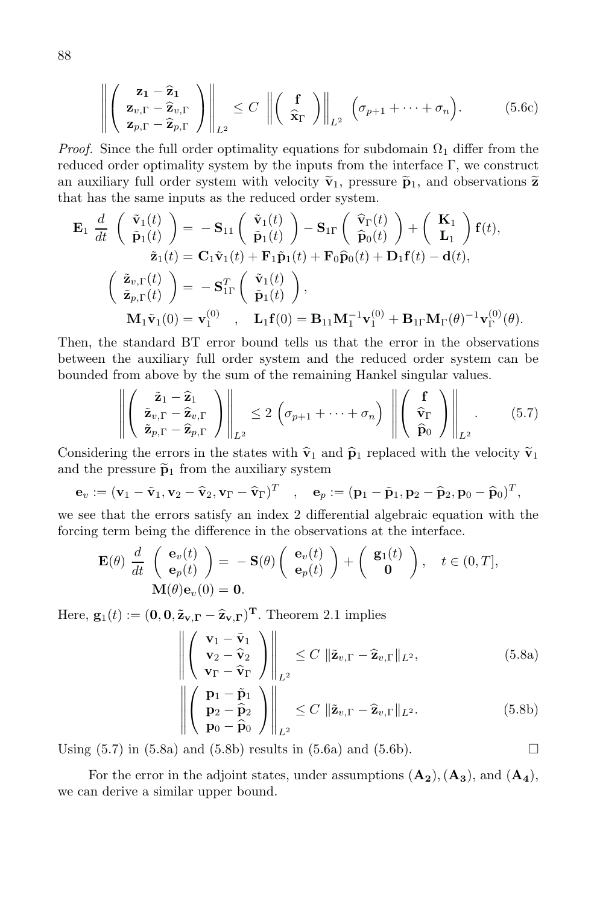$$
\left\| \left( \begin{array}{c} \mathbf{z}_1 - \widehat{\mathbf{z}}_1 \\ \mathbf{z}_{v,\Gamma} - \widehat{\mathbf{z}}_{v,\Gamma} \end{array} \right) \right\|_{L^2} \leq C \left\| \left( \begin{array}{c} \mathbf{f} \\ \widehat{\mathbf{x}}_{\Gamma} \end{array} \right) \right\|_{L^2} \left( \sigma_{p+1} + \dots + \sigma_n \right). \tag{5.6c}
$$
  
Since the full order optimality equations for subdomain  $\Omega_1$  differ from the  
l order optimality system by the inputs from the interface  $\Gamma$ , we construct

Proof. Since the full order optimality equations for subdomain  $\mathcal{L}_1$  different from the difference of the interface  $\Gamma$ , we construct illiary full order system with velocity  $\tilde{\mathbf{v}}_1$ , pressure  $\tilde{\mathbf{p}}_1$ , and observ

an auxiliary full order system with velocity 
$$
\tilde{\mathbf{v}}_1
$$
, pressure  $\tilde{\mathbf{p}}_1$ , and observations  $\tilde{\mathbf{z}}$  that has the same inputs as the reduced order system.\n\n
$$
\mathbf{E}_1 \frac{d}{dt} \begin{pmatrix} \tilde{\mathbf{v}}_1(t) \\ \tilde{\mathbf{p}}_1(t) \end{pmatrix} = -\mathbf{S}_{11} \begin{pmatrix} \tilde{\mathbf{v}}_1(t) \\ \tilde{\mathbf{p}}_1(t) \end{pmatrix} - \mathbf{S}_{1\Gamma} \begin{pmatrix} \tilde{\mathbf{v}}_1(t) \\ \tilde{\mathbf{p}}_0(t) \end{pmatrix} + \begin{pmatrix} \mathbf{K}_1 \\ \mathbf{L}_1 \end{pmatrix} \mathbf{f}(t),
$$
\n
$$
\tilde{\mathbf{z}}_1(t) = \mathbf{C}_1 \tilde{\mathbf{v}}_1(t) + \mathbf{F}_1 \tilde{\mathbf{p}}_1(t) + \mathbf{F}_0 \hat{\mathbf{p}}_0(t) + \mathbf{D}_1 \mathbf{f}(t) - \mathbf{d}(t),
$$
\n
$$
\begin{pmatrix} \tilde{\mathbf{z}}_{v,\Gamma}(t) \\ \tilde{\mathbf{z}}_{p,\Gamma}(t) \end{pmatrix} = -\mathbf{S}_{1\Gamma}^T \begin{pmatrix} \tilde{\mathbf{v}}_1(t) \\ \tilde{\mathbf{p}}_1(t) \end{pmatrix},
$$
\n
$$
\mathbf{M}_1 \tilde{\mathbf{v}}_1(0) = \mathbf{v}_1^{(0)} , \quad \mathbf{L}_1 \mathbf{f}(0) = \mathbf{B}_{11} \mathbf{M}_1^{-1} \mathbf{v}_1^{(0)} + \mathbf{B}_{1\Gamma} \mathbf{M}_{\Gamma}(\theta)^{-1} \mathbf{v}_{\Gamma}^{(0)}(\theta).
$$
\nThen, the standard BT error bound tells us that the error in the observations between the auxiliary full order system and the reduced order system can be

 $\tilde{\mathbf{v}}_1(0) = \mathbf{v}_1^{(0)}$ ,  $\mathbf{L}_1 \mathbf{f}(0) = \mathbf{B}_{11} \mathbf{M}_1^{-1} \mathbf{v}_1^{(0)} + \mathbf{B}_{1\Gamma} \mathbf{M}_{\Gamma}(\theta)^{-1} \mathbf{v}_\Gamma^{(0)}(\theta)$ .<br>dard BT error bound tells us that the error in the observation<br>in the set of the sum of the remainin between the auxiliary full order system and the reduced order system can be<br>bounded from above by the sum of the remaining Hankel singular values.<br> $\left\| \begin{pmatrix} \tilde{\mathbf{z}}_1 - \hat{\mathbf{z}}_1 \\ \tilde{\mathbf{z}}_2 - \hat{\mathbf{z}}_3 \end{pmatrix} \right\| \leq 2 \left($ bounded from above by the sum of the remaining Hankel singular values.

$$
\left\| \begin{pmatrix} \tilde{\mathbf{z}}_1 - \tilde{\mathbf{z}}_1 \\ \tilde{\mathbf{z}}_{v,\Gamma} - \tilde{\mathbf{z}}_{v,\Gamma} \\ \tilde{\mathbf{z}}_{p,\Gamma} - \tilde{\mathbf{z}}_{p,\Gamma} \end{pmatrix} \right\|_{L^2} \le 2 \left( \sigma_{p+1} + \dots + \sigma_n \right) \left\| \begin{pmatrix} \tilde{\mathbf{r}} \\ \tilde{\mathbf{v}}_{\Gamma} \\ \tilde{\mathbf{p}}_0 \end{pmatrix} \right\|_{L^2}.
$$
   
Considering the errors in the states with  $\hat{\mathbf{v}}_1$  and  $\hat{\mathbf{p}}_1$  replaced with the velocity  $\tilde{\mathbf{v}}_1$  and the pressure  $\tilde{\mathbf{p}}_1$  from the auxiliary system

 $\begin{aligned} \tilde{\mathbf{z}}_{p,\Gamma}-\widehat{\mathbf{z}}_{p,\Gamma} \ \text{e errors in} \ \text{re} \ \widetilde{\mathbf{p}}_1 \ \text{from} \ \tilde{\mathbf{v}}_1, \mathbf{v}_2-\widehat{\mathbf{v}} \end{aligned}$  $\frac{1}{2}$ Considering the errors in the states with  $\hat{\mathbf{v}}_1$  and  $\hat{\mathbf{p}}_1$  replaced with the velocity  $\tilde{\mathbf{v}}_1$  and the pressure  $\tilde{\mathbf{p}}_1$  from the auxiliary system<br>  $\mathbf{e}_v := (\mathbf{v}_1 - \tilde{\mathbf{v}}_1, \mathbf{v}_2 - \hat{\mathbf{v}}_2, \math$ 

$$
\mathbf{e}_v := (\mathbf{v}_1 - \tilde{\mathbf{v}}_1, \mathbf{v}_2 - \widehat{\mathbf{v}}_2, \mathbf{v}_\Gamma - \widehat{\mathbf{v}}_\Gamma)^T \quad , \quad \mathbf{e}_p := (\mathbf{p}_1 - \tilde{\mathbf{p}}_1, \mathbf{p}_2 - \widehat{\mathbf{p}}_2, \mathbf{p}_0 - \widehat{\mathbf{p}}_0)^T,
$$

and the pressure  $\widetilde{\mathbf{p}}_1$  from the auxiliary system<br>  $\mathbf{e}_v := (\mathbf{v}_1 - \widetilde{\mathbf{v}}_1, \mathbf{v}_2 - \widehat{\mathbf{v}}_2, \mathbf{v}_\Gamma - \widehat{\mathbf{v}}_\Gamma)^T$ ,  $\mathbf{e}_p$ <br>
we see that the errors satisfy an index 2 differencies in the observed forci := (**v**<sub>1</sub> − **v**<sub>1</sub>, **v**<sub>2</sub> − **v**<sub>2</sub>, **v**<sub>Γ</sub> − **v**<sub>Γ</sub>)<sup>*I*</sup>, **e**<sub>*p*</sub> := (**p**<sub>1</sub> − **p**<sub>1</sub>, **p**<sub>2</sub> − **p**<sub>2</sub>, **p**<sub>0</sub> − **p**<sub>0</sub>)<br>
e that the errors satisfy an index 2 differential algebraic equation wit<br>
g term being the di forcing term being the difference in the observations at the interface.

$$
\mathbf{E}(\theta) \frac{d}{dt} \begin{pmatrix} \mathbf{e}_v(t) \\ \mathbf{e}_p(t) \end{pmatrix} = -\mathbf{S}(\theta) \begin{pmatrix} \mathbf{e}_v(t) \\ \mathbf{e}_p(t) \end{pmatrix} + \begin{pmatrix} \mathbf{g}_1(t) \\ \mathbf{0} \end{pmatrix}, \quad t \in (0, T],
$$
  
\n
$$
\mathbf{M}(\theta)\mathbf{e}_v(0) = \mathbf{0}.
$$
  
\nHere,  $\mathbf{g}_1(t) := (\mathbf{0}, \mathbf{0}, \tilde{\mathbf{z}}_{\mathbf{v},\mathbf{\Gamma}} - \hat{\mathbf{z}}_{\mathbf{v},\mathbf{\Gamma}})^{\mathbf{T}}$ . Theorem 2.1 implies

$$
\mathbf{M}(\theta)\mathbf{e}_{v}(0) = \mathbf{0}.
$$
  
Here,  $\mathbf{g}_{1}(t) := (\mathbf{0}, \mathbf{0}, \tilde{\mathbf{z}}_{\mathbf{v}, \mathbf{\Gamma}} - \hat{\mathbf{z}}_{\mathbf{v}, \mathbf{\Gamma}})^{\mathbf{T}}$ . Theorem 2.1 implies  

$$
\left\| \begin{pmatrix} \mathbf{v}_{1} - \tilde{\mathbf{v}}_{1} \\ \mathbf{v}_{2} - \hat{\mathbf{v}}_{2} \\ \mathbf{v}_{\mathbf{\Gamma}} - \hat{\mathbf{v}}_{\mathbf{\Gamma}} \end{pmatrix} \right\|_{L^{2}} \leq C \left\| \tilde{\mathbf{z}}_{v, \mathbf{\Gamma}} - \hat{\mathbf{z}}_{v, \mathbf{\Gamma}} \right\|_{L^{2}},
$$
(5.8a)  

$$
\left\| \begin{pmatrix} \mathbf{p}_{1} - \tilde{\mathbf{p}}_{1} \\ \hat{\mathbf{z}} & \hat{\mathbf{z}} \end{pmatrix} \right\|_{L^{2}} \leq C \left\| \tilde{\mathbf{z}}_{v, \mathbf{\Gamma}} - \hat{\mathbf{z}}_{v, \mathbf{\Gamma}} \right\|_{L^{2}},
$$
(5.8b)

$$
\left\| \begin{pmatrix} \mathbf{v}_2 - \hat{\mathbf{v}}_2 \\ \mathbf{v}_\Gamma - \hat{\mathbf{v}}_\Gamma \end{pmatrix} \right\|_{L^2} \le C \left\| \tilde{\mathbf{z}}_{v,\Gamma} - \hat{\mathbf{z}}_{v,\Gamma} \right\|_{L^2},
$$
\n(5.8a)  
\n
$$
\left\| \begin{pmatrix} \mathbf{p}_1 - \tilde{\mathbf{p}}_1 \\ \mathbf{p}_2 - \hat{\mathbf{p}}_2 \\ \mathbf{p}_0 - \hat{\mathbf{p}}_0 \end{pmatrix} \right\|_{L^2} \le C \left\| \tilde{\mathbf{z}}_{v,\Gamma} - \hat{\mathbf{z}}_{v,\Gamma} \right\|_{L^2}.
$$
\n(5.8b)  
\nand (5.8b) results in (5.6a) and (5.6b).  $\Box$   
\nthe adjoint states, under assumptions  $(\mathbf{A}_2), (\mathbf{A}_3)$ , and  $(\mathbf{A}_4)$ .

Using (5.7) in (5.8a) and (5.8b) results in (5.6a) and (5.6b). □<br>For the error in the adjoint states, under assumptions  $(\mathbf{A_2})$ ,  $(\mathbf{A_3})$ , and  $(\mathbf{A_4})$ , we can derive a similar upper bound. For the error in the adjoint states, under assumptions  $(A_2)$ ,  $(A_3)$ , and  $(A_4)$ , an derive a similar upper bound. we can derive a similar upper bound.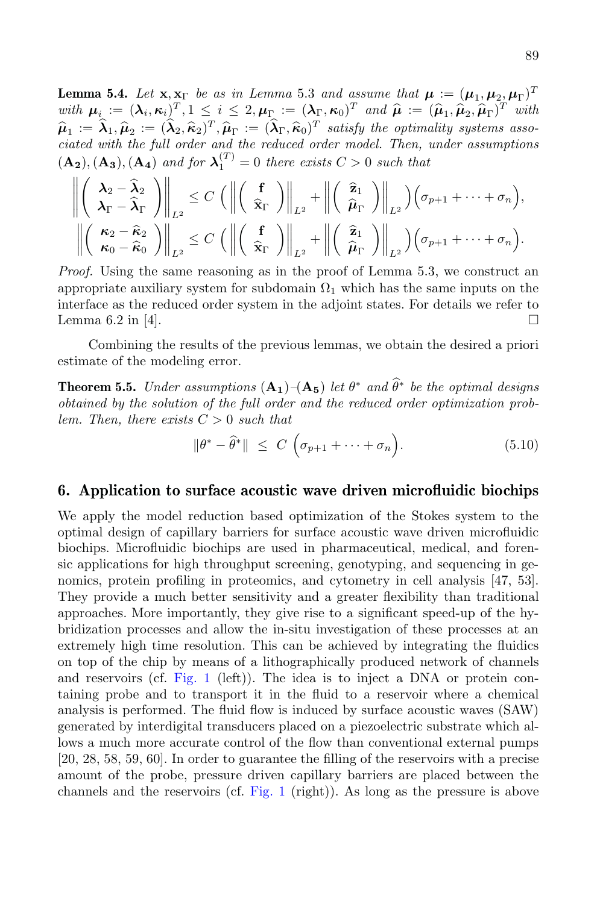**Lemma 5.4.** Let  $\mathbf{x}, \mathbf{x}_{\Gamma}$  be as in Lemma 5.3 and assume that  $\boldsymbol{\mu} := (\boldsymbol{\mu}_1, \boldsymbol{\mu}_2, \boldsymbol{\mu}_{\Gamma})^T$ <br>with  $\boldsymbol{\mu}_i := (\boldsymbol{\lambda}_i, \boldsymbol{\kappa}_i)^T, 1 \leq i \leq 2, \boldsymbol{\mu}_{\Gamma} := (\boldsymbol{\lambda}_{\Gamma}, \boldsymbol{\kappa}_0)^T$  and  $\boldsymbol{\hat{\mu}} := (\widehat{\boldsymbol{\mu}}_1, \widehat{\boldsymbol{\mu}}_2, \wide$ **Lemma 5.4.** Let  $\mathbf{x}, \mathbf{x}_{\Gamma}$  be as in Lemma 5.3 and assume that  $\boldsymbol{\mu} := (\boldsymbol{\mu}_1, \boldsymbol{\mu}_2, \boldsymbol{\mu}_{\Gamma})^T$ 5.3 and assume that  $\boldsymbol{\mu} := (\boldsymbol{\mu}_1, \boldsymbol{\mu}_2, \ldots, \boldsymbol{\mu}_n)$ <br>  $(\boldsymbol{\lambda}_{\Gamma}, \boldsymbol{\kappa}_0)^T$  and  $\boldsymbol{\hat{\mu}} := (\boldsymbol{\hat{\mu}}_1, \boldsymbol{\hat{\mu}}_2, \ldots, \boldsymbol{\mu}_n)$ <br>  $(\boldsymbol{\lambda}_0)^T$  satisfy the optimality system of any dependence of the primality system of th  $\begin{array}{c} \begin{array}{c} i \ i \end{array} \\ \mathfrak{su} \\ \mathfrak{m} \end{array}$  $\begin{align*}\n:= (\lambda_i, \kappa_i)^I, 1 \leq i \leq 2, \mu_{\Gamma} := (\lambda_{\Gamma}, \kappa_0)^I \text{ and } \hat{\mu} := (\hat{\mu}_1, \hat{\mu}_2 := (\hat{\lambda}_2, \hat{\kappa}_2)^T, \hat{\mu}_{\Gamma} := (\hat{\lambda}_{\Gamma}, \hat{\kappa}_0)^T \text{ satisfy the optimality,} \\
ii) the full order and the reduced order model. Then, una, \mathbf{a}, \mathbf{a}, \mathbf{a}, \mathbf{a} \text{ and for } \lambda_1^{(T)} = 0 \text{ there exists } C > 0 \text{ such that}\n\end{align*}$ (入)<br>',,,  $\begin{bmatrix} 1 \\ n \end{bmatrix}$  $\hat{\mu}_1 := \lambda_1, \hat{\mu}_2 := (\lambda_2, \hat{\kappa}_2)^T, \hat{\mu}_\Gamma := (\lambda_\Gamma, \hat{\kappa}_0)^T$  satisfy the optimality systems associated with the full order and the reduced order model. Then, under assumptions <br>  $(\mathbf{A}_2), (\mathbf{A}_3), (\mathbf{A}_4)$  and for  $\lambda_1^{(T)} =$ ciated with the full order and the reduced order model. Then, under assumptions

$$
(\mathbf{A_2}), (\mathbf{A_3}), (\mathbf{A_4}) \text{ and for } \lambda_1^{(T)} = 0 \text{ there exists } C > 0 \text{ such that}
$$
\n
$$
\left\| \begin{pmatrix} \lambda_2 - \hat{\lambda}_2 \\ \lambda_\Gamma - \hat{\lambda}_\Gamma \end{pmatrix} \right\|_{L^2} \leq C \left( \left\| \begin{pmatrix} \mathbf{f} \\ \hat{\mathbf{x}}_\Gamma \end{pmatrix} \right\|_{L^2} + \left\| \begin{pmatrix} \hat{\mathbf{z}}_1 \\ \hat{\boldsymbol{\mu}}_\Gamma \end{pmatrix} \right\|_{L^2} \right) \left( \sigma_{p+1} + \dots + \sigma_n \right),
$$
\n
$$
\left\| \begin{pmatrix} \kappa_2 - \hat{\kappa}_2 \\ \kappa_0 - \hat{\kappa}_0 \end{pmatrix} \right\|_{L^2} \leq C \left( \left\| \begin{pmatrix} \mathbf{f} \\ \hat{\mathbf{x}}_\Gamma \end{pmatrix} \right\|_{L^2} + \left\| \begin{pmatrix} \hat{\mathbf{z}}_1 \\ \hat{\boldsymbol{\mu}}_\Gamma \end{pmatrix} \right\|_{L^2} \right) \left( \sigma_{p+1} + \dots + \sigma_n \right).
$$

+  $+\cdots+\sigma_n$ <br>re construce<br>e inputs on<br>ails we ref Proof. appropriate auxiliary system for subdomain  $\Omega_1$  which has the same inputs on the interface as the reduced order system in the adjoint states. For details we refer to Lemma 6.2 in [4]. interface as the reduced order system in the adjoint states. For details we refer to Lemma 6.2 in [4].  $\Box$ <br>Combining the results of the previous lemmas, we obtain the desired a priori estimate of the modeling error.

Combining the results of the previous lemmas, we obtain the desired a priori Lemma 6.2 in [4].<br>Combining the results of the previous lemmas, we obtain the desired a priori<br>estimate of the modeling error.<br>**Theorem 5.5.** Under assumptions  $(A_1)$ – $(A_5)$  let  $\theta^*$  and  $\hat{\theta}^*$  be the optimal designs

ate of the modeling error.<br> **rem 5.5.** Under assumptions  $(A_1)$ – $(A_5)$  let  $\theta^*$  and  $\widehat{\theta}^*$  be the optimal designs<br>
ned by the solution of the full order and the reduced order optimization prob-**Theorem 5.5.** Under assumptic<br>obtained by the solution of the lem. Then, there exists  $C > 0$ **Theorem 5.5.** Under assumptions  $(A_1)$ - $(A_5)$  let  $\theta^*$  and  $\theta^*$  be the optimal designs  $(\mathbf{A_1})-(\mathbf{A_5})$  let  $\theta$ <br>order and the r<br>h that<br> $\leq C\left(\sigma_{p+1}+\cdots\right)$ obtained by the solution of the full order and the reduced order optimization problem. Then, there exists  $C > 0$  such that<br> $\|\theta^* - \hat{\theta}^*\| \leq C$ <br>6. Application to surface acquati

$$
\|\theta^* - \hat{\theta}^*\| \le C \left(\sigma_{p+1} + \dots + \sigma_n\right).
$$
 (5.10)  
urface acoustic wave driven microfluidic biochips  
equation based optimization of the Stokes system to the

#### **6. Application to surface acoustic wave driven microfluidic biochips**

optimal design of capillary barriers for surface acoustic wave driven microfluidic<br>biochips. Microfluidic biochips are used in pharmaceutical, medical, and foren-<br>sic applications for high throughput screening, genotyping, biochips. Microfluidic biochips are used in pharmaceutical, medical, and foren-<br>sic applications for high throughput screening, genotyping, and sequencing in ge-<br>nomics, protein profiling in proteomics, and cytometry in ce sic applications for high throughput screening, genotyping, and sequencing in genomics, protein profiling in proteomics, and cytometry in cell analysis [47, 53].<br>They provide a much better sensitivity and a greater flexibi nomics, protein profiling in proteomics, and cytometry in cell analysis  $[47, 53]$ . They provide a much better sensitivity and a greater flexibility than traditional approaches. More importantly, they give rise to a significant speed-up of the hybridization processes and allow the in-situ investigation of approaches. More importantly, they give rise to a significant speed-up of the hy-<br>bridization processes and allow the in-situ investigation of these processes at an<br>extremely high time resolution. This can be achieved by i bridization processes and allow the in-situ investigation of these processes at an extremely high time resolution. This can be achieved by integrating the fluidics on top of the chip by means of a lithographically produced extremely high time resolution. This can be achieved by integrating the fluidics<br>on top of the chip by means of a lithographically produced network of channels<br>and reservoirs (cf. Fig. 1 (left)). The idea is to inject a DN on top of the chip by means of a lithographically produced network of channels<br>and reservoirs (cf. Fig. 1 (left)). The idea is to inject a DNA or protein con-<br>taining probe and to transport it in the fluid to a reservoir and reservoirs (cf. Fig. 1 (left)). The idea is to inject a DNA or protein containing probe and to transport it in the fluid to a reservoir where a chemical analysis is performed. The fluid flow is induced by surface acous taining probe and to transport it in the fluid to a reservoir where a chemical<br>analysis is performed. The fluid flow is induced by surface acoustic waves (SAW)<br>generated by interdigital transducers placed on a piezoelectri analysis is performed. The fluid flow is induced by surface acoustic waves (SAW) generated by interdigital transducers placed on a piezoelectric substrate which algenerated by interdigital transducers placed on a piezoelectric substrate which allows a much more accurate control of the flow than conventional external pumps [20, 28, 58, 59, 60]. In order to guarantee the filling of th generate ontrol of the flow than conventional external pumps [20, 28, 58, 59, 60]. In order to guarantee the filling of the reservoirs with a precise amount of the probe, pressure driven capillary barriers are placed betw [20, 28, 58, 59, 60]. In order to guarantee the filling of the reservoirs with a precise amount of the probe, pressure driven capillary barriers are placed between the channels and the reservoirs (cf. Fig. 1 (right)). As long as the pressure is above channels and the reservoirs  $(x_1, x_0)$ . (right)). As long as the pressure is above.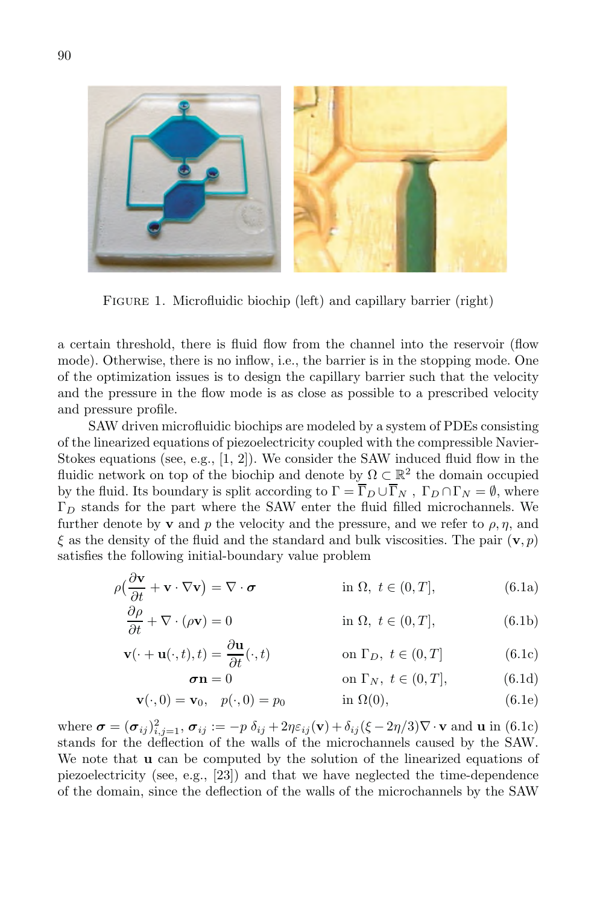<span id="page-15-0"></span>

FIGURE 1. Microfluidic biochip (left) and capillary barrier (right)

a certain threshold, there is fluid flow from the channel into the reservoir (flow mode). Otherwise, there is no inflow, i.e., the barrier is in the stopping mode. One mode). Otherwise, there is no inflow, i.e., the barrier is in the stopping mode. One<br>of the optimization issues is to design the capillary barrier such that the velocity<br>and the pressure in the flow mode is as close as pos % of the optimization issues is to design the capillary barrier such that the velocity<br>and the pressure in the flow mode is as close as possible to a prescribed velocity<br>and pressure profile.<br>SAW driven microfluidic biochi and the pressure in the flow mode is as close as possible to a prescribed velocity<br>and pressure profile.<br>SAW driven microfluidic biochips are modeled by a system of PDEs consisting<br>of the linearized equations of piezoelect

Stokes equations (see, e.g.,  $[1, 2]$ ). We consider the SAW induced fluid flow in the SAW driven mi<br>of the linearized equa<br>Stokes equations (se<br>fluidic network on to Ether interactions of piezoelectricity coupled with the compressible Navier-<br>s equations (see, e.g., [1, 2]). We consider the SAW induced fluid flow in the<br>c network on top of the biochip and denote by  $\Omega \subset \mathbb{R}^2$  the Stokes equations (see, e.g., [1, 2]). We consider the SAW induced fluid flow in the fluidic network on top of the biochip and denote by  $\Omega \subset \mathbb{R}^2$  the domain occupied by the fluid. Its boundary is split according to fluidic network on top of the biochip and denote by  $\Omega \subset \mathbb{R}^2$  the domain occupied<br>by the fluid. Its boundary is split according to  $\Gamma = \overline{\Gamma}_D \cup \overline{\Gamma}_N$ ,  $\Gamma_D \cap \Gamma_N = \emptyset$ , where<br> $\Gamma_D$  stands for the part where the SAW fluidic network on top of the biochip and denote by  $\Omega \subset \mathbb{R}^2$  the domain occupied<br>by the fluid. Its boundary is split according to  $\Gamma = \overline{\Gamma}_D \cup \overline{\Gamma}_N$ ,  $\Gamma_D \cap \Gamma_N = \emptyset$ , where<br> $\Gamma_D$  stands for the part where the SAW  $\Gamma_D$  stands for the part where the SAW enter the fluid filled microchannels. We further denote by **v** and *p* the velocity and the pressure, and we refer to  $\rho$ ,  $\eta$ , and  $\xi$  as the density of the fluid and the standa Γ*D* stands for the part where the SAW enter the fluid filled incrochannels. We<br>further denote by **v** and *p* the velocity and the pressure, and we refer to  $\rho, \eta$ , and<br> $\xi$  as the density of the fluid and the standard

$$
\xi \text{ as the density of the fluid and the standard and bulk viscosities. The pair } (\mathbf{v}, p) \text{ satisfies the following initial-boundary value problem}
$$
\n
$$
\rho \left( \frac{\partial \mathbf{v}}{\partial t} + \mathbf{v} \cdot \nabla \mathbf{v} \right) = \nabla \cdot \boldsymbol{\sigma} \qquad \text{in } \Omega, \ t \in (0, T], \tag{6.1a}
$$
\n
$$
\frac{\partial \rho}{\partial t} + \nabla \cdot (\rho \mathbf{v}) = 0 \qquad \text{in } \Omega, \ t \in (0, T], \tag{6.1b}
$$

$$
(\frac{\partial}{\partial t} + \mathbf{v} \cdot \nabla \mathbf{v}) = \nabla \cdot \boldsymbol{\sigma} \quad \text{in } \Omega, \ t \in (0, T], \tag{6.1a}
$$
\n
$$
\frac{\partial \rho}{\partial t} + \nabla \cdot (\rho \mathbf{v}) = 0 \quad \text{in } \Omega, \ t \in (0, T], \tag{6.1b}
$$
\n
$$
\mathbf{v}(\cdot + \mathbf{u}(\cdot, t), t) = \frac{\partial \mathbf{u}}{\partial t}(\cdot, t) \quad \text{on } \Gamma_D, \ t \in (0, T] \tag{6.1c}
$$

$$
\frac{\partial \mathbf{F}}{\partial t} + \nabla \cdot (\rho \mathbf{v}) = 0 \quad \text{in } \Omega, \ t \in (0, T], \tag{6.1b}
$$
\n
$$
\mathbf{v}(\cdot + \mathbf{u}(\cdot, t), t) = \frac{\partial \mathbf{u}}{\partial t}(\cdot, t) \quad \text{on } \Gamma_D, \ t \in (0, T] \tag{6.1c}
$$
\n
$$
\sigma \mathbf{n} = 0 \quad \text{on } \Gamma_N, \ t \in (0, T], \tag{6.1d}
$$
\n
$$
\mathbf{v}(\cdot, 0) = \mathbf{v}_0, \ \ p(\cdot, 0) = p_0 \quad \text{in } \Omega(0), \tag{6.1e}
$$

$$
\mathbf{n} = 0 \qquad \text{on } \Gamma_N, \ t \in (0, T], \tag{6.1d}
$$

$$
\mathbf{v}(\cdot,0) = \mathbf{v}_0, \quad p(\cdot,0) = p_0 \qquad \text{in } \Omega(0), \tag{6.1e}
$$

= 0 on  $\Gamma_N$ ,  $t \in (0, T]$ , (6.1d)<br>  $p(\cdot, 0) = p_0$  in  $\Omega(0)$ , (6.1e)<br>  $:= -p \, \delta_{ij} + 2\eta \varepsilon_{ij}(\mathbf{v}) + \delta_{ij}(\xi - 2\eta/3)\nabla \cdot \mathbf{v}$  and **u** in (6.1c)<br>
of the walls of the microchannels caused by the SAW. (⋅, 0) = **v**<sub>0</sub>,  $p(·, 0) = p_0$  in  $\Omega(0)$ , (6.1e)<br>  $j\big|_{i,j=1}^2$ ,  $\sigma_{ij} := -p \delta_{ij} + 2\eta \varepsilon_{ij}(\mathbf{v}) + \delta_{ij}(\xi - 2\eta/3)\nabla \cdot \mathbf{v}$  and **u** in (6.1c)<br>
deflection of the walls of the microchannels caused by the SAW.<br> **u** can b where  $\sigma = (\sigma_{ij})_{i,j=1}^2$ ,  $\sigma_{ij} := -p \delta_{ij} + 2\eta \varepsilon_{ij}(\mathbf{v}) + \delta_{ij}(\xi - 2\eta/3)\nabla \cdot \mathbf{v}$  and **u** in (6.1c) stands for the deflection of the walls of the microchannels caused by the SAW. We note that **u** can be computed by t We note that **u** can be computed by the solution of the linearized equations of piezoelectricity (see, e.g., [23]) and that we have neglected the time-dependence of the domain, since the deflection of the walls of the micr piezoelectricity (see, e.g., [23]) and that we have neglected the time-dependence of the domain, since the deflection of the walls of the microchannels by the SAW

**n**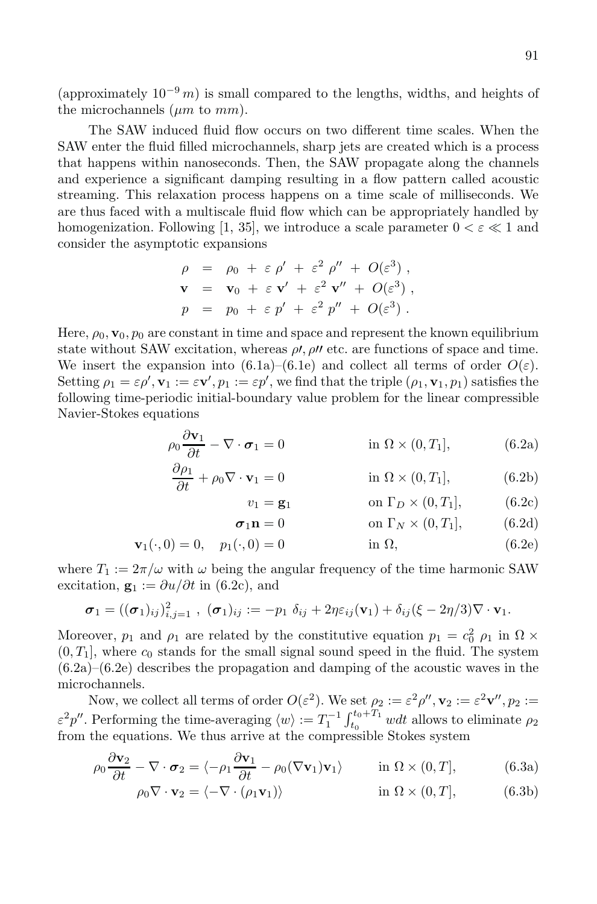of  $^{-9}$  m

the microchannels ( $\mu$ m to  $mm$ ).<br>The SAW induced fluid flow occurs on two different time scales. When the SAW enter the fluid filled microchannels, sharp jets are created which is a process The SAW induced fluid flow occurs on two different time scales. When the that happens within nanoseconds. Then, the SAW propagate along the channels and experience a significant damping resulting in a flow pattern called acoustic streaming. This relaxation process happens on a time scale of milliseconds. We that happens within nanoseconds. Then, the SAW propagate along the channels<br>and experience a significant damping resulting in a flow pattern called acoustic<br>streaming. This relaxation process happens on a time scale of mil and experience a significant damping resulting in a flow pattern called acoustic<br>streaming. This relaxation process happens on a time scale of milliseconds. We<br>are thus faced with a multiscale fluid flow which can be appr streaming. This relaxation process happens on a time scale of milliseconds. We<br>are thus faced with a multiscale fluid flow which can be appropriately handled by<br>homogenization. Following [1, 35], we introduce a scale para are thus faced with a multiscale fluid flow which can be appropriately handled by<br>homogenization. Following [1, 35], we introduce a scale parameter  $0 < \varepsilon \ll 1$  and<br>consider the asymptotic expansions homogenization. Following [1, 35], we introduce a scale parameter  $0 < \varepsilon \ll 1$  and<br>consider the asymptotic expansions<br> $\rho = \rho_0 + \varepsilon \rho' + \varepsilon^2 \rho'' + O(\varepsilon^3)$ ,<br> $\mathbf{v} = \mathbf{v}_0 + \varepsilon \mathbf{v}' + \varepsilon^2 \mathbf{v}'' + O(\varepsilon^3)$ ,

$$
\rho = \rho_0 + \varepsilon \rho' + \varepsilon^2 \rho'' + O(\varepsilon^3) ,
$$
  
\n
$$
\mathbf{v} = \mathbf{v}_0 + \varepsilon \mathbf{v}' + \varepsilon^2 \mathbf{v}'' + O(\varepsilon^3) ,
$$
  
\n
$$
p = p_0 + \varepsilon p' + \varepsilon^2 p'' + O(\varepsilon^3) .
$$
  
\nHere,  $\rho_0, \mathbf{v}_0, p_0$  are constant in time and space and represent the  
\nstate without SAW excitation, whereas  $\rho', \rho''$  etc. are function

=  $p_0 + \varepsilon p' + \varepsilon^2 p'' + O(\varepsilon$ <br>ant in time and space and represe<br>ation, whereas  $\rho$ ,  $\rho$ , etc. are further than the set of the set of the set of the set of the set of the set of the set of the set of the set of the set o ) .<br>nt :<br>all<br>. ( Here,  $\rho_0$ ,  $\mathbf{v}_0$ ,  $p_0$  are constant in time and space and represent the known equilibrium<br>state without SAW excitation, whereas  $\rho$ ,  $\rho$ ,  $\theta$  etc. are functions of space and time.<br>We insert the expansion into ( state without SAW excitation, whereas  $\rho$ ,  $\rho$ ,  $\rho$  etc. are functions of space and time.<br>We insert the expansion into (6.1a)–(6.1e) and collect all terms of order  $O(\varepsilon)$ .<br>Setting  $\rho_1 = \varepsilon \rho'$ ,  $\mathbf{v}_1 := \varepsilon \mathbf{v}'$ We insert the expansion into (6.1a)–(6.1e) and collect all terms of order  $O(\varepsilon)$ .<br>Setting  $\rho_1 = \varepsilon \rho', \mathbf{v}_1 := \varepsilon \mathbf{v}', p_1 := \varepsilon p'$ , we find that the triple  $(\rho_1, \mathbf{v}_1, \rho_1)$  satisfies the following time-periodic in Setting  $\rho_1 = \varepsilon \rho', \mathbf{v}_1 := \varepsilon \mathbf{v}', p_1 := \varepsilon p',$  we find that the triple  $(\rho_1, \mathbf{v}_1, p_1)$  satisfies the following time-periodic initial-boundary value problem for the linear compressible Navier-Stokes equations<br>  $\rho_$  $',\mathbf{v}_1:=\varepsilon\mathbf{v}',p_1:=\varepsilon p'$ 

Navier-Stokes equations

\n
$$
\rho_0 \frac{\partial \mathbf{v}_1}{\partial t} - \nabla \cdot \mathbf{\sigma}_1 = 0 \quad \text{in } \Omega \times (0, T_1], \quad (6.2a)
$$
\n
$$
\frac{\partial \rho_1}{\partial t} + \rho_0 \nabla \cdot \mathbf{v}_1 = 0 \quad \text{in } \Omega \times (0, T_1], \quad (6.2b)
$$
\n
$$
v_1 = \mathbf{g}_1 \quad \text{on } \Gamma_D \times (0, T_1], \quad (6.2c)
$$

$$
\frac{\partial \rho_1}{\partial t} + \rho_0 \nabla \cdot \mathbf{v}_1 = 0 \qquad \text{in } \Omega \times (0, T_1], \qquad (6.2b)
$$

$$
v_1 = \mathbf{g}_1 \qquad \text{on } \Gamma_D \times (0, T_1], \qquad (6.2c)
$$

$$
\frac{r_1}{\partial t} + \rho_0 \nabla \cdot \mathbf{v}_1 = 0 \quad \text{in } \Omega \times (0, T_1], \quad (6.2b)
$$
  
\n
$$
v_1 = \mathbf{g}_1 \quad \text{on } \Gamma_D \times (0, T_1], \quad (6.2c)
$$
  
\n
$$
\boldsymbol{\sigma}_1 \mathbf{n} = 0 \quad \text{on } \Gamma_N \times (0, T_1], \quad (6.2d)
$$
  
\n
$$
= 0, \quad p_1(\cdot, 0) = 0 \quad \text{in } \Omega, \quad (6.2e)
$$
  
\nith  $\omega$  being the angular frequency of the time harmonic SAW

$$
\mathbf{v}_1(\cdot,0) = 0, \quad p_1(\cdot,0) = 0 \qquad \text{in } \Omega,\tag{6.2e}
$$

= 0 on  $\Gamma_N \times (0, T_1]$ , (6.2d)<br>
= 0 in  $\Omega$ , (6.2e)<br>
e angular frequency of the time harmonic SAW<br>
nd (⋅, 0) = 0,  $p_1(·, 0) = 0$  in  $\Omega$ , (6.2e)<br>  $/\omega$  with  $\omega$  being the angular frequency of the time harmonic SAW<br>  $= \frac{\partial u}{\partial t}$  in (6.2c), and<br>  $\left(i_i\right)_{i=1}^2$ ,  $(\sigma_1)_{ij} := -p_1 \delta_{ij} + 2\eta \varepsilon_{ij}(\mathbf{v}_1) + \delta_{ij}(\xi - 2\eta/3)\nabla \cdot$ where  $T_1 := 2\pi/\omega$  with  $\omega$  being the angular frequency of the time harmonic SAW<br>excitation,  $\mathbf{g}_1 := \frac{\partial u}{\partial t}$  in (6.2c), and<br> $\sigma_1 = ((\sigma_1)_{ij})_{i,j=1}^2$ ,  $(\sigma_1)_{ij} := -p_1 \delta_{ij} + 2\eta \varepsilon_{ij}(\mathbf{v}_1) + \delta_{ij}(\xi - 2\eta/3)\nabla \cdot \mathbf{v$ 

$$
\boldsymbol{\sigma}_1 = ((\boldsymbol{\sigma}_1)_{ij})_{i,j=1}^2 , (\boldsymbol{\sigma}_1)_{ij} := -p_1 \, \delta_{ij} + 2\eta \varepsilon_{ij} (\mathbf{v}_1) + \delta_{ij} (\xi - 2\eta/3) \nabla \cdot \mathbf{v}_1.
$$

excitation, **g**<sub>1</sub> :=  $\partial u/\partial t$  in (6.2c), and<br>  $\sigma_1 = ((\sigma_1)_{ij})_{i,j=1}^2$ ,  $(\sigma_1)_{ij} := -\gamma$ <br>
Moreover,  $p_1$  and  $\rho_1$  are related by t<br>
(0. T<sub>1</sub>], where  $c_0$  stands for the small =  $((\sigma_1)_{ij})_{i,j=1}^2$ ,  $(\sigma_1)_{ij} := -p_1 \delta_{ij} + 2\eta \varepsilon_{ij}(\mathbf{v}_1) + \delta_{ij}(\xi - 2\eta/3)\nabla \cdot \mathbf{v}_1$ .<br>
er,  $p_1$  and  $\rho_1$  are related by the constitutive equation  $p_1 = c_0^2 \rho_1$  in<br>
where  $c_0$  stands for the small signal sound Moreover,  $p_1$  and  $\rho_1$  are related by the constitutive equation  $p_1 = c_0^2 \rho_1$  in  $\Omega \times (0, T_1]$ , where  $c_0$  stands for the small signal sound speed in the fluid. The system  $(6.2a)-(6.2e)$  describes the propagation an  $^{2}_{0}$   $\rho_{1}$ (0, T<sub>1</sub>), where  $c_0$  stands for the small signal sound speed in the fluid. The system (6.2a)–(6.2e) describes the propagation and damping of the acoustic waves in the microchannels.<br>Now, we collect all terms of order  $O$ 

microchannels.<br>
Now, we collect all terms of order  $O(\varepsilon^2)$ . We set  $\rho_2 := \varepsilon^2 \rho'', \mathbf{v}_2 := \varepsilon^2 \mathbf{v}'', p_2 := \varepsilon^2 \rho''.$  Performing the time-averaging  $\langle w \rangle := T_1^{-1} \int_{t_0}^{t_0+T_1} w dt$  allows to eliminate  $\rho_2$  from the e Now, we collect all terms of order  $O(\varepsilon^2)$ . We set  $\rho_2 := \varepsilon^2 \rho'', \mathbf{v}_2 := \varepsilon^2 \mathbf{v}'', p_2 := \varepsilon^2 p''$ . Performing the time-averaging  $\langle w \rangle := T_1^{-1} \int_{t_0}^{t_0+T_1} w dt$  allows to eliminate  $\rho_2$  from the equations. We thu

$$
\rho_0 \frac{\partial \mathbf{v}_2}{\partial t} - \nabla \cdot \boldsymbol{\sigma}_2 = \langle -\rho_1 \frac{\partial \mathbf{v}_1}{\partial t} - \rho_0 (\nabla \mathbf{v}_1) \mathbf{v}_1 \rangle \quad \text{in } \Omega \times (0, T],
$$
\n
$$
\rho_0 \nabla \cdot \mathbf{v}_2 = \langle -\nabla \cdot (\rho_1 \mathbf{v}_1) \rangle \quad \text{in } \Omega \times (0, T],
$$
\n(6.3a)

$$
\rho_0 \nabla \cdot \mathbf{v}_2 = \langle -\nabla \cdot (\rho_1 \mathbf{v}_1) \rangle \qquad \text{in } \Omega \times (0, T], \qquad (6.3b)
$$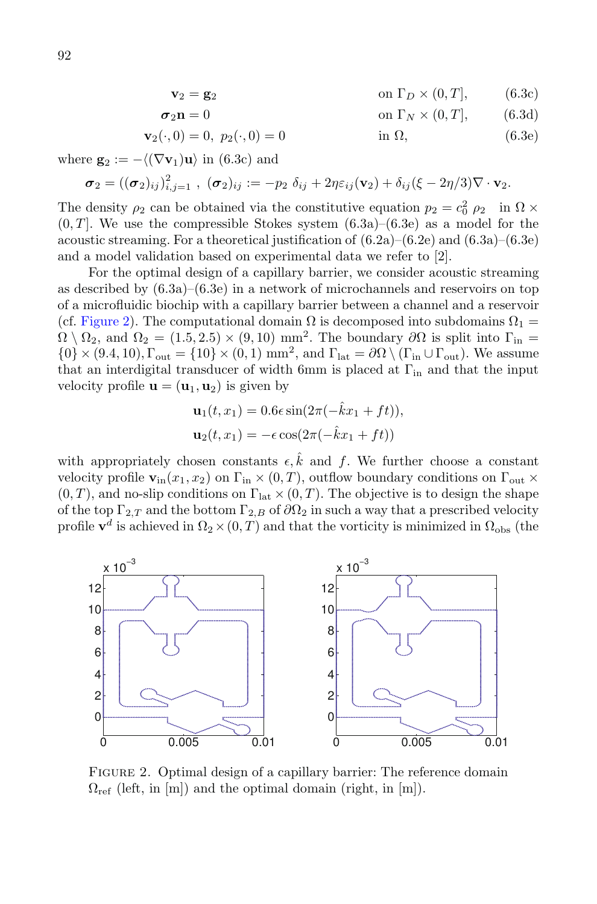$$
\mathbf{v}_2 = \mathbf{g}_2 \qquad \text{on } \Gamma_D \times (0, T], \qquad (6.3c)
$$

$$
\sigma_2 \mathbf{n} = 0 \qquad \text{on } \Gamma_N \times (0, T], \qquad (6.3d)
$$

= **g**<sub>2</sub> on Γ<sub>*D*</sub> × (0, *T*], (6.3c)<br>
= 0 on Γ<sub>*N*</sub> × (0, *T*], (6.3d)<br>
= 0, *p*<sub>2</sub>(·, 0) = 0 in Ω, (6.3e)<br>
a) in (6.3c) and = 0 on  $\Gamma_N \times (0, T]$ , (6.3d)<br>
= 0,  $p_2(\cdot, 0) = 0$  in  $\Omega$ , (6.3e)<br> **a**) in (6.3c) and<br>  $\Gamma_N \times (0, T]$ , (6.3e)<br> **a**) in (6.3c) and  $\mathbf{v}_2(\cdot,0) = 0, p_2(\cdot,0) = 0$ 

$$
\mathbf{v}_2(\cdot,0) = 0, \ p_2(\cdot,0) = 0 \qquad \text{in } \Omega, \tag{6.3e}
$$
  
we 
$$
\mathbf{g}_2 := -\langle (\nabla \mathbf{v}_1) \mathbf{u} \rangle \text{ in } (6.3c) \text{ and}
$$

$$
\boldsymbol{\sigma}_2 = ((\boldsymbol{\sigma}_2)_{ij})_{i,j=1}^2, \ (\boldsymbol{\sigma}_2)_{ij} := -p_2 \ \delta_{ij} + 2\eta \varepsilon_{ij}(\mathbf{v}_2) + \delta_{ij}(\xi - 2\eta/3) \nabla \cdot \mathbf{v}_2.
$$

where  $\mathbf{g}_2 := -\langle (\nabla \mathbf{v}_1) \mathbf{u} \rangle$  in (6.3c) and<br>  $\boldsymbol{\sigma}_2 = ((\boldsymbol{\sigma}_2)_{ij})_{i,j=1}^2$ ,  $(\boldsymbol{\sigma}_2)_{ij} := -1$ <br>
The density  $\rho_2$  can be obtained via t<br>
(0, T]. We use the compressible Stok =  $((\sigma_2)_{ij})_{i,j=1}^2$ ,  $(\sigma_2)_{ij} := -p_2 \delta_{ij} + 2\eta \varepsilon_{ij} (\mathbf{v}_2) + \delta_{ij} (\xi - 2\eta/3) \nabla \cdot \mathbf{v}_2$ .<br>sity  $\rho_2$  can be obtained via the constitutive equation  $p_2 = c_0^2 \rho_2$  in<br>We use the compressible Stokes system (6.3a)–(6.3e The density  $\rho_2$  can be obtained via the constitutive equation  $p_2 = c_0^2 \rho_2$  in  $\Omega \times (0, T]$ . We use the compressible Stokes system  $(6.3a)$ – $(6.3e)$  as a model for the acoustic streaming. For a theoretical justificati  $rac{2}{0}$   $\rho_2$ (0, T]. We use the compressible Stokes system  $(6.3a)$ – $(6.3e)$  as a model for the acoustic streaming. For a theoretical justification of  $(6.2a)$ – $(6.2e)$  and  $(6.3a)$ – $(6.3e)$  and a model validation based on experimenta

and a model validation based on experimental data we refer to [2].<br>For the optimal design of a capillary barrier, we consider acoustic streaming<br>as described by  $(6.3a)-(6.3e)$  in a network of microchannels and reservoirs o and a model validation based on experimental data we refer to [2].<br>For the optimal design of a capillary barrier, we consider acoustic streaming<br>as described by  $(6.3a)-(6.3e)$  in a network of microchannels and reservoirs o scribed by (6.3a)–(6.3e) in a network of microchannels and reservoirs on top<br>nicrofluidic biochip with a capillary barrier between a channel and a reservoir<br>igure 2). The computational domain  $\Omega$  is decomposed into subdo of a microfluidic biochip with a capillary barrier between a channel and a reservoir<br>(cf. Figure 2). The computational domain  $\Omega$  is decomposed into subdomains  $\Omega_1 = \Omega \setminus \Omega_2$ , and  $\Omega_2 = (1.5, 2.5) \times (9, 10)$  mm<sup>2</sup>. The (cf. Figure 2). The computational domain  $\Omega$  is decomposed into subdomains  $\Omega_1 = \Omega \setminus \Omega_2$ , and  $\Omega_2 = (1.5, 2.5) \times (9, 10) \text{ mm}^2$ . The boundary  $\partial \Omega$  is split into  $\Gamma_{\text{in}} = \{0\} \times (9.4, 10)$ ,  $\Gamma_{\text{out}} = \{10\} \times (0, 1) \$  $\Omega \setminus \Omega_2$ , and  $\Omega_2 = (1.5, 2.5) \times (9, 10)$  mm<sup>2</sup>. The boundary ∂Ω is split into  $\Gamma_{\text{in}} =$ <br>{0} × (9.4, 10),  $\Gamma_{\text{out}} = \{10\} \times (0, 1)$  mm<sup>2</sup>, and  $\Gamma_{\text{lat}} = \partial \Omega \setminus (\Gamma_{\text{in}} \cup \Gamma_{\text{out}})$ . We assume<br>that an interdigital tran {0} × (9.4, 10),  $\Gamma_{\text{out}} = \{10\} \times (0, 1) \text{ mm}^2$ <br>that an interdigital transducer of width<br>velocity profile  $\mathbf{u} = (\mathbf{u}_1, \mathbf{u}_2)$  is given by<br> $\mathbf{u}_1(t, x_1) = 0.6\epsilon$  si that an interdigital transducer of width 6mm is placed at  $\Gamma_{\text{in}}$  and that the input velocity profile  $\mathbf{u} = (\mathbf{u}_1, \mathbf{u}_2)$  is given by<br>  $\mathbf{u}_1(t, x_1) = 0.6\epsilon \sin(2\pi(-\hat{k}x_1 + ft)),$ <br>  $\mathbf{u}_2(t, x_1) = -\epsilon \cos(2\pi(-\hat{k}x_1 + ft))$ velocity profile  $\mathbf{u} = (\mathbf{u}_1, \mathbf{u}_2)$  is given by

$$
\mathbf{u}_1(t, x_1) = 0.6\epsilon \sin(2\pi(-\dot{k}x_1 + ft))
$$
  

$$
\mathbf{u}_2(t, x_1) = -\epsilon \cos(2\pi(-\hat{k}x_1 + ft))
$$

with appropriately chosen constants  $\epsilon, \hat{k}$  and  $f$ . We further choose a constant velocity profile  $\mathbf{v}_{\text{in}}(x_1, x_2)$  on  $\Gamma_{\text{in}} \times (0, T)$ , outflow boundary conditions on  $\Gamma_{\text{out}} \times$  $(t, x_1) = -\epsilon \cos(2\pi(-kx_1 + ft))$ <br>
n constants  $\epsilon, \hat{k}$  and  $f$ . We fu<br>
on  $\Gamma_{\text{in}} \times (0, T)$ , outflow bound<br>
ons on  $\Gamma_{\text{lat}} \times (0, T)$ . The objecti with appropriately chosen constants  $\epsilon$ , *k* and *f*. We further choose a constant velocity profile  $\mathbf{v}_{\text{in}}(x_1, x_2)$  on  $\Gamma_{\text{in}} \times (0, T)$ , outflow boundary conditions on  $\Gamma_{\text{out}} \times (0, T)$ , and no-slip conditions on velocity profile **v**<sub>in</sub>( $x_1, x_2$ ) on  $\Gamma_{\text{in}} \times (0, T)$ , outflow boundary conditions on  $\Gamma_{\text{out}} \times (0, T)$ , and no-slip conditions on  $\Gamma_{\text{lat}} \times (0, T)$ . The objective is to design the shape of the top  $\Gamma_{2,T}$  and the bo (0, *T*), and no-slip conditions on  $\Gamma_{\text{lat}} \times (0, T)$ . The objective is to design the shape of the top  $\Gamma_{2,T}$  and the bottom  $\Gamma_{2,B}$  of  $\partial\Omega_2$  in such a way that a prescribed velocity profile  $\mathbf{v}^d$  is achieved i



FIGURE 2. Optimal design of a capillary barrier: The reference domain  $\Omega_{\text{ref}}$  (left, in [m]) and the optimal domain (right, in [m]).  $\Omega_{ref}$  (left, in [m]) and the optimal domain (right, in [m]).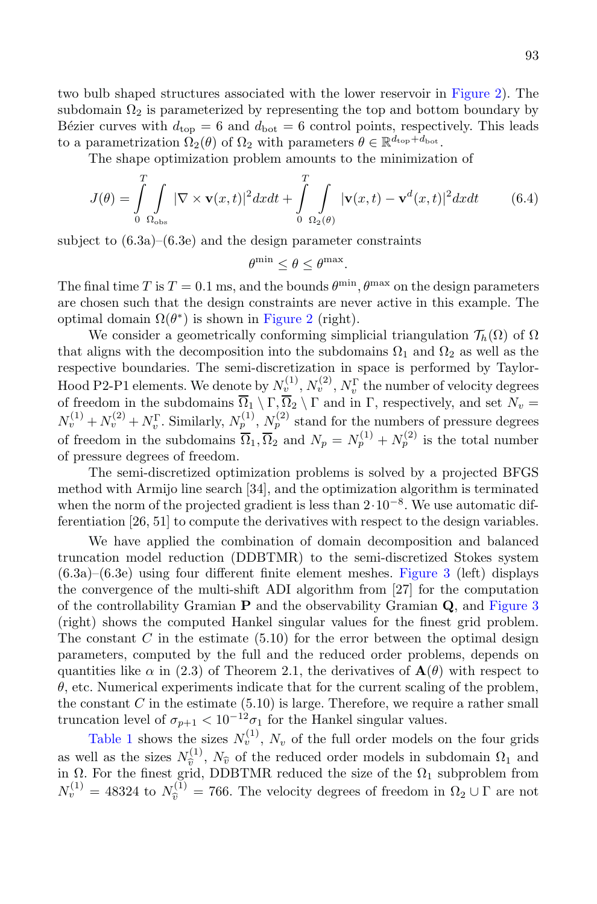93<br>two bulb shaped structures associated with the lower reservoir in Figure 2). The<br>subdomain  $\Omega_2$  is parameterized by representing the top and bottom boundary by subdomain  $\Omega_2$  is parameterized by representing the top and bottom boundary by<br>Bézier curves with  $d_{\text{top}} = 6$  and  $d_{\text{bot}} = 6$  control points, respectively. This leads<br>to a parametrization  $\Omega_2(\theta)$  of  $\Omega_2$  with para Bézier curves with  $d_{top} = 6$  and  $d_{bot} = 6$  control points, respectively. This leads<br>to a parametrization  $\Omega_2(\theta)$  of  $\Omega_2$  with parameters  $\theta \in \mathbb{R}^{d_{top}+d_{bot}}$ .<br>The shape optimization problem amounts to the minimizati to a parametrization  $\Omega_2(\theta)$  of  $\Omega_2$  with parameters  $\theta \in \mathbb{R}^{d_{\text{top}}+d_{\text{bot}}}$ .

The shape optimization problem amounts to the minimization of

The shape optimization problem amounts to the minimization of  
\n
$$
J(\theta) = \int_{0}^{T} \int_{\Omega_{\text{obs}}} |\nabla \times \mathbf{v}(x, t)|^2 dx dt + \int_{0}^{T} \int_{\Omega_2(\theta)} |\mathbf{v}(x, t) - \mathbf{v}^d(x, t)|^2 dx dt
$$
\n
$$
(6.4)
$$
\n
$$
\text{ct to } (6.3a) - (6.3e) \text{ and the design parameter constraints}
$$
\n
$$
\theta^{\text{min}} \le \theta \le \theta^{\text{max}}.
$$

$$
\theta^{\min} \le \theta \le \theta^{\max}.
$$

 $\theta^{\min} \leq \theta \leq \theta^{\max}$ .<br>The final time T is  $T = 0.1$  ms, and the bounds  $\theta^{\min}$ ,  $\theta^{\max}$  on that chosen such that the design constraints are never active i The final time T is  $T = 0.1$  ms, and the bounds  $\theta^{\text{min}}, \theta^{\text{max}}$  on the design parameters<br>are chosen such that the design constraints are never active in this example. The<br>optimal domain  $\Omega(\theta^*)$  is shown in Figure 2 (r  $^{\rm min}, \theta^{\rm max}$ optimal domain  $\Omega(\theta^*)$  is shown in Figure 2 (right).

optimal domain  $\Omega(\theta^*)$  is shown in Figure 2 (right).<br>We consider a geometrically conforming simplicial triangulation  $\mathcal{T}_h(\Omega)$  of  $\Omega$  that aligns with the decomposition into the subdomains  $\Omega_1$  and  $\Omega_2$  as well as optimal domain  $\Omega(\theta^*)$  is shown in Figure 2 (right).<br>
We consider a geometrically conforming simplicial triangulation  $\mathcal{T}_h(\Omega)$  of  $\Omega$ <br>
that aligns with the decomposition into the subdomains  $\Omega_1$  and  $\Omega_2$  as well that aligns with the decomposition into the subdomains  $\Omega_1$  and  $\Omega_2$  as well as the respective boundaries. The semi-discretization in space is performed by Taylor-Hood P2-P1 elements. We denote by  $N_v^{(1)}$ ,  $N_v^{(2)}$ , Hood P2-P1 elements. We denote by  $N_v^{(1)}$ ,  $N_v^{(2)}$ ,  $N_v^{\Gamma}$  the number of velocity degrees<br>of freedom in the subdomains  $\overline{\Omega}_1 \setminus \Gamma$ ,  $\overline{\Omega}_2 \setminus \Gamma$  and in  $\Gamma$ , respectively, and set  $N_v = N_v^{(1)} + N_v^{(2)} + N_v^{\Gamma}$ . Simil  $N_v^{(1)} + N_v^{(2)} + N_v^{\Gamma}$ . Similarly,  $N_p^{(1)}$ ,  $N_p^{(2)}$ <br>of freedom in the subdomains  $\overline{\Omega}_1$ ,  $\overline{\Omega}_2$  a<br>of pressure degrees of freedom.<br>The semi-discretized optimization<br>method with Armiio line search [34], an

of freedom in the subdomains  $\overline{\Omega}_1$ ,  $\overline{\Omega}_2$  and  $N_p = N_p^{(1)} + N_p^{(2)}$  is the total number<br>of pressure degrees of freedom.<br>The semi-discretized optimization problems is solved by a projected BFGS<br>method with Armijo line The semi-discretized optimization problems is solved by a projected BFGS The semi-discretized opti<br>method with Armijo line search<br>when the norm of the projected<br>ferentiation [26, 51] to compute od with Armijo line search [34], and the optimization algorithm is terminated<br>the norm of the projected gradient is less than  $2 \cdot 10^{-8}$ . We use automatic dif-<br>tiation [26, 51] to compute the derivatives with respect to when the norm of the projected gradient is less than  $2 \cdot 10^{-8}$ . We use automatic differentiation [26, 51] to compute the derivatives with respect to the design variables.<br>We have applied the combination of domain decomp

when the norm of the projected gradient is less than  $2 \cdot 10^{-8}$ . [We](#page-19-0) use automatic dif-<br>ferentiation [26, 51] to compute the derivatives with respect to the design variables.<br>We have applied the combination of domain deco We have applied the combination of domain decomposition and balanced<br>truncation model reduction (DDBTMR) to the semi-discretized Stokes system<br>(6.3a)–(6.3e) using four different finite element meshes. Figure 3 (left) displ ation model reduction (DDBTMR) to the semi-discretized Stokes system)–(6.3e) using four different finite element meshes. Figure 3 (left) displays onvergence of the multi-shift ADI algorithm from [27] for the computation e (6.3a)–(6.3e) using four different finite element meshes. Figure 3 (left) displays<br>the convergence of the multi-shift ADI algorithm from [27] for the computation<br>of the controllability Gramian **P** and the observability Gr the convergence of the multi-shift ADI algorithm from [27] for the computation<br>of the controllability Gramian **P** and the observability Gramian **Q**, and Figure 3 (right) shows the computed Hankel singular values for the f of the controllability Gramian **P** and the observability Gramian **Q**, and Figure 3 (right) shows the computed Hankel singular values for the finest grid problem.<br>The constant  $C$  in the estimate (5.10) for the error betwe of the controllability Gramian **P** and the observability Gramian **Q**, and Figure 3 (right) shows the computed Hankel singular values for the finest grid problem. The constant C in the estimate (5.10) for the error between The constant *C* in the estimate (5.10) for the error between the optimal design parameters, computed by the full and the reduced order problems, depends on quantities like  $\alpha$  in (2.3) of Theorem 2.1, the derivatives of quantities like  $\alpha$  in (2.3) of Theorem 2.1, the derivatives of  $\mathbf{A}(\theta)$  with respect to  $\theta$ , etc. Numerical experiments indicate that for the current scaling of the problem, the constant C in the estimate (5.10) is quan[tities](#page-19-0) like  $\alpha$  in (2.3) of Theorem 2.1, the derivatives of  $\mathbf{A}(\theta)$  with respect to  $\theta$ , etc. Numerical experiments indicate that for the current scaling of the problem, the constant C in the estimate (5.10) is  $\theta$ , etc. Numerical experiments indicate that for the current scaling of the problem, the constant C in the estimate (5.10) is large. Therefore, we require a rather small<br>runcation level of  $\sigma_{p+1} < 10^{-12} \sigma_1$  for the Hankel singular values.<br>Table 1 shows the sizes  $N_v^{(1)}$ ,  $N_v$  of the full order models  $^{-12}\sigma_1$ 

the constant *C* in the estimate (5.10) is large. Therefore, we require a rather small<br>truncation level of  $\sigma_{p+1} < 10^{-12} \sigma_1$  for the Hankel singular values.<br>Table 1 shows the sizes  $N_v^{(1)}$ ,  $N_v$  of the full order mod truncation level of  $\sigma_{p+1} < 10^{-12} \sigma_1$  for the Hankel singular values.<br>
Table 1 shows the sizes  $N_v^{(1)}$ ,  $N_v$  of the full order models on<br>
as well as the sizes  $N_{\hat{v}}^{(1)}$ ,  $N_{\hat{v}}$  of the reduced order models in s Table 1 shows the sizes  $N_v^{(1)}$ ,  $N_v$  of the full order models on the four grids<br>ell as the sizes  $N_{\hat{v}}^{(1)}$ ,  $N_{\hat{v}}$  of the reduced order models in subdomain  $\Omega_1$  and<br>For the finest grid, DDBTMR reduced the size  $v^{(1)}$ as well as the sizes  $N_{\hat{v}}^{(1)}$ ,  $N_{\hat{v}}$  of the reduced order models in subdomain  $\Omega_1$  and<br>in  $\Omega$ . For the finest grid, DDBTMR reduced the size of the  $\Omega_1$  subproblem from<br> $N_{\hat{v}}^{(1)} = 48324$  to  $N_{\hat{v}}^{(1)} = 7$ (1) in  $\Omega$ . For the finest grid, DDBTMR reduced the size of the  $\Omega_1$  subproblem from in 32. For the finest grid, DDBTMR reduced the size of the 31 subproblem from<br> $N_v^{(1)} = 48324$  to  $N_{\hat{v}}^{(1)} = 766$ . The velocity degrees of freedom in  $\Omega_2 \cup \Gamma$  are not  $N_v^{(1)} = 48324$  to  $N_{\hat{v}}^{(1)}$  $\hat{\tau}$  = 766. The velocity degrees of freedom in  $\Omega_2 \cup \Gamma$  are not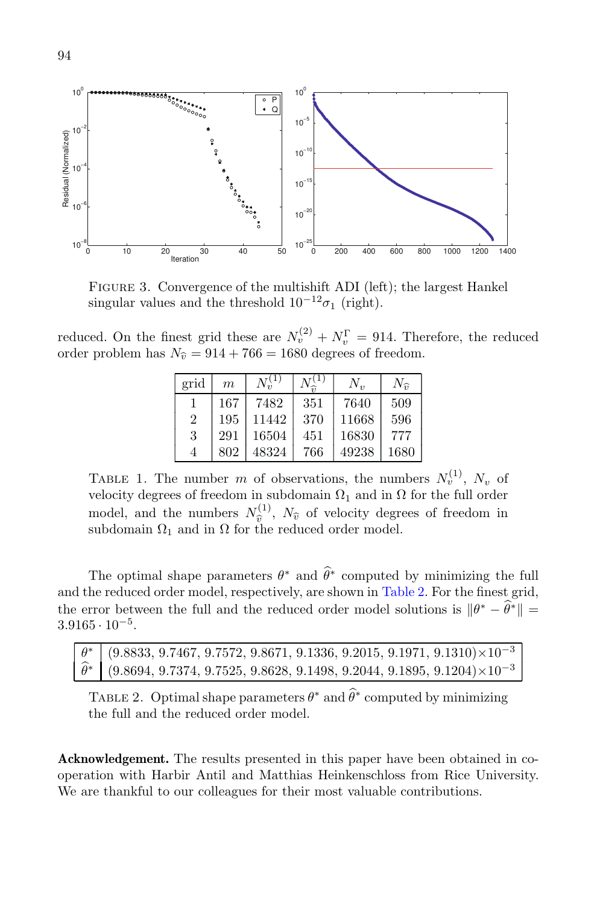<span id="page-19-0"></span>

FIGURE 3. Convergence of the multishift ADI (left); the largest Hankel singular values and the threshold  $10^{-12}\sigma_1$  (right).

ues and the threshold  $10^{-12}\sigma_1$  (right).<br>
finest grid these are  $N_v^{(2)} + N_v^{\Gamma} = 914$ . Therefore, the red<br>
us  $N_{\hat{v}} = 914 + 766 = 1680$  degrees of freedom. shows that the finest grid these are  $N_v^{(2)} + N_v^{T} = 91$  problem has  $N_{\tilde{v}} = 914 + 766 = 1680$  degrees of fr reduced. On the finest grid these are  $N_v^{(2)} + N_v^{(1)}$ <br>
order problem has  $N_{\hat{v}} = 914 + 766 = 1680$  degree<br>
grid  $m = N_v^{(1)} = N_{\hat{v}}^{(1)} = N_{\hat{v}}^{(1)} = N_{\hat{v}}^{(1)} = 167 - 7482 = 351 - 7$  $(v^{(2)} + N_v^{\rm I})$ of freedom.<br> $\overline{N_v}$   $\overline{N_{\widehat{v}}}$   $\overline{N_{\widehat{v}}}$   $\overline{509}$ 

| grid           | $m-1$ | $N_v^{(1)}$ |     | $N_{v}$ | $N_{\widehat{v}}$ |
|----------------|-------|-------------|-----|---------|-------------------|
|                | 167   | 7482        | 351 | 7640    | 509               |
| $\overline{2}$ | 195   | 11442       | 370 | 11668   | 596               |
| $\sqrt{3}$     | 291   | 16504       | 451 | 16830   | 777               |
|                | 802   | 48324       | 766 | 49238   | 1680              |

 $\frac{4}{302}$   $\left| \frac{48324}{766} \right|$   $\left| \frac{49238}{1680} \right|$ <br>sumber *m* of observations, the number<br>of freedom in subdomain  $\Omega_1$  and in  $\Omega$ umber *m* of observations, the number<br>of freedom in subdomain  $\Omega_1$  and in  $\Omega$  f<br>numbers  $N_{\hat{v}}^{(1)}$ ,  $N_{\hat{v}}$  of velocity degree TABLE 1. The number m of observations, the numbers  $N_v^{(1)}$ The number *m* of observations, the numbers  $N_v^{(1)}$ ,  $N_v$  of grees of freedom in subdomain  $\Omega_1$  and in  $\Omega$  for the full order <br>1 the numbers  $N_{\hat{v}}^{(1)}$ ,  $N_{\hat{v}}$  of velocity degrees of freedom in  $\Omega_1$  and in  $\Omega$ velocity degrees of freedom in subdomain  $\Omega_1$  and in  $\Omega$  for the full order model, and the numbers  $N_{\hat{v}}^{(1)}$ ,  $N_{\hat{v}}$  of velocity degrees of freedom in subdomain  $\Omega_1$  and in  $\Omega$  for the reduced order model. model, and the numbers  $N_{\hat{v}}^{\zeta}$ <br>subdomain  $\Omega_1$  and in  $\Omega$  for the<br>The optimal shape paramete ,  $N_{\hat{v}}$  of velocity degrees of freedom in<br>reduced order model.<br> $\theta^*$  and  $\hat{\theta}^*$  computed by minimizing the

subdomain  $\Omega_1$  and in  $\Omega$  for the reduced order model.<br>The optimal shape parameters  $\theta^*$  and  $\hat{\theta}^*$  computed<br>he reduced order model, respectively, are shown in Tab The optimal shape parameters  $\theta^*$  and  $\theta^*$  computed by minimizing the full<br>he reduced order model, respectively, are shown in Table 2. For the finest grid,<br>rror between the full and the reduced order model solutions i ∗ the error between the full and the reduced order model solutions is  $\|\theta^* - \hat{\theta}^*\| =$ <br>3.9165 · 10<sup>-5</sup>.<br> $\theta^*$  (9.8833, 9.7467, 9.7572, 9.8671, 9.1336, 9.2015, 9.1971, 9.1310)×10<sup>-3</sup><br> $\hat{\theta}^*$  (9.8694, 9.7374, 9.7525, 9.86

|  | $3.9165 \cdot 10^{-5}$ .                                                                                                                                                                                                                                                  |
|--|---------------------------------------------------------------------------------------------------------------------------------------------------------------------------------------------------------------------------------------------------------------------------|
|  | $\stackrel{\theta^*}{\theta^*} \left[ (9.8833,\,9.7467,\,9.7572,\,9.8671,\,9.1336,\,9.2015,\,9.1971,\,9.1310) \times 10^{-3}\right] \nonumber \\ \widehat{\theta^*} \left[ (9.8694,\,9.7374,\,9.7525,\,9.8628,\,9.1498,\,9.2044,\,9.1895,\,9.1204) \times 10^{-3}\right]$ |
|  | $\Gamma$                                                                                                                                                                                                                                                                  |

(9.8833, 9.7467, 9.7572, 9.8671, 9.1336, 9.2015, 9.1971, 9.1310)×10<br>(9.8694, 9.7374, 9.7525, 9.8628, 9.1498, 9.2044, 9.1895, 9.1204)×10<br>BLE 2. Optimal shape parameters  $\theta^*$  and  $\hat{\theta}^*$  computed by minimizin<br>full and t (9.8694, 9.7574, 9.7525, 9.8628, 9.1498, 9.2044, 9.1895, 9.1204)×10<br>BLE 2. Optimal shape parameters  $\theta^*$  and  $\hat{\theta}^*$  computed by minimizin<br>full and the reduced order model. TABLE 2. Optimal shape parameters  $\theta^*$  and  $\widehat{\theta}^*$ <br>the full and the reduced order model.<br>**owledgement.** The results presented in this pa  $\begin{aligned} \text{per have} \quad & \text{for} \quad \text{if} \quad \text{if} \quad \text{if} \quad \text{if} \quad \text{if} \quad \text{if} \quad \text{if} \quad \text{if} \quad \text{if} \quad \text{if} \quad \text{if} \quad \text{if} \quad \text{if} \quad \text{if} \quad \text{if} \quad \text{if} \quad \text{if} \quad \text{if} \quad \text{if} \quad \text{if} \quad \text{if} \quad \text{if} \quad \text{if} \quad \text{if} \quad \text{if} \quad \text{if} \quad \text{if} \quad \text{if} \quad \text{$ 

owledgement. The results presented is<br>tion with Harbir Antil and Matthias **Acknowledgement.** operation with Harbir Antil and Matthias Heinkenschloss from Rice University. We are thankful to our colleagues for their most valuable contributions. We are thankful to our colleagues for their most valuable contributions.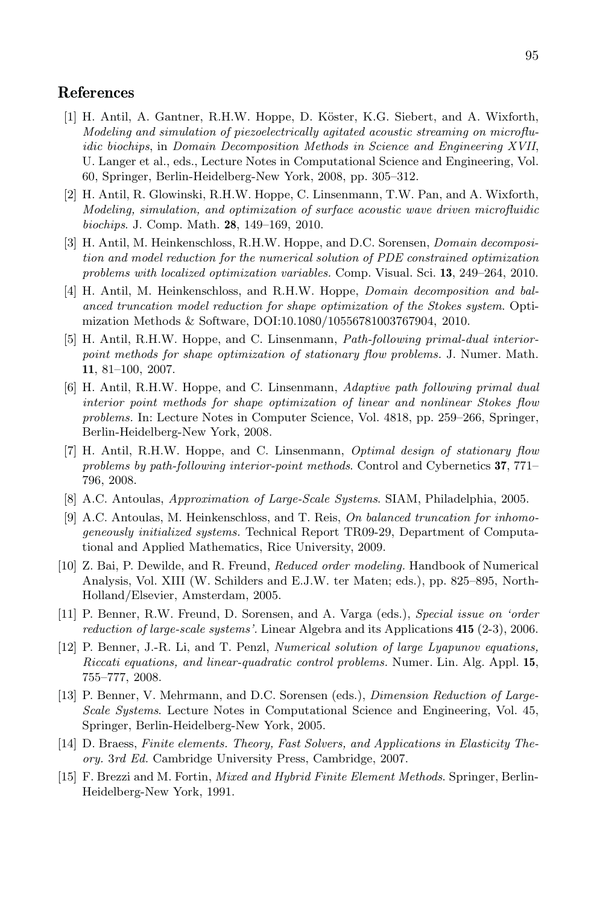#### **References**

- eferences<br>[1] H. Antil, A. Gantner, R.H.W. Hoppe, D. Köster, K.G. Siebert, and A. Wixforth, Modeling and simulation of piezoelectrically agitated acoustic streaming on microfluidic biochips, in Domain Decomposition Methods in Science and Engineering XVII, U. Langer et al., eds., Lecture Notes in Computational Science and Engineering, Vol. 60, Springer, Berlin-Heidelberg-New York, 2008, pp. 305–312.
- [2] H. Antil, R. Glowinski, R.H.W. Hoppe, C. Linsenmann, T.W. Pan, and A. Wixforth, Modeling, simulation, and optimization of surface acoustic wave driven microfluidic biochips. J. Comp. Math. **28**, 149–169, 2010.
- [3] H. Antil, M. Heinkenschloss, R.H.W. Hoppe, and D.C. Sorensen, *Domain decomposi*tion and model reduction for the numerical solution of PDE constrained optimization problems with localized optimization variables. Comp. Visual. Sci. **13**, 249–264, 2010.
- [4] H. Antil, M. Heinkenschloss, and R.H.W. Hoppe, Domain decomposition and balanced truncation model reduction for shape optimization of the Stokes system. Optimization Methods & Software, DOI:10.1080/10556781003767904, 2010.
- [5] H. Antil, R.H.W. Hoppe, and C. Linsenmann, Path-following primal-dual interiorpoint methods for shape optimization of stationary flow problems. J. Numer. Math. **11**, 81–100, 2007.
- [6] H. Antil, R.H.W. Hoppe, and C. Linsenmann, Adaptive path following primal dual interior point methods for shape optimization of linear and nonlinear Stokes flow problems. In: Lecture Notes in Computer Science, Vol. 4818, pp. 259–266, Springer, Berlin-Heidelberg-New York, 2008.
- [7] H. Antil, R.H.W. Hoppe, and C. Linsenmann, Optimal design of stationary flow problems by path-following interior-point methods. Control and Cybernetics **37**, 771– 796, 2008.
- [8] A.C. Antoulas, Approximation of Large-Scale Systems. SIAM, Philadelphia, 2005.
- [9] A.C. Antoulas, M. Heinkenschloss, and T. Reis, On balanced truncation for inhomogeneously initialized systems. Technical Report TR09-29, Department of Computational and Applied Mathematics, Rice University, 2009.
- [10] Z. Bai, P. Dewilde, and R. Freund, Reduced order modeling. Handbook of Numerical Analysis, Vol. XIII (W. Schilders and E.J.W. ter Maten; eds.), pp. 825–895, North-Holland/Elsevier, Amsterdam, 2005.
- [11] P. Benner, R.W. Freund, D. Sorensen, and A. Varga (eds.), Special issue on 'order reduction of large-scale systems'. Linear Algebra and its Applications **415** (2-3), 2006.
- [12] P. Benner, J.-R. Li, and T. Penzl, Numerical solution of large Lyapunov equations, Riccati equations, and linear-quadratic control problems. Numer. Lin. Alg. Appl. **15**, 755–777, 2008.
- [13] P. Benner, V. Mehrmann, and D.C. Sorensen (eds.), *Dimension Reduction of Large-*Scale Systems. Lecture Notes in Computational Science and Engineering, Vol. 45, Springer, Berlin-Heidelberg-New York, 2005.
- [14] D. Braess, Finite elements. Theory, Fast Solvers, and Applications in Elasticity Theory. 3rd Ed. Cambridge University Press, Cambridge, 2007.
- [15] F. Brezzi and M. Fortin, Mixed and Hybrid Finite Element Methods. Springer, Berlin-Heidelberg-New York, 1991.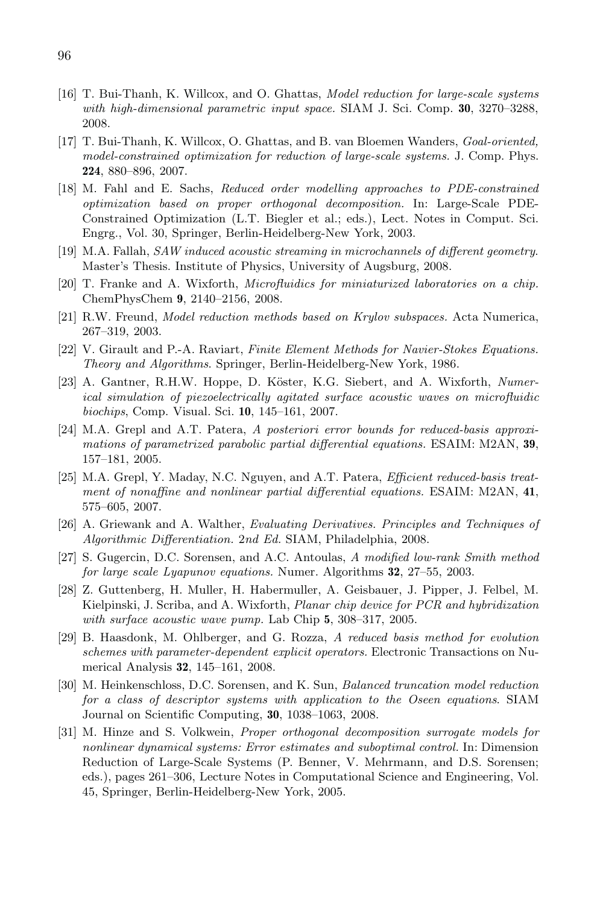- $[16]$ [16] T. Bui-Thanh, K. Willcox, and O. Ghattas, *Model reduction for large-scale systems* with high-dimensional parametric input space. SIAM J. Sci. Comp. **30**, 3270–3288, 2008.
- [17] T. Bui-Thanh, K. Willcox, O. Ghattas, and B. van Bloemen Wanders, Goal-oriented, model-constrained optimization for reduction of large-scale systems. J. Comp. Phys. **224**, 880–896, 2007.
- [18] M. Fahl and E. Sachs, Reduced order modelling approaches to PDE-constrained optimization based on proper orthogonal decomposition. In: Large-Scale PDE-Constrained Optimization (L.T. Biegler et al.; eds.), Lect. Notes in Comput. Sci. Engrg., Vol. 30, Springer, Berlin-Heidelberg-New York, 2003.
- [19] M.A. Fallah, SAW induced acoustic streaming in microchannels of different geometry. Master's Thesis. Institute of Physics, University of Augsburg, 2008.
- [20] T. Franke and A. Wixforth, Microfluidics for miniaturized laboratories on a chip. ChemPhysChem **9**, 2140–2156, 2008.
- [21] R.W. Freund, Model reduction methods based on Krylov subspaces. Acta Numerica, 267–319, 2003.
- [22] V. Girault and P.-A. Raviart, Finite Element Methods for Navier-Stokes Equations. Theory and Algorithms. Springer, Berlin-Heidelberg-New York, 1986.
- [23] A. Gantner, R.H.W. Hoppe, D. Köster, K.G. Siebert, and A. Wixforth, Numerical simulation of piezoelectrically agitated surface acoustic waves on microfluidic biochips, Comp. Visual. Sci. **10**, 145–161, 2007.
- [24] M.A. Grepl and A.T. Patera, A posteriori error bounds for reduced-basis approximations of parametrized parabolic partial differential equations. ESAIM: M2AN, **39**, 157–181, 2005.
- [25] M.A. Grepl, Y. Maday, N.C. Nguyen, and A.T. Patera, Efficient reduced-basis treatment of nonaffine and nonlinear partial differential equations. ESAIM: M2AN, **41**, 575–605, 2007.
- [26] A. Griewank and A. Walther, Evaluating Derivatives. Principles and Techniques of Algorithmic Differentiation. 2nd Ed. SIAM, Philadelphia, 2008.
- [27] S. Gugercin, D.C. Sorensen, and A.C. Antoulas, A modified low-rank Smith method for large scale Lyapunov equations. Numer. Algorithms **32**, 27–55, 2003.
- [28] Z. Guttenberg, H. Muller, H. Habermuller, A. Geisbauer, J. Pipper, J. Felbel, M. Kielpinski, J. Scriba, and A. Wixforth, *Planar chip device for PCR and hybridization* with surface acoustic wave pump. Lab Chip **5**, 308–317, 2005.
- [29] B. Haasdonk, M. Ohlberger, and G. Rozza, A reduced basis method for evolution schemes with parameter-dependent explicit operators. Electronic Transactions on Numerical Analysis **32**, 145–161, 2008.
- [30] M. Heinkenschloss, D.C. Sorensen, and K. Sun, Balanced truncation model reduction for a class of descriptor systems with application to the Oseen equations. SIAM Journal on Scientific Computing, **30**, 1038–1063, 2008.
- [31] M. Hinze and S. Volkwein, Proper orthogonal decomposition surrogate models for nonlinear dynamical systems: Error estimates and suboptimal control. In: Dimension Reduction of Large-Scale Systems (P. Benner, V. Mehrmann, and D.S. Sorensen; eds.), pages 261–306, Lecture Notes in Computational Science and Engineering, Vol. 45, Springer, Berlin-Heidelberg-New York, 2005.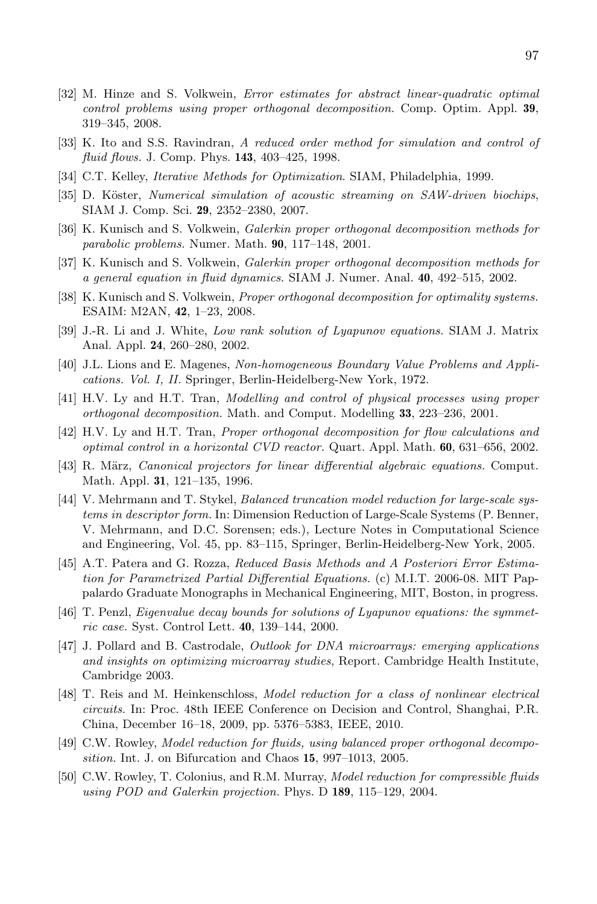- nai<br>**39**, [32] M. Hinze and S. Volkwein, Error estimates for abstract linear-quadratic optimal control problems using proper orthogonal decomposition. Comp. Optim. Appl. **39**, 319–345, 2008.
- [33] K. Ito and S.S. Ravindran, A reduced order method for simulation and control of fluid flows. J. Comp. Phys. **143**, 403–425, 1998.
- [34] C.T. Kelley, *Iterative Methods for Optimization*. SIAM, Philadelphia, 1999.
- [35] D. Köster, Numerical simulation of acoustic streaming on SAW-driven biochips, SIAM J. Comp. Sci. **29**, 2352–2380, 2007.
- [36] K. Kunisch and S. Volkwein, Galerkin proper orthogonal decomposition methods for parabolic problems. Numer. Math. **90**, 117–148, 2001.
- [37] K. Kunisch and S. Volkwein, Galerkin proper orthogonal decomposition methods for a general equation in fluid dynamics. SIAM J. Numer. Anal. **40**, 492–515, 2002.
- [38] K. Kunisch and S. Volkwein, Proper orthogonal decomposition for optimality systems. ESAIM: M2AN, **42**, 1–23, 2008.
- [39] J.-R. Li and J. White, Low rank solution of Lyapunov equations. SIAM J. Matrix Anal. Appl. **24**, 260–280, 2002.
- [40] J.L. Lions and E. Magenes, Non-homogeneous Boundary Value Problems and Applications. Vol. I, II. Springer, Berlin-Heidelberg-New York, 1972.
- [41] H.V. Ly and H.T. Tran, Modelling and control of physical processes using proper orthogonal decomposition. Math. and Comput. Modelling **33**, 223–236, 2001.
- [42] H.V. Ly and H.T. Tran, Proper orthogonal decomposition for flow calculations and optimal control in a horizontal CVD reactor. Quart. Appl. Math. **60**, 631–656, 2002.
- [43] R. März, *Canonical projectors for linear differential algebraic equations.* Comput. Math. Appl. **31**, 121–135, 1996.
- [44] V. Mehrmann and T. Stykel, Balanced truncation model reduction for large-scale systems in descriptor form. In: Dimension Reduction of Large-Scale Systems (P. Benner, V. Mehrmann, and D.C. Sorensen; eds.), Lecture Notes in Computational Science and Engineering, Vol. 45, pp. 83–115, Springer, Berlin-Heidelberg-New York, 2005.
- [45] A.T. Patera and G. Rozza, Reduced Basis Methods and A Posteriori Error Estimation for Parametrized Partial Differential Equations. (c) M.I.T. 2006-08. MIT Pappalardo Graduate Monographs in Mechanical Engineering, MIT, Boston, in progress.
- [46] T. Penzl, Eigenvalue decay bounds for solutions of Lyapunov equations: the symmetric case. Syst. Control Lett. **40**, 139–144, 2000.
- [47] J. Pollard and B. Castrodale, Outlook for DNA microarrays: emerging applications and insights on optimizing microarray studies, Report. Cambridge Health Institute, Cambridge 2003.
- [48] T. Reis and M. Heinkenschloss, Model reduction for a class of nonlinear electrical circuits. In: Proc. 48th IEEE Conference on Decision and Control, Shanghai, P.R. China, December 16–18, 2009, pp. 5376–5383, IEEE, 2010.
- [49] C.W. Rowley, Model reduction for fluids, using balanced proper orthogonal decomposition. Int. J. on Bifurcation and Chaos **15**, 997–1013, 2005.
- [50] C.W. Rowley, T. Colonius, and R.M. Murray, Model reduction for compressible fluids using POD and Galerkin projection. Phys. D **189**, 115–129, 2004.